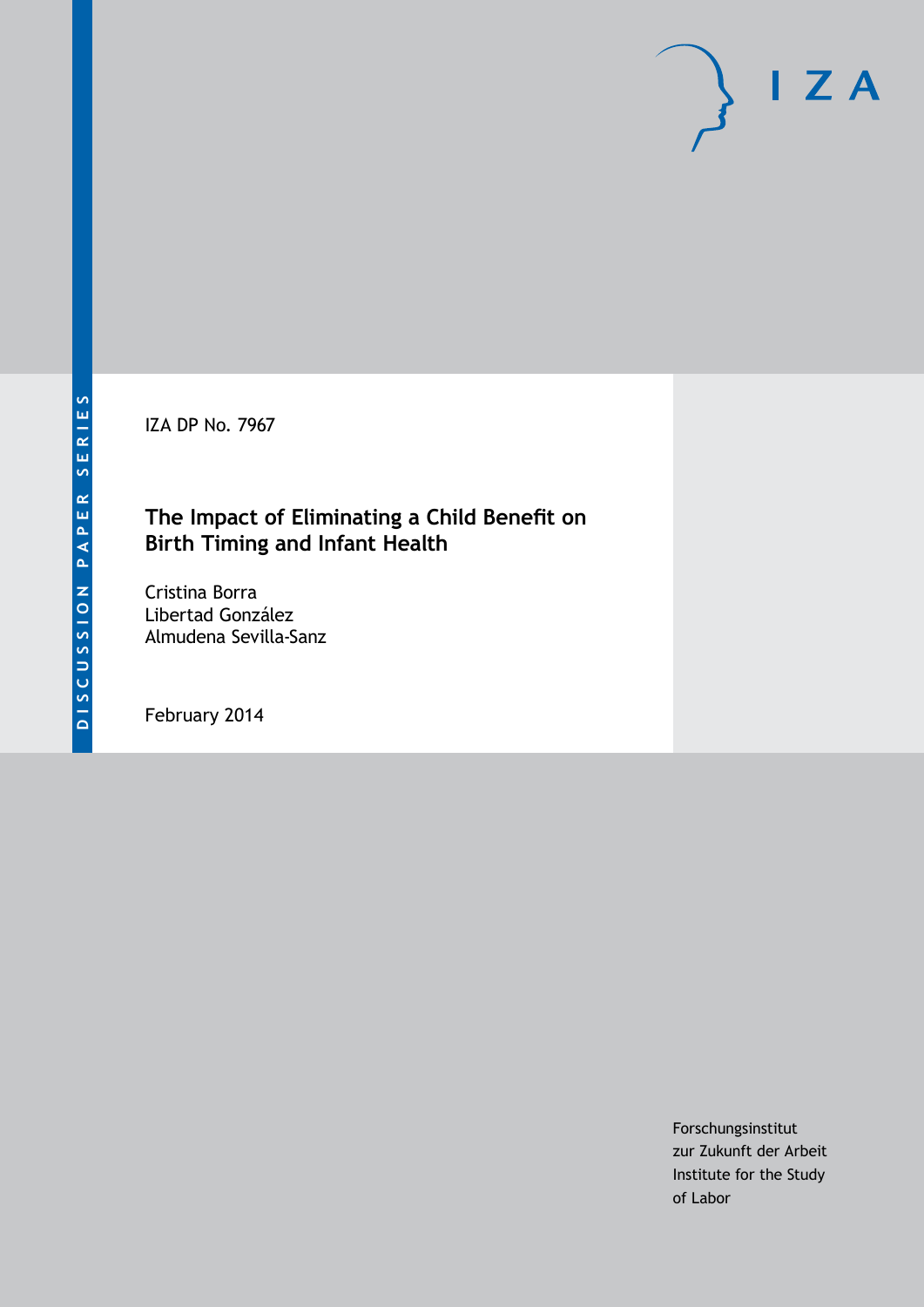IZA DP No. 7967

# **The Impact of Eliminating a Child Benefit on Birth Timing and Infant Health**

Cristina Borra Libertad González Almudena Sevilla-Sanz

February 2014

Forschungsinstitut zur Zukunft der Arbeit Institute for the Study of Labor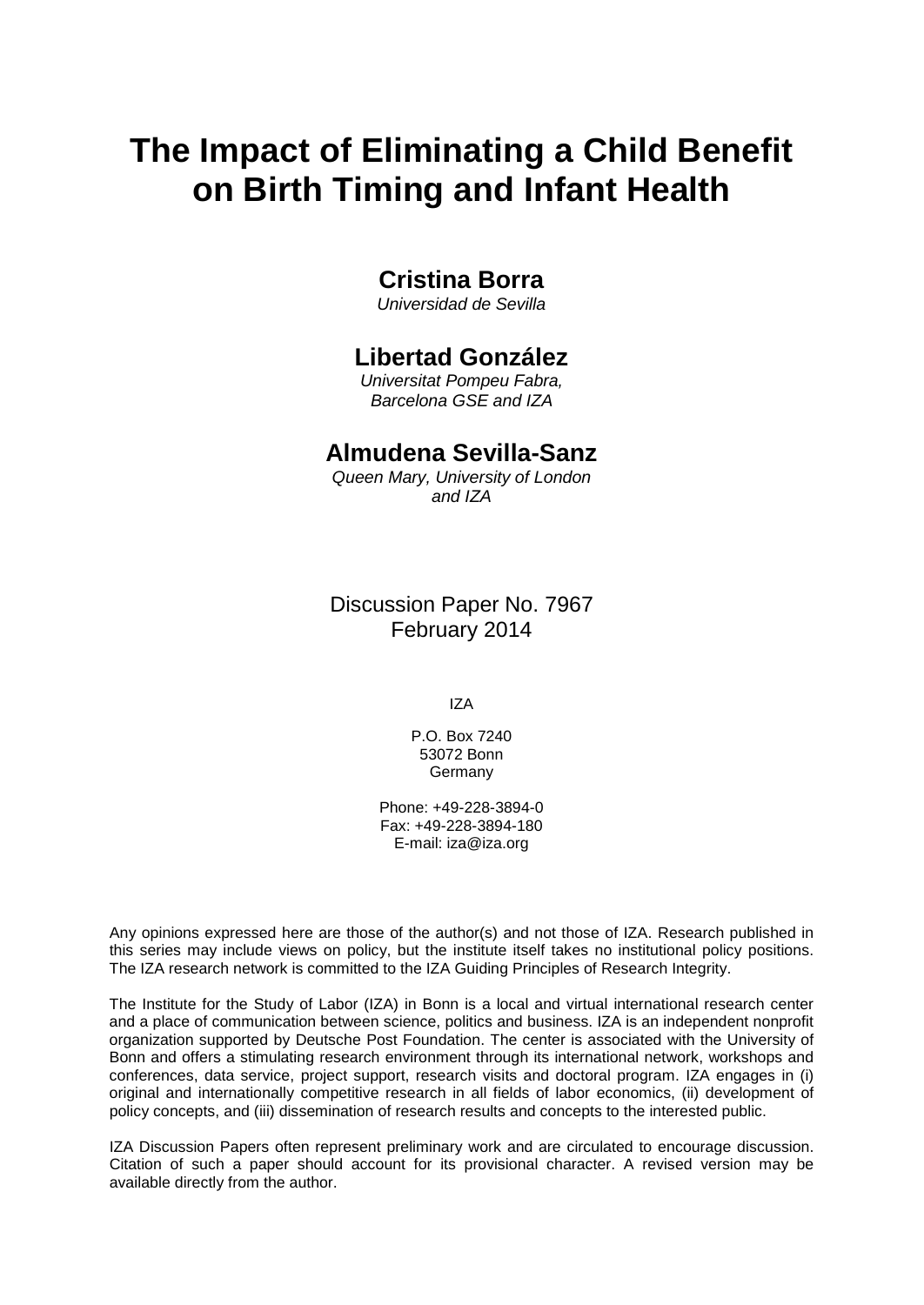# **The Impact of Eliminating a Child Benefit on Birth Timing and Infant Health**

# **Cristina Borra**

*Universidad de Sevilla*

# **Libertad González**

*Universitat Pompeu Fabra, Barcelona GSE and IZA*

# **Almudena Sevilla-Sanz**

*Queen Mary, University of London and IZA*

Discussion Paper No. 7967 February 2014

IZA

P.O. Box 7240 53072 Bonn **Germany** 

Phone: +49-228-3894-0 Fax: +49-228-3894-180 E-mail: [iza@iza.org](mailto:iza@iza.org)

Any opinions expressed here are those of the author(s) and not those of IZA. Research published in this series may include views on policy, but the institute itself takes no institutional policy positions. The IZA research network is committed to the IZA Guiding Principles of Research Integrity.

The Institute for the Study of Labor (IZA) in Bonn is a local and virtual international research center and a place of communication between science, politics and business. IZA is an independent nonprofit organization supported by Deutsche Post Foundation. The center is associated with the University of Bonn and offers a stimulating research environment through its international network, workshops and conferences, data service, project support, research visits and doctoral program. IZA engages in (i) original and internationally competitive research in all fields of labor economics, (ii) development of policy concepts, and (iii) dissemination of research results and concepts to the interested public.

IZA Discussion Papers often represent preliminary work and are circulated to encourage discussion. Citation of such a paper should account for its provisional character. A revised version may be available directly from the author.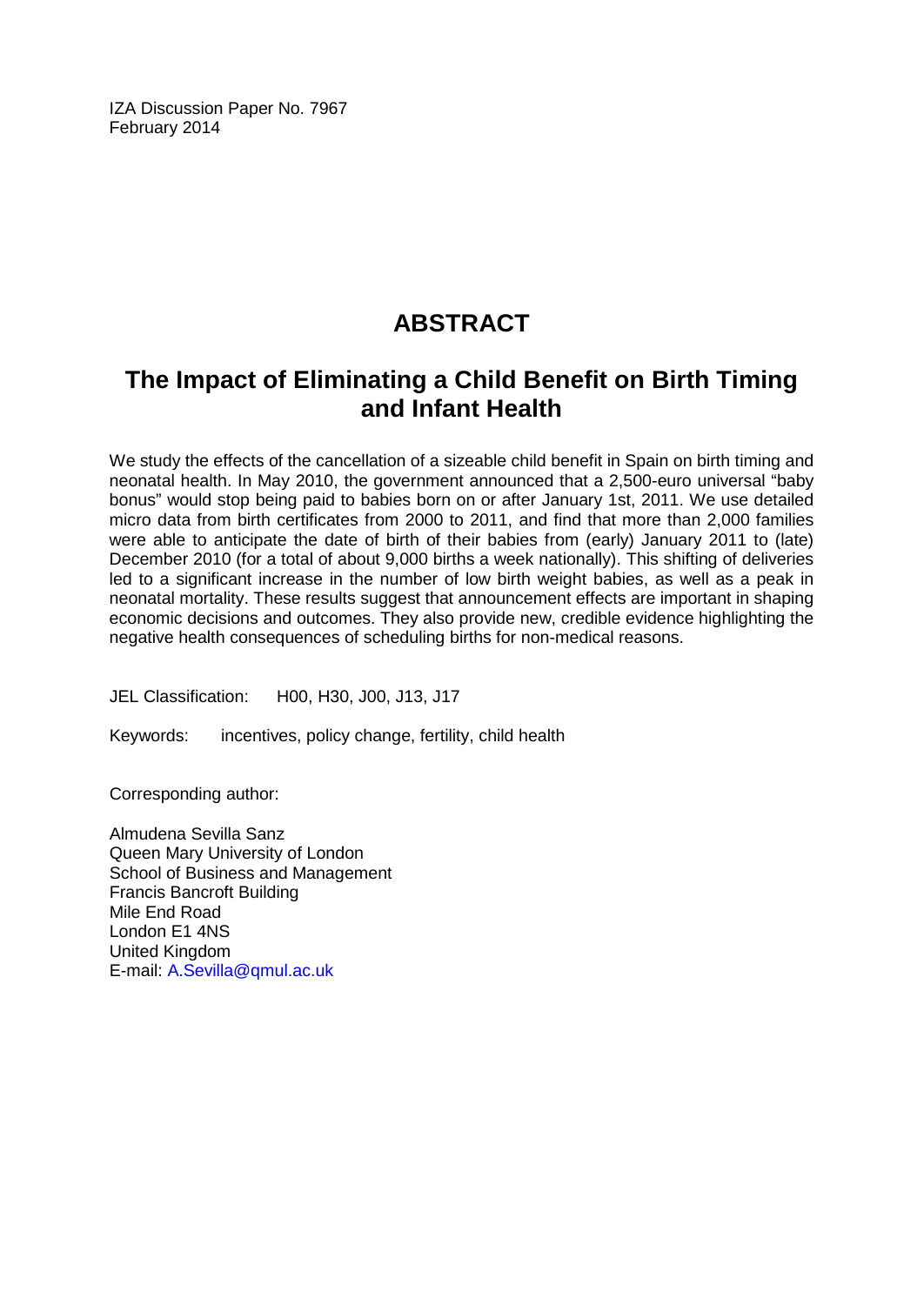IZA Discussion Paper No. 7967 February 2014

# **ABSTRACT**

# **The Impact of Eliminating a Child Benefit on Birth Timing and Infant Health**

We study the effects of the cancellation of a sizeable child benefit in Spain on birth timing and neonatal health. In May 2010, the government announced that a 2,500-euro universal "baby bonus" would stop being paid to babies born on or after January 1st, 2011. We use detailed micro data from birth certificates from 2000 to 2011, and find that more than 2,000 families were able to anticipate the date of birth of their babies from (early) January 2011 to (late) December 2010 (for a total of about 9,000 births a week nationally). This shifting of deliveries led to a significant increase in the number of low birth weight babies, as well as a peak in neonatal mortality. These results suggest that announcement effects are important in shaping economic decisions and outcomes. They also provide new, credible evidence highlighting the negative health consequences of scheduling births for non-medical reasons.

JEL Classification: H00, H30, J00, J13, J17

Keywords: incentives, policy change, fertility, child health

Corresponding author:

Almudena Sevilla Sanz Queen Mary University of London School of Business and Management Francis Bancroft Building Mile End Road London E1 4NS United Kingdom E-mail: [A.Sevilla@qmul.ac.uk](mailto:A.Sevilla@qmul.ac.uk)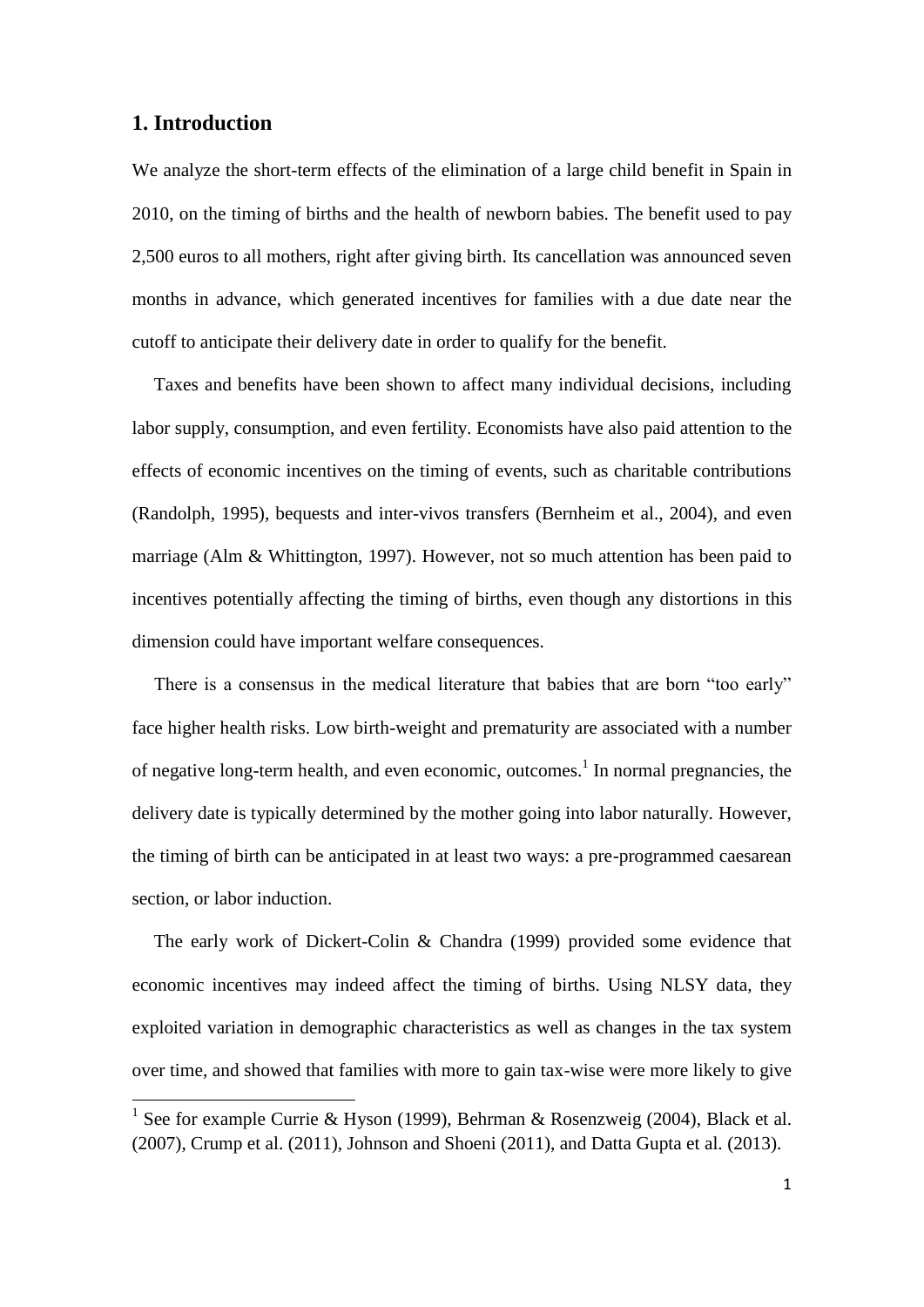# **1. Introduction**

**.** 

We analyze the short-term effects of the elimination of a large child benefit in Spain in 2010, on the timing of births and the health of newborn babies. The benefit used to pay 2,500 euros to all mothers, right after giving birth. Its cancellation was announced seven months in advance, which generated incentives for families with a due date near the cutoff to anticipate their delivery date in order to qualify for the benefit.

Taxes and benefits have been shown to affect many individual decisions, including labor supply, consumption, and even fertility. Economists have also paid attention to the effects of economic incentives on the timing of events, such as charitable contributions (Randolph, 1995), bequests and inter-vivos transfers (Bernheim et al., 2004), and even marriage (Alm & Whittington, 1997). However, not so much attention has been paid to incentives potentially affecting the timing of births, even though any distortions in this dimension could have important welfare consequences.

There is a consensus in the medical literature that babies that are born "too early" face higher health risks. Low birth-weight and prematurity are associated with a number of negative long-term health, and even economic, outcomes.<sup>1</sup> In normal pregnancies, the delivery date is typically determined by the mother going into labor naturally. However, the timing of birth can be anticipated in at least two ways: a pre-programmed caesarean section, or labor induction.

The early work of Dickert-Colin & Chandra (1999) provided some evidence that economic incentives may indeed affect the timing of births. Using NLSY data, they exploited variation in demographic characteristics as well as changes in the tax system over time, and showed that families with more to gain tax-wise were more likely to give

<sup>&</sup>lt;sup>1</sup> See for example Currie & Hyson (1999), Behrman & Rosenzweig (2004), Black et al. (2007), Crump et al. (2011), Johnson and Shoeni (2011), and Datta Gupta et al. (2013).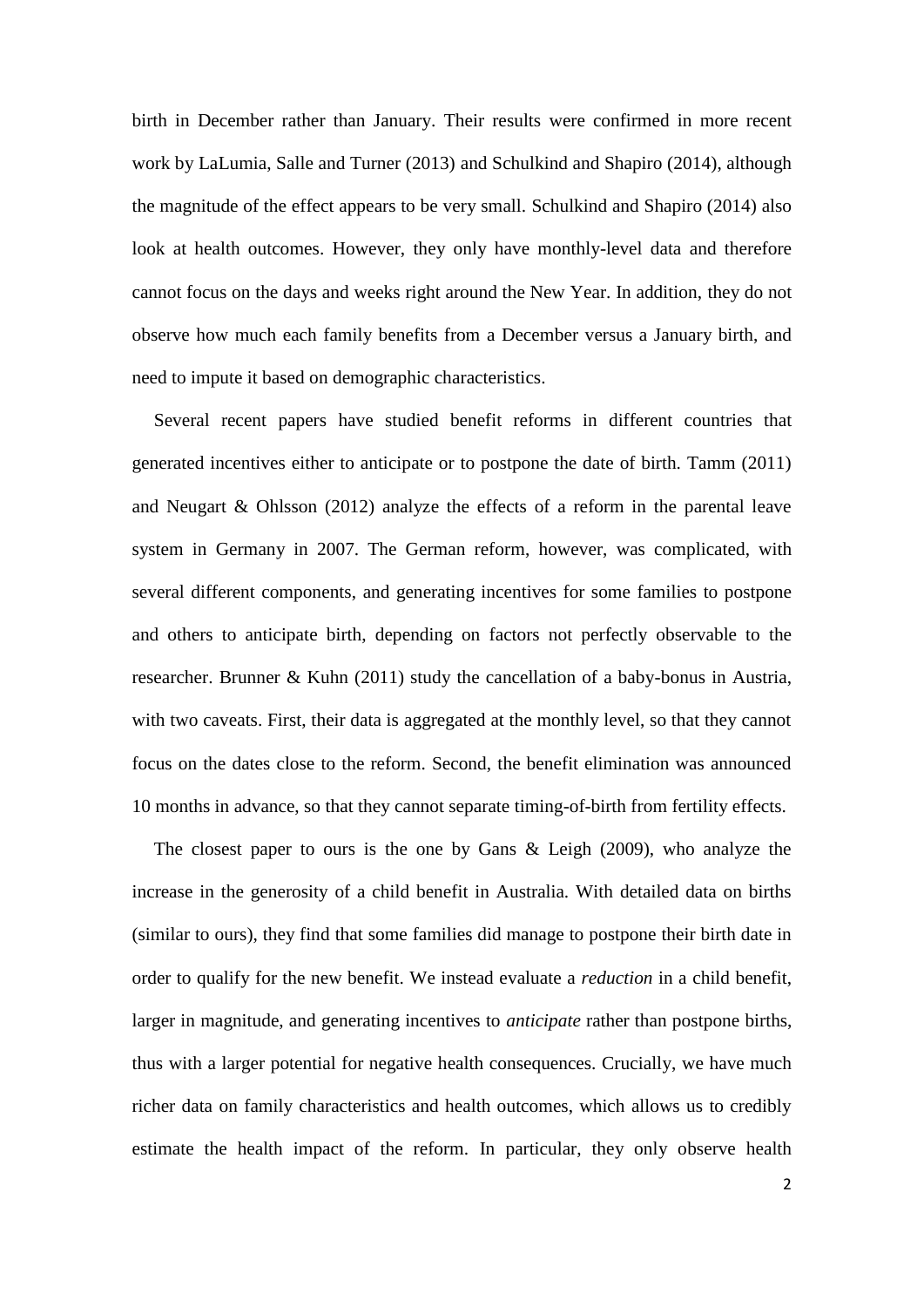birth in December rather than January. Their results were confirmed in more recent work by LaLumia, Salle and Turner (2013) and Schulkind and Shapiro (2014), although the magnitude of the effect appears to be very small. Schulkind and Shapiro (2014) also look at health outcomes. However, they only have monthly-level data and therefore cannot focus on the days and weeks right around the New Year. In addition, they do not observe how much each family benefits from a December versus a January birth, and need to impute it based on demographic characteristics.

Several recent papers have studied benefit reforms in different countries that generated incentives either to anticipate or to postpone the date of birth. Tamm (2011) and Neugart & Ohlsson (2012) analyze the effects of a reform in the parental leave system in Germany in 2007. The German reform, however, was complicated, with several different components, and generating incentives for some families to postpone and others to anticipate birth, depending on factors not perfectly observable to the researcher. Brunner & Kuhn (2011) study the cancellation of a baby-bonus in Austria, with two caveats. First, their data is aggregated at the monthly level, so that they cannot focus on the dates close to the reform. Second, the benefit elimination was announced 10 months in advance, so that they cannot separate timing-of-birth from fertility effects.

The closest paper to ours is the one by Gans  $\&$  Leigh (2009), who analyze the increase in the generosity of a child benefit in Australia. With detailed data on births (similar to ours), they find that some families did manage to postpone their birth date in order to qualify for the new benefit. We instead evaluate a *reduction* in a child benefit, larger in magnitude, and generating incentives to *anticipate* rather than postpone births, thus with a larger potential for negative health consequences. Crucially, we have much richer data on family characteristics and health outcomes, which allows us to credibly estimate the health impact of the reform. In particular, they only observe health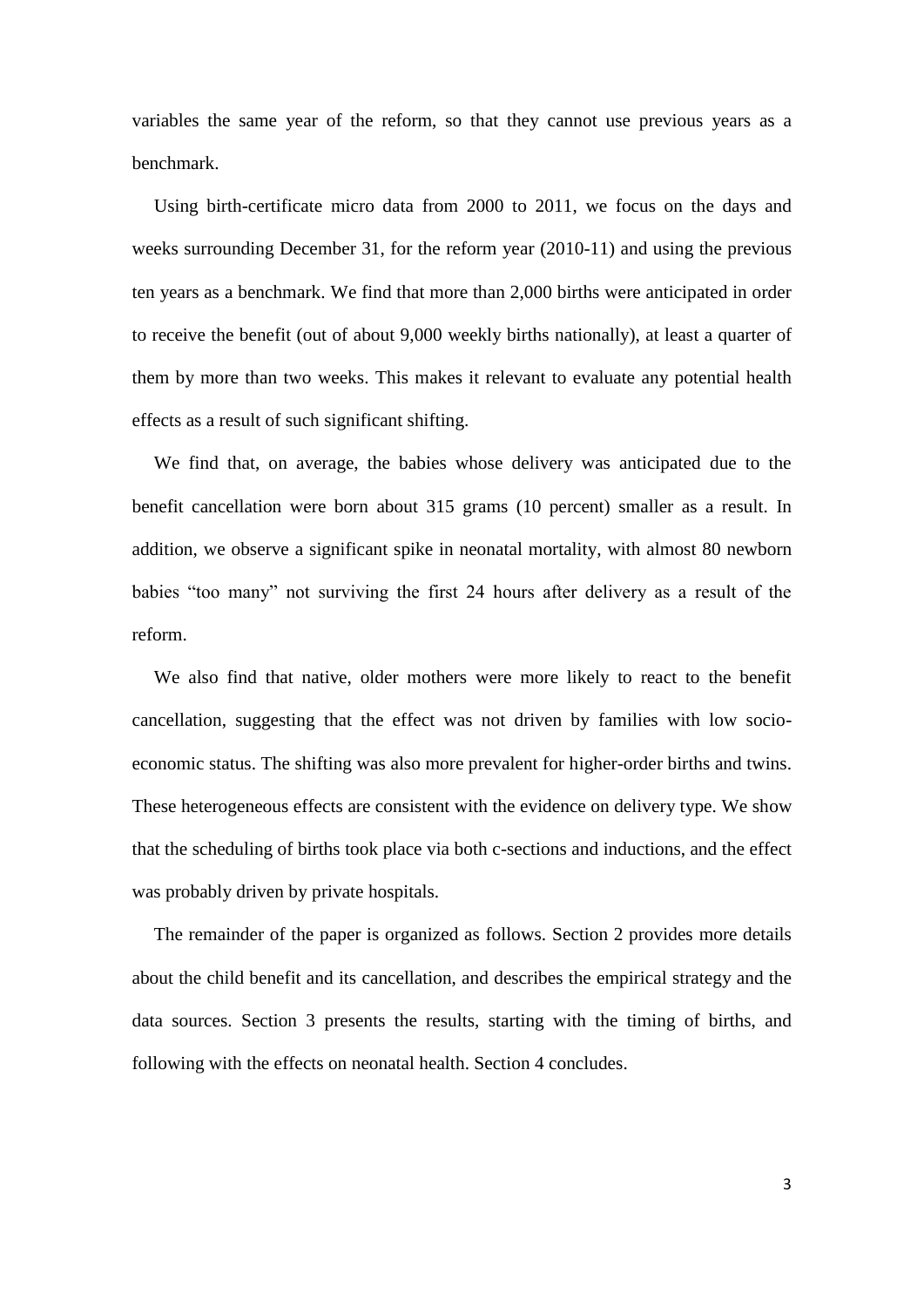variables the same year of the reform, so that they cannot use previous years as a benchmark.

Using birth-certificate micro data from 2000 to 2011, we focus on the days and weeks surrounding December 31, for the reform year (2010-11) and using the previous ten years as a benchmark. We find that more than 2,000 births were anticipated in order to receive the benefit (out of about 9,000 weekly births nationally), at least a quarter of them by more than two weeks. This makes it relevant to evaluate any potential health effects as a result of such significant shifting.

We find that, on average, the babies whose delivery was anticipated due to the benefit cancellation were born about 315 grams (10 percent) smaller as a result. In addition, we observe a significant spike in neonatal mortality, with almost 80 newborn babies "too many" not surviving the first 24 hours after delivery as a result of the reform.

We also find that native, older mothers were more likely to react to the benefit cancellation, suggesting that the effect was not driven by families with low socioeconomic status. The shifting was also more prevalent for higher-order births and twins. These heterogeneous effects are consistent with the evidence on delivery type. We show that the scheduling of births took place via both c-sections and inductions, and the effect was probably driven by private hospitals.

The remainder of the paper is organized as follows. Section 2 provides more details about the child benefit and its cancellation, and describes the empirical strategy and the data sources. Section 3 presents the results, starting with the timing of births, and following with the effects on neonatal health. Section 4 concludes.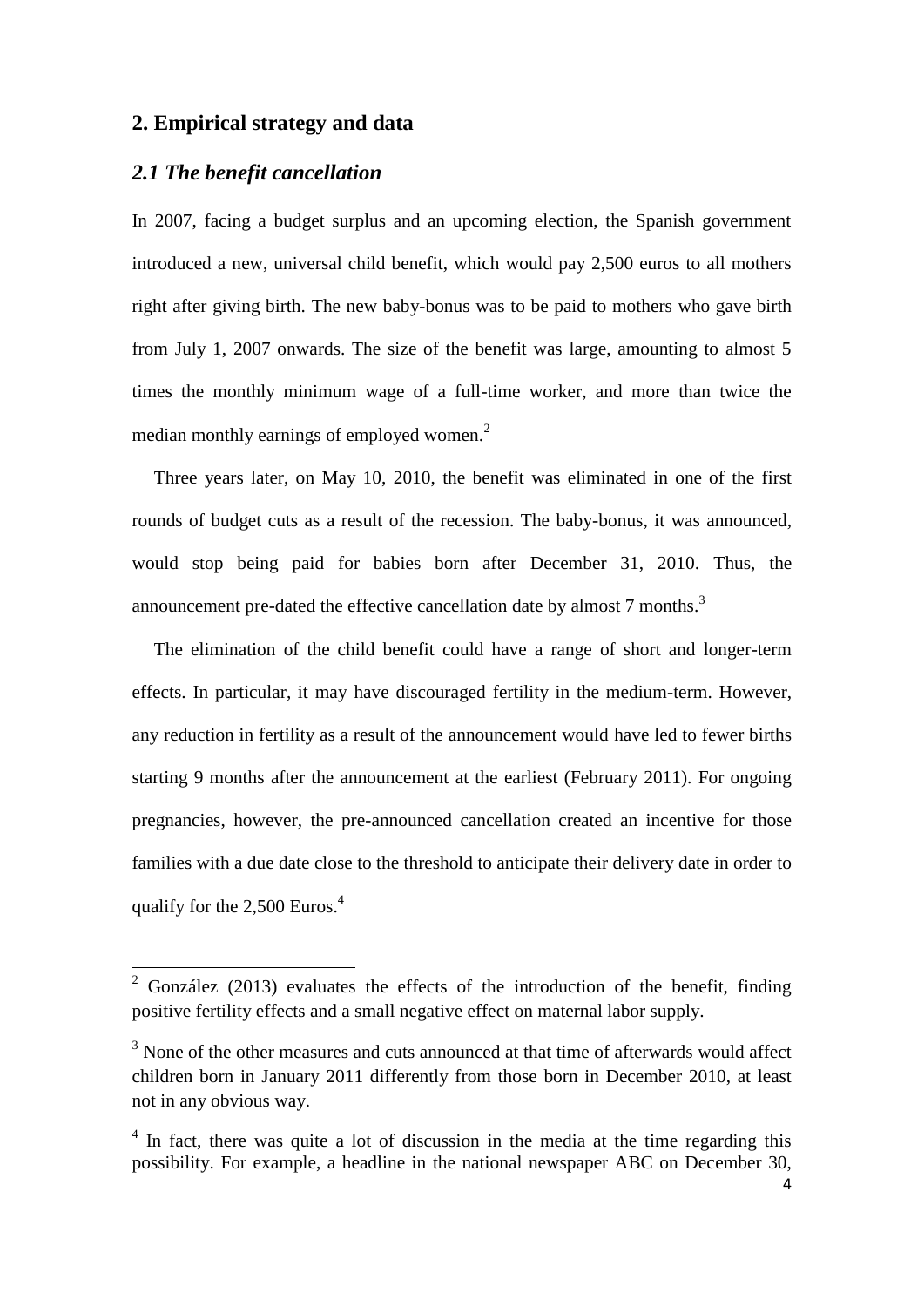# **2. Empirical strategy and data**

### *2.1 The benefit cancellation*

**.** 

In 2007, facing a budget surplus and an upcoming election, the Spanish government introduced a new, universal child benefit, which would pay 2,500 euros to all mothers right after giving birth. The new baby-bonus was to be paid to mothers who gave birth from July 1, 2007 onwards. The size of the benefit was large, amounting to almost 5 times the monthly minimum wage of a full-time worker, and more than twice the median monthly earnings of employed women. $<sup>2</sup>$ </sup>

Three years later, on May 10, 2010, the benefit was eliminated in one of the first rounds of budget cuts as a result of the recession. The baby-bonus, it was announced, would stop being paid for babies born after December 31, 2010. Thus, the announcement pre-dated the effective cancellation date by almost  $7$  months.<sup>3</sup>

The elimination of the child benefit could have a range of short and longer-term effects. In particular, it may have discouraged fertility in the medium-term. However, any reduction in fertility as a result of the announcement would have led to fewer births starting 9 months after the announcement at the earliest (February 2011). For ongoing pregnancies, however, the pre-announced cancellation created an incentive for those families with a due date close to the threshold to anticipate their delivery date in order to qualify for the 2,500 Euros.<sup>4</sup>

<sup>&</sup>lt;sup>2</sup> González (2013) evaluates the effects of the introduction of the benefit, finding positive fertility effects and a small negative effect on maternal labor supply.

<sup>&</sup>lt;sup>3</sup> None of the other measures and cuts announced at that time of afterwards would affect children born in January 2011 differently from those born in December 2010, at least not in any obvious way.

<sup>&</sup>lt;sup>4</sup> In fact, there was quite a lot of discussion in the media at the time regarding this possibility. For example, a headline in the national newspaper ABC on December 30,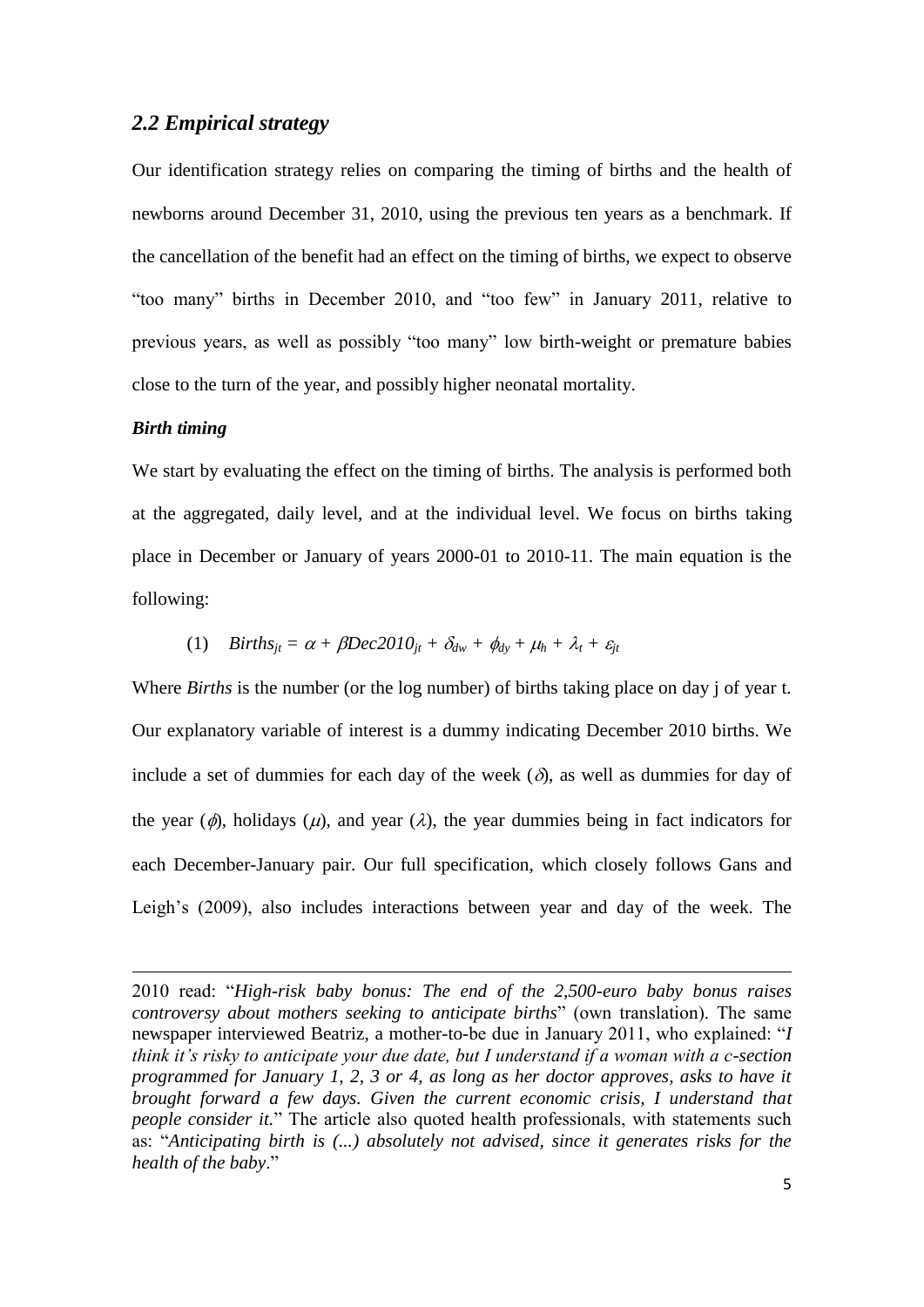### *2.2 Empirical strategy*

Our identification strategy relies on comparing the timing of births and the health of newborns around December 31, 2010, using the previous ten years as a benchmark. If the cancellation of the benefit had an effect on the timing of births, we expect to observe "too many" births in December 2010, and "too few" in January 2011, relative to previous years, as well as possibly "too many" low birth-weight or premature babies close to the turn of the year, and possibly higher neonatal mortality.

#### *Birth timing*

**.** 

We start by evaluating the effect on the timing of births. The analysis is performed both at the aggregated, daily level, and at the individual level. We focus on births taking place in December or January of years 2000-01 to 2010-11. The main equation is the following:

(1) 
$$
Births_{jt} = \alpha + \beta Dec2010_{jt} + \delta_{dw} + \phi_{dy} + \mu_h + \lambda_t + \varepsilon_{jt}
$$

Where *Births* is the number (or the log number) of births taking place on day j of year t. Our explanatory variable of interest is a dummy indicating December 2010 births. We include a set of dummies for each day of the week  $(\delta)$ , as well as dummies for day of the year ( $\phi$ ), holidays ( $\mu$ ), and year ( $\lambda$ ), the year dummies being in fact indicators for each December-January pair. Our full specification, which closely follows Gans and Leigh's (2009), also includes interactions between year and day of the week. The

<sup>2010</sup> read: "*High-risk baby bonus: The end of the 2,500-euro baby bonus raises controversy about mothers seeking to anticipate births*" (own translation). The same newspaper interviewed Beatriz, a mother-to-be due in January 2011, who explained: "*I think it's risky to anticipate your due date, but I understand if a woman with a c-section programmed for January 1, 2, 3 or 4, as long as her doctor approves, asks to have it brought forward a few days. Given the current economic crisis, I understand that people consider it.*" The article also quoted health professionals, with statements such as: "*Anticipating birth is (...) absolutely not advised, since it generates risks for the health of the baby*."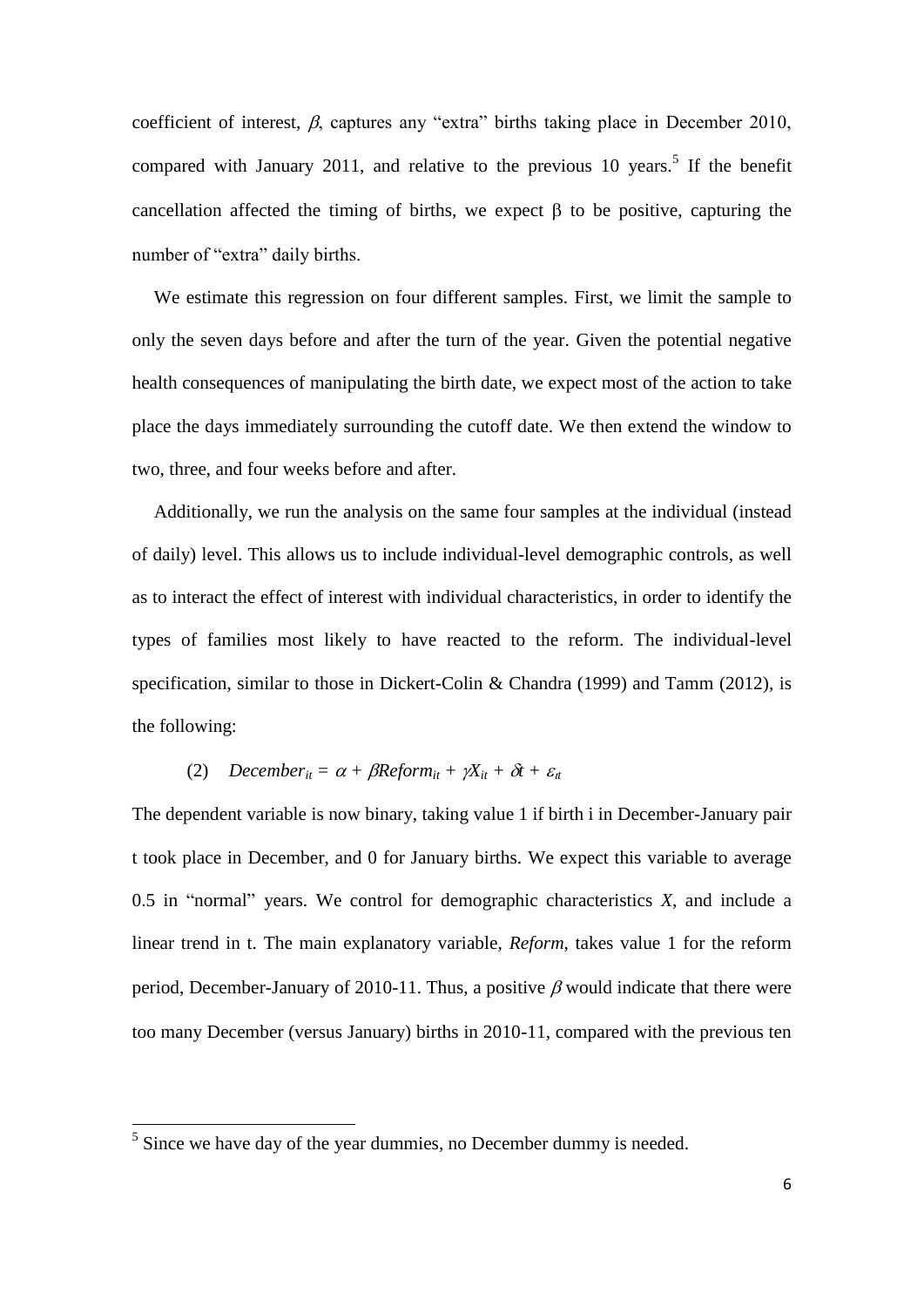coefficient of interest,  $\beta$ , captures any "extra" births taking place in December 2010, compared with January 2011, and relative to the previous 10 years.<sup>5</sup> If the benefit cancellation affected the timing of births, we expect  $\beta$  to be positive, capturing the number of "extra" daily births.

We estimate this regression on four different samples. First, we limit the sample to only the seven days before and after the turn of the year. Given the potential negative health consequences of manipulating the birth date, we expect most of the action to take place the days immediately surrounding the cutoff date. We then extend the window to two, three, and four weeks before and after.

Additionally, we run the analysis on the same four samples at the individual (instead of daily) level. This allows us to include individual-level demographic controls, as well as to interact the effect of interest with individual characteristics, in order to identify the types of families most likely to have reacted to the reform. The individual-level specification, similar to those in Dickert-Colin & Chandra (1999) and Tamm (2012), is the following:

#### (2) *December<sub>it</sub>* =  $\alpha$  +  $\beta$ Reform<sub>it</sub> +  $\gamma$ X<sub>it</sub> +  $\delta$ t +  $\varepsilon$ <sub>*tt*</sub>

The dependent variable is now binary, taking value 1 if birth i in December-January pair t took place in December, and 0 for January births. We expect this variable to average 0.5 in "normal" years. We control for demographic characteristics *X*, and include a linear trend in t. The main explanatory variable, *Reform*, takes value 1 for the reform period, December-January of 2010-11. Thus, a positive  $\beta$  would indicate that there were too many December (versus January) births in 2010-11, compared with the previous ten

<sup>&</sup>lt;sup>5</sup> Since we have day of the year dummies, no December dummy is needed.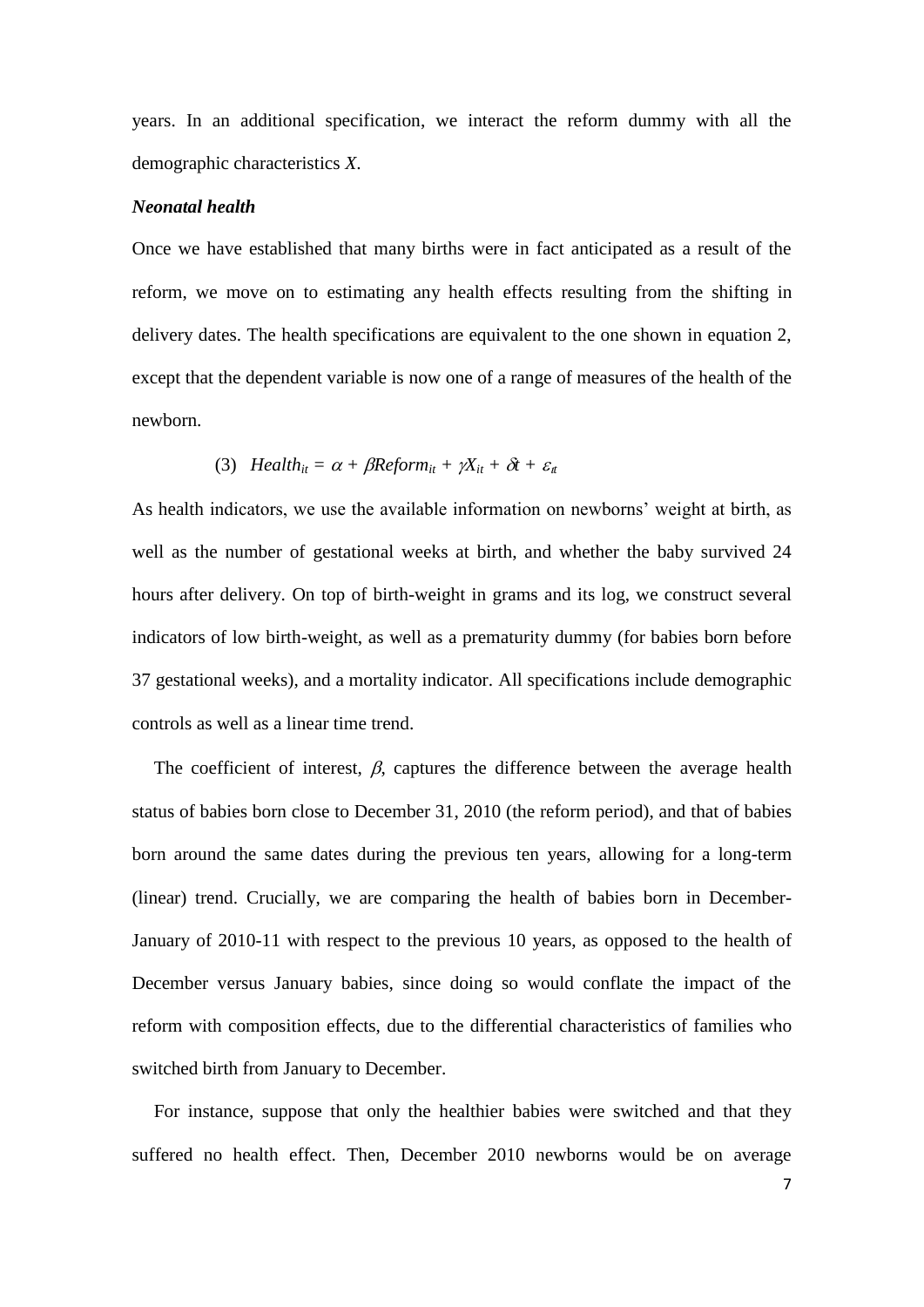years. In an additional specification, we interact the reform dummy with all the demographic characteristics *X*.

#### *Neonatal health*

Once we have established that many births were in fact anticipated as a result of the reform, we move on to estimating any health effects resulting from the shifting in delivery dates. The health specifications are equivalent to the one shown in equation 2, except that the dependent variable is now one of a range of measures of the health of the newborn.

(3) 
$$
Health_{it} = \alpha + \beta Reform_{it} + \gamma X_{it} + \delta t + \varepsilon_{it}
$$

As health indicators, we use the available information on newborns' weight at birth, as well as the number of gestational weeks at birth, and whether the baby survived 24 hours after delivery. On top of birth-weight in grams and its log, we construct several indicators of low birth-weight, as well as a prematurity dummy (for babies born before 37 gestational weeks), and a mortality indicator. All specifications include demographic controls as well as a linear time trend.

The coefficient of interest,  $\beta$ , captures the difference between the average health status of babies born close to December 31, 2010 (the reform period), and that of babies born around the same dates during the previous ten years, allowing for a long-term (linear) trend. Crucially, we are comparing the health of babies born in December-January of 2010-11 with respect to the previous 10 years, as opposed to the health of December versus January babies, since doing so would conflate the impact of the reform with composition effects, due to the differential characteristics of families who switched birth from January to December.

For instance, suppose that only the healthier babies were switched and that they suffered no health effect. Then, December 2010 newborns would be on average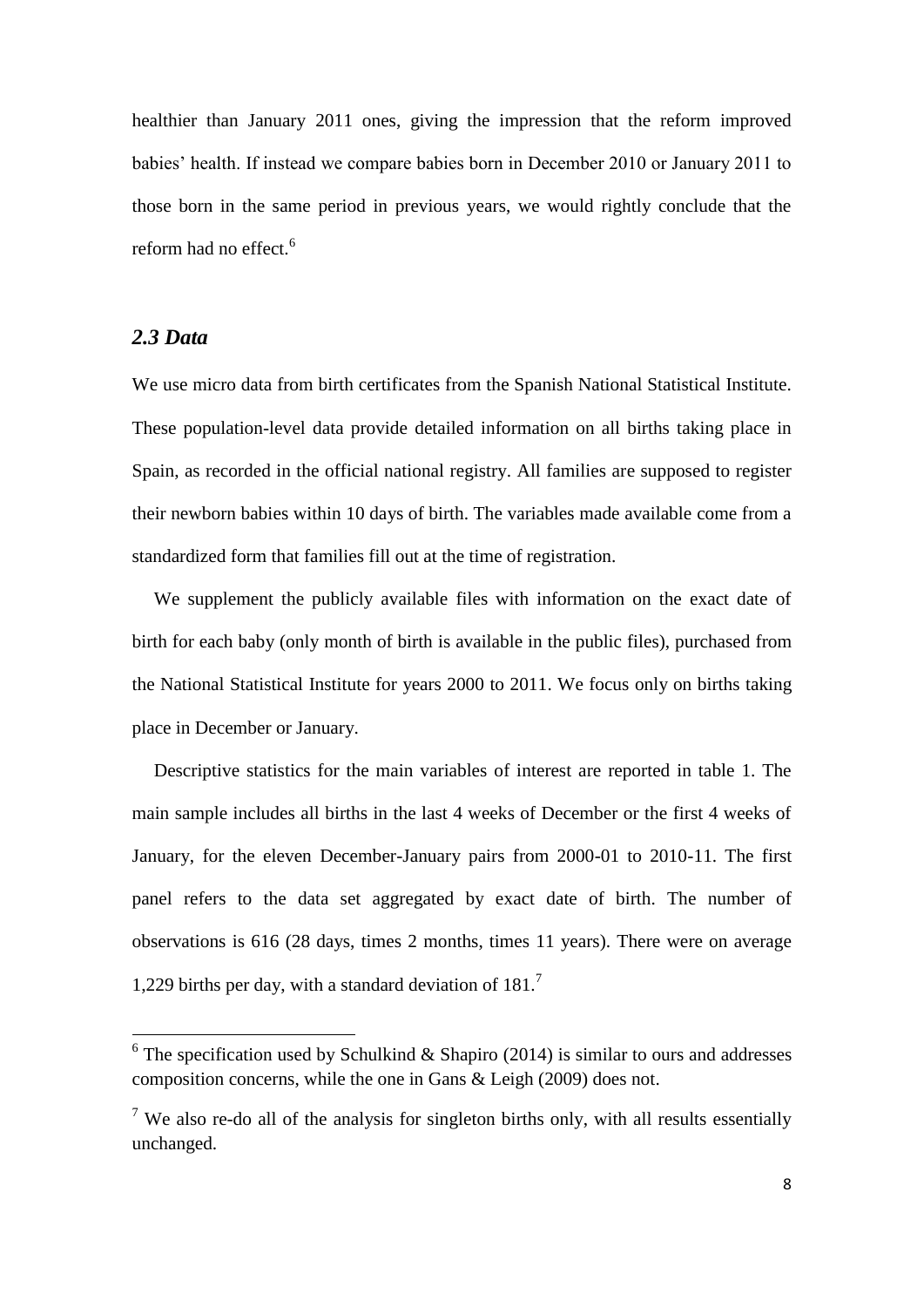healthier than January 2011 ones, giving the impression that the reform improved babies' health. If instead we compare babies born in December 2010 or January 2011 to those born in the same period in previous years, we would rightly conclude that the reform had no effect.<sup>6</sup>

### *2.3 Data*

 $\overline{a}$ 

We use micro data from birth certificates from the Spanish National Statistical Institute. These population-level data provide detailed information on all births taking place in Spain, as recorded in the official national registry. All families are supposed to register their newborn babies within 10 days of birth. The variables made available come from a standardized form that families fill out at the time of registration.

We supplement the publicly available files with information on the exact date of birth for each baby (only month of birth is available in the public files), purchased from the National Statistical Institute for years 2000 to 2011. We focus only on births taking place in December or January.

Descriptive statistics for the main variables of interest are reported in table 1. The main sample includes all births in the last 4 weeks of December or the first 4 weeks of January, for the eleven December-January pairs from 2000-01 to 2010-11. The first panel refers to the data set aggregated by exact date of birth. The number of observations is 616 (28 days, times 2 months, times 11 years). There were on average 1,229 births per day, with a standard deviation of  $181<sup>7</sup>$ 

 $6$  The specification used by Schulkind & Shapiro (2014) is similar to ours and addresses composition concerns, while the one in Gans & Leigh (2009) does not.

<sup>&</sup>lt;sup>7</sup> We also re-do all of the analysis for singleton births only, with all results essentially unchanged.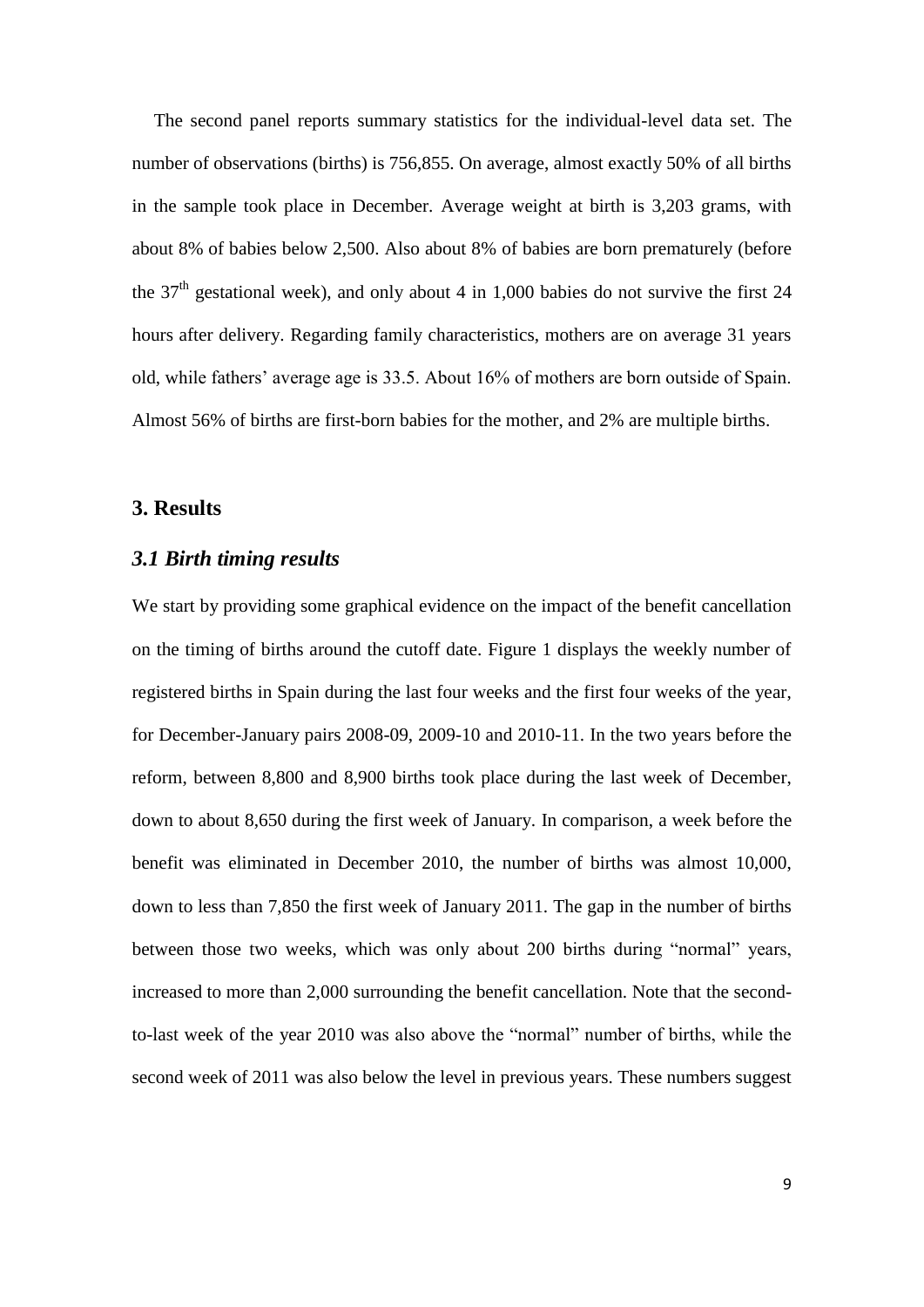The second panel reports summary statistics for the individual-level data set. The number of observations (births) is 756,855. On average, almost exactly 50% of all births in the sample took place in December. Average weight at birth is 3,203 grams, with about 8% of babies below 2,500. Also about 8% of babies are born prematurely (before the  $37<sup>th</sup>$  gestational week), and only about 4 in 1,000 babies do not survive the first 24 hours after delivery. Regarding family characteristics, mothers are on average 31 years old, while fathers' average age is 33.5. About 16% of mothers are born outside of Spain. Almost 56% of births are first-born babies for the mother, and 2% are multiple births.

### **3. Results**

#### *3.1 Birth timing results*

We start by providing some graphical evidence on the impact of the benefit cancellation on the timing of births around the cutoff date. Figure 1 displays the weekly number of registered births in Spain during the last four weeks and the first four weeks of the year, for December-January pairs 2008-09, 2009-10 and 2010-11. In the two years before the reform, between 8,800 and 8,900 births took place during the last week of December, down to about 8,650 during the first week of January. In comparison, a week before the benefit was eliminated in December 2010, the number of births was almost 10,000, down to less than 7,850 the first week of January 2011. The gap in the number of births between those two weeks, which was only about 200 births during "normal" years, increased to more than 2,000 surrounding the benefit cancellation. Note that the secondto-last week of the year 2010 was also above the "normal" number of births, while the second week of 2011 was also below the level in previous years. These numbers suggest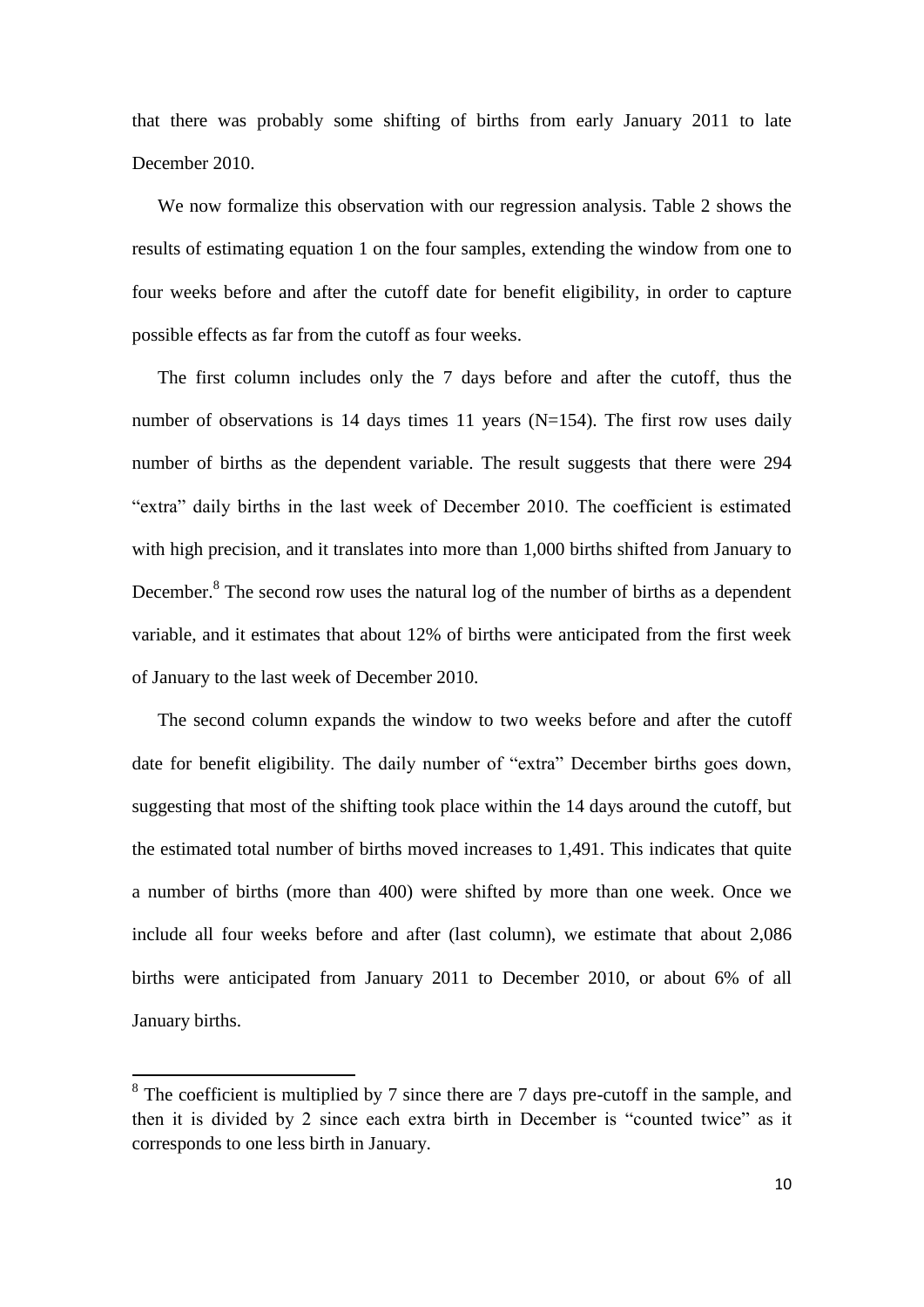that there was probably some shifting of births from early January 2011 to late December 2010.

We now formalize this observation with our regression analysis. Table 2 shows the results of estimating equation 1 on the four samples, extending the window from one to four weeks before and after the cutoff date for benefit eligibility, in order to capture possible effects as far from the cutoff as four weeks.

The first column includes only the 7 days before and after the cutoff, thus the number of observations is 14 days times 11 years  $(N=154)$ . The first row uses daily number of births as the dependent variable. The result suggests that there were 294 "extra" daily births in the last week of December 2010. The coefficient is estimated with high precision, and it translates into more than 1,000 births shifted from January to December.<sup>8</sup> The second row uses the natural log of the number of births as a dependent variable, and it estimates that about 12% of births were anticipated from the first week of January to the last week of December 2010.

The second column expands the window to two weeks before and after the cutoff date for benefit eligibility. The daily number of "extra" December births goes down, suggesting that most of the shifting took place within the 14 days around the cutoff, but the estimated total number of births moved increases to 1,491. This indicates that quite a number of births (more than 400) were shifted by more than one week. Once we include all four weeks before and after (last column), we estimate that about 2,086 births were anticipated from January 2011 to December 2010, or about 6% of all January births.

<sup>&</sup>lt;sup>8</sup> The coefficient is multiplied by 7 since there are 7 days pre-cutoff in the sample, and then it is divided by 2 since each extra birth in December is "counted twice" as it corresponds to one less birth in January.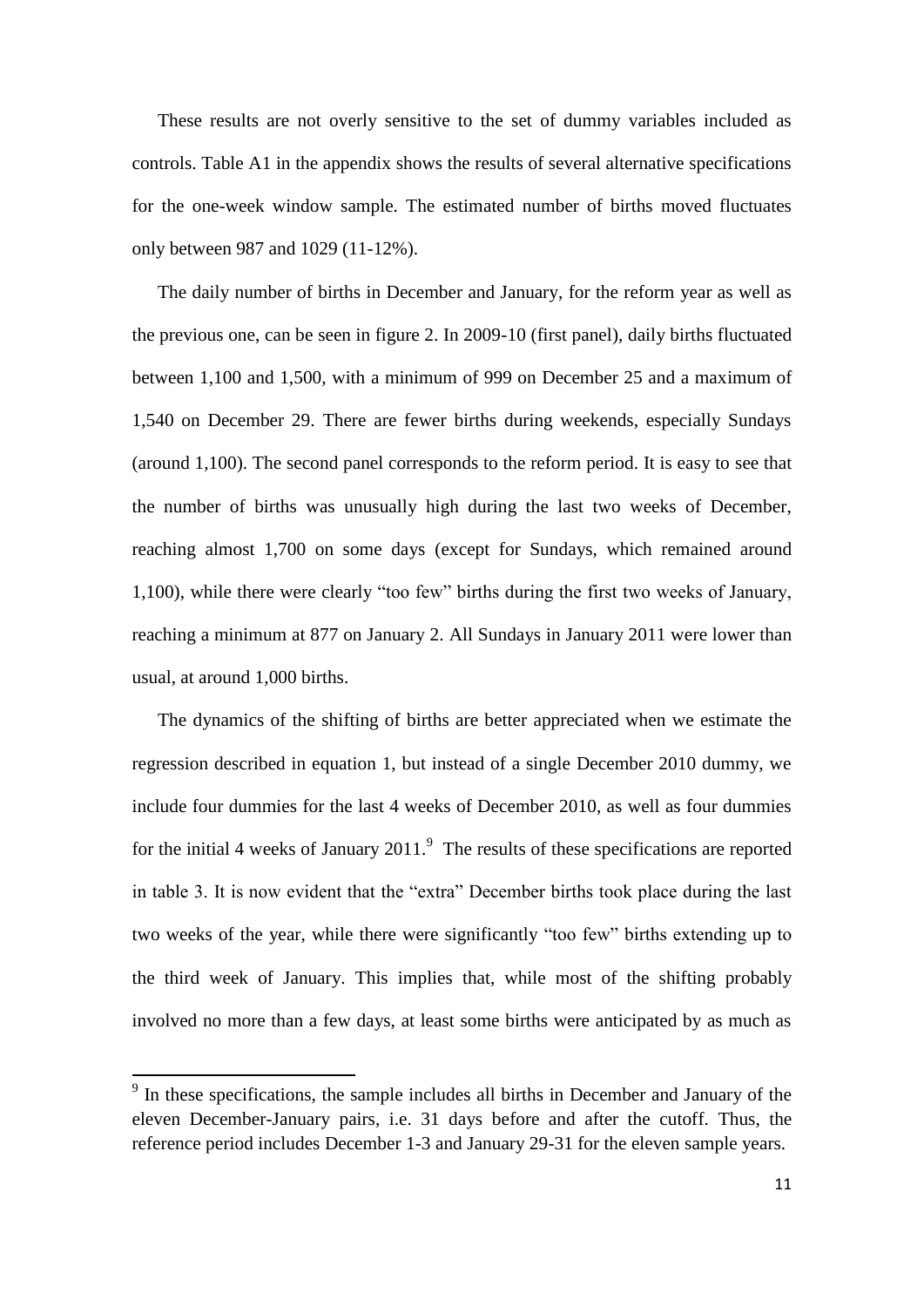These results are not overly sensitive to the set of dummy variables included as controls. Table A1 in the appendix shows the results of several alternative specifications for the one-week window sample. The estimated number of births moved fluctuates only between 987 and 1029 (11-12%).

The daily number of births in December and January, for the reform year as well as the previous one, can be seen in figure 2. In 2009-10 (first panel), daily births fluctuated between 1,100 and 1,500, with a minimum of 999 on December 25 and a maximum of 1,540 on December 29. There are fewer births during weekends, especially Sundays (around 1,100). The second panel corresponds to the reform period. It is easy to see that the number of births was unusually high during the last two weeks of December, reaching almost 1,700 on some days (except for Sundays, which remained around 1,100), while there were clearly "too few" births during the first two weeks of January, reaching a minimum at 877 on January 2. All Sundays in January 2011 were lower than usual, at around 1,000 births.

The dynamics of the shifting of births are better appreciated when we estimate the regression described in equation 1, but instead of a single December 2010 dummy, we include four dummies for the last 4 weeks of December 2010, as well as four dummies for the initial 4 weeks of January  $2011$ .<sup>9</sup> The results of these specifications are reported in table 3. It is now evident that the "extra" December births took place during the last two weeks of the year, while there were significantly "too few" births extending up to the third week of January. This implies that, while most of the shifting probably involved no more than a few days, at least some births were anticipated by as much as

<sup>&</sup>lt;sup>9</sup> In these specifications, the sample includes all births in December and January of the eleven December-January pairs, i.e. 31 days before and after the cutoff. Thus, the reference period includes December 1-3 and January 29-31 for the eleven sample years.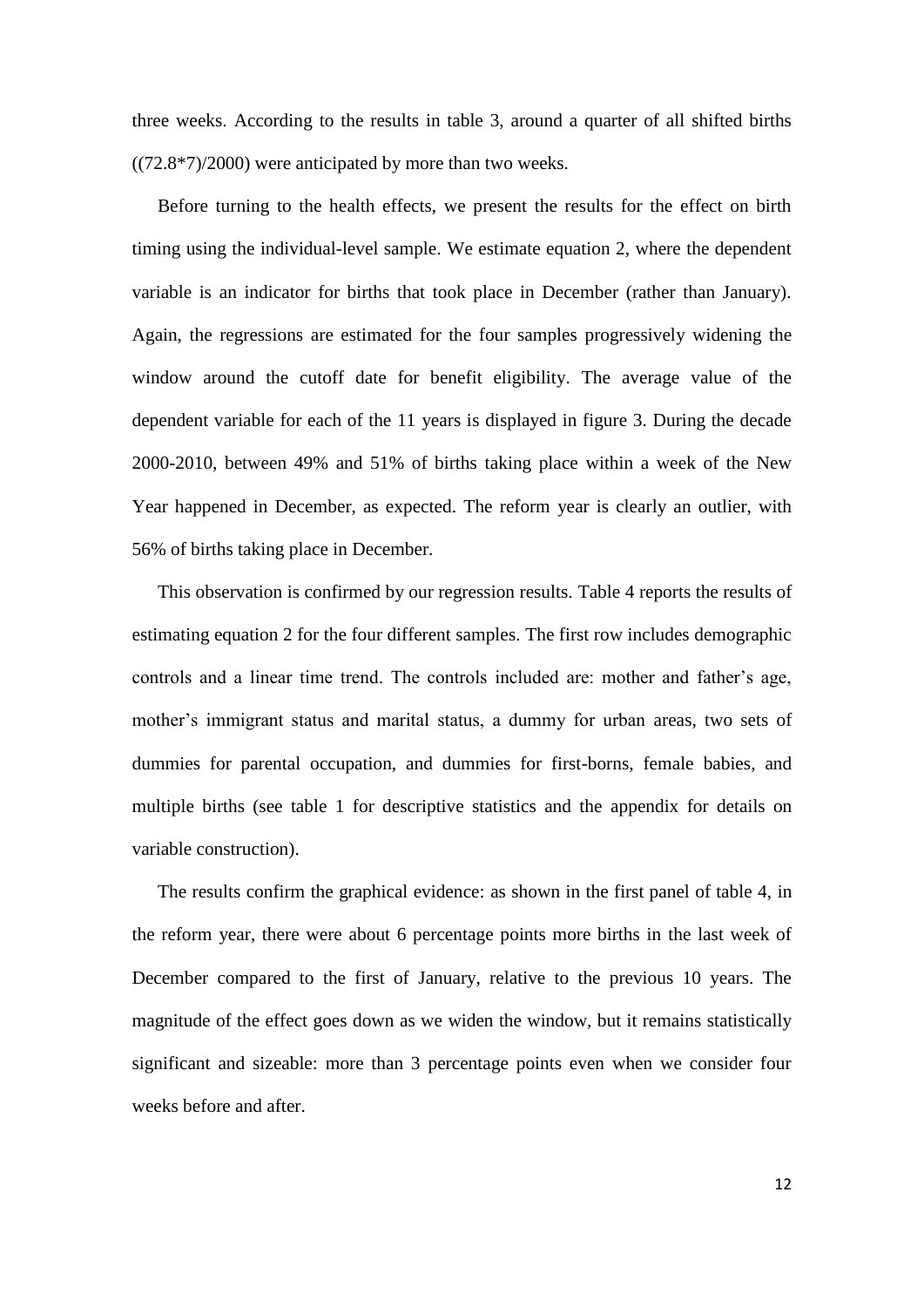three weeks. According to the results in table 3, around a quarter of all shifted births  $((72.8*7)/2000)$  were anticipated by more than two weeks.

Before turning to the health effects, we present the results for the effect on birth timing using the individual-level sample. We estimate equation 2, where the dependent variable is an indicator for births that took place in December (rather than January). Again, the regressions are estimated for the four samples progressively widening the window around the cutoff date for benefit eligibility. The average value of the dependent variable for each of the 11 years is displayed in figure 3. During the decade 2000-2010, between 49% and 51% of births taking place within a week of the New Year happened in December, as expected. The reform year is clearly an outlier, with 56% of births taking place in December.

This observation is confirmed by our regression results. Table 4 reports the results of estimating equation 2 for the four different samples. The first row includes demographic controls and a linear time trend. The controls included are: mother and father's age, mother's immigrant status and marital status, a dummy for urban areas, two sets of dummies for parental occupation, and dummies for first-borns, female babies, and multiple births (see table 1 for descriptive statistics and the appendix for details on variable construction).

The results confirm the graphical evidence: as shown in the first panel of table 4, in the reform year, there were about 6 percentage points more births in the last week of December compared to the first of January, relative to the previous 10 years. The magnitude of the effect goes down as we widen the window, but it remains statistically significant and sizeable: more than 3 percentage points even when we consider four weeks before and after.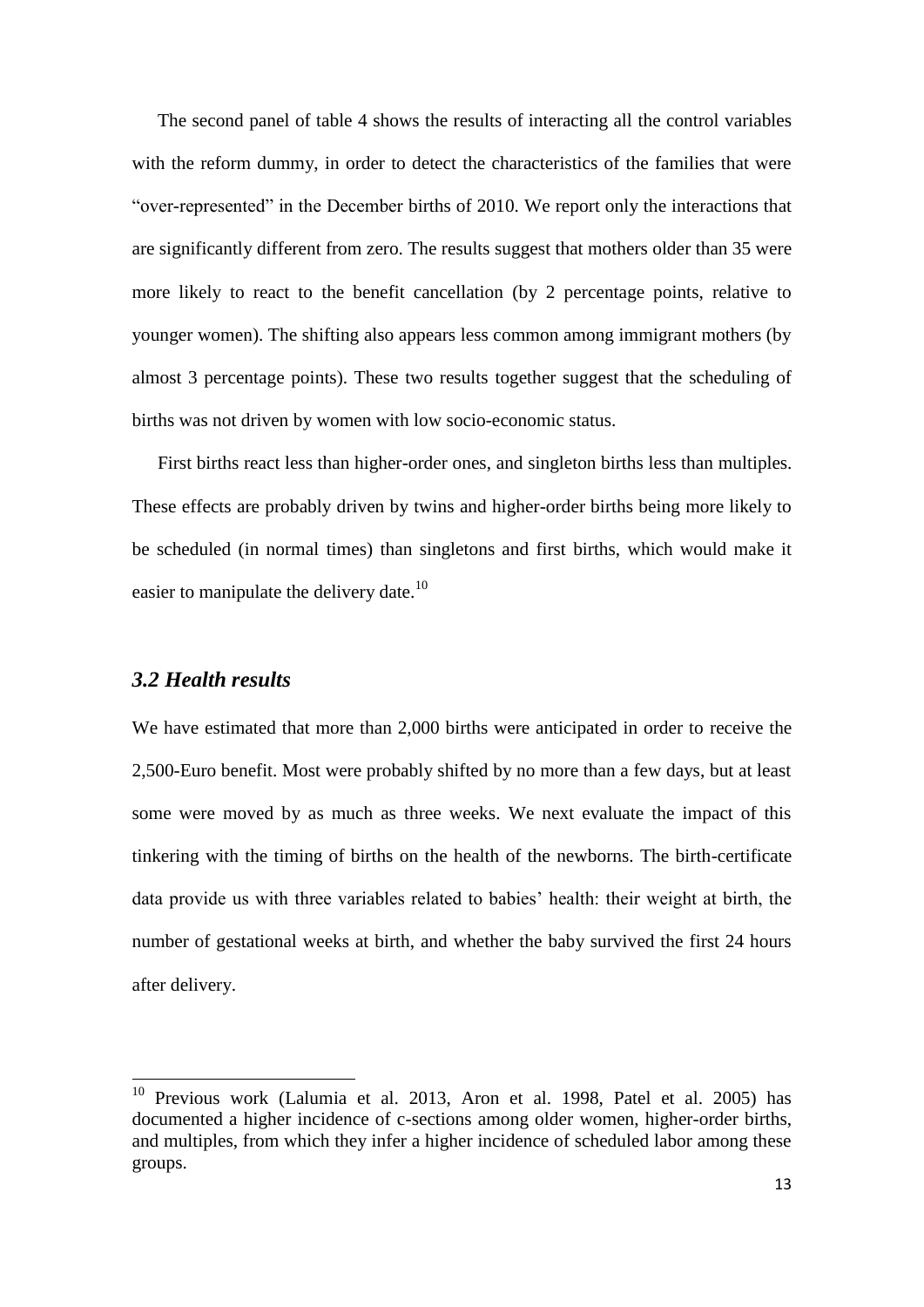The second panel of table 4 shows the results of interacting all the control variables with the reform dummy, in order to detect the characteristics of the families that were "over-represented" in the December births of 2010. We report only the interactions that are significantly different from zero. The results suggest that mothers older than 35 were more likely to react to the benefit cancellation (by 2 percentage points, relative to younger women). The shifting also appears less common among immigrant mothers (by almost 3 percentage points). These two results together suggest that the scheduling of births was not driven by women with low socio-economic status.

First births react less than higher-order ones, and singleton births less than multiples. These effects are probably driven by twins and higher-order births being more likely to be scheduled (in normal times) than singletons and first births, which would make it easier to manipulate the delivery date.<sup>10</sup>

#### *3.2 Health results*

**.** 

We have estimated that more than 2,000 births were anticipated in order to receive the 2,500-Euro benefit. Most were probably shifted by no more than a few days, but at least some were moved by as much as three weeks. We next evaluate the impact of this tinkering with the timing of births on the health of the newborns. The birth-certificate data provide us with three variables related to babies' health: their weight at birth, the number of gestational weeks at birth, and whether the baby survived the first 24 hours after delivery.

 $10$  Previous work (Lalumia et al. 2013, Aron et al. 1998, Patel et al. 2005) has documented a higher incidence of c-sections among older women, higher-order births, and multiples, from which they infer a higher incidence of scheduled labor among these groups.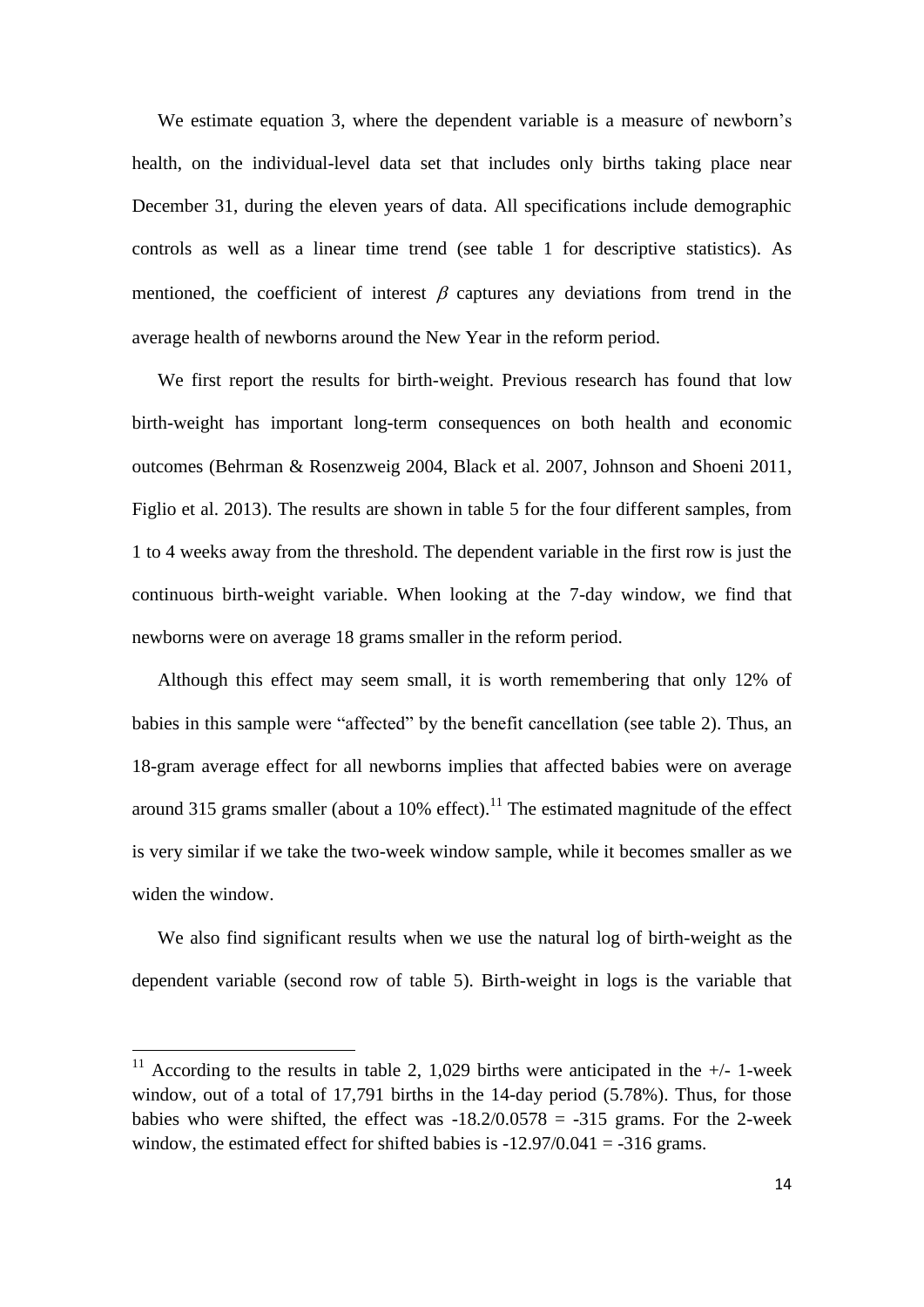We estimate equation 3, where the dependent variable is a measure of newborn's health, on the individual-level data set that includes only births taking place near December 31, during the eleven years of data. All specifications include demographic controls as well as a linear time trend (see table 1 for descriptive statistics). As mentioned, the coefficient of interest  $\beta$  captures any deviations from trend in the average health of newborns around the New Year in the reform period.

We first report the results for birth-weight. Previous research has found that low birth-weight has important long-term consequences on both health and economic outcomes (Behrman & Rosenzweig 2004, Black et al. 2007, Johnson and Shoeni 2011, Figlio et al. 2013). The results are shown in table 5 for the four different samples, from 1 to 4 weeks away from the threshold. The dependent variable in the first row is just the continuous birth-weight variable. When looking at the 7-day window, we find that newborns were on average 18 grams smaller in the reform period.

Although this effect may seem small, it is worth remembering that only 12% of babies in this sample were "affected" by the benefit cancellation (see table 2). Thus, an 18-gram average effect for all newborns implies that affected babies were on average around 315 grams smaller (about a 10% effect).<sup>11</sup> The estimated magnitude of the effect is very similar if we take the two-week window sample, while it becomes smaller as we widen the window.

We also find significant results when we use the natural log of birth-weight as the dependent variable (second row of table 5). Birth-weight in logs is the variable that

1

<sup>&</sup>lt;sup>11</sup> According to the results in table 2, 1,029 births were anticipated in the  $+/-$  1-week window, out of a total of 17,791 births in the 14-day period (5.78%). Thus, for those babies who were shifted, the effect was  $-18.2/0.0578 = -315$  grams. For the 2-week window, the estimated effect for shifted babies is  $-12.97/0.041 = -316$  grams.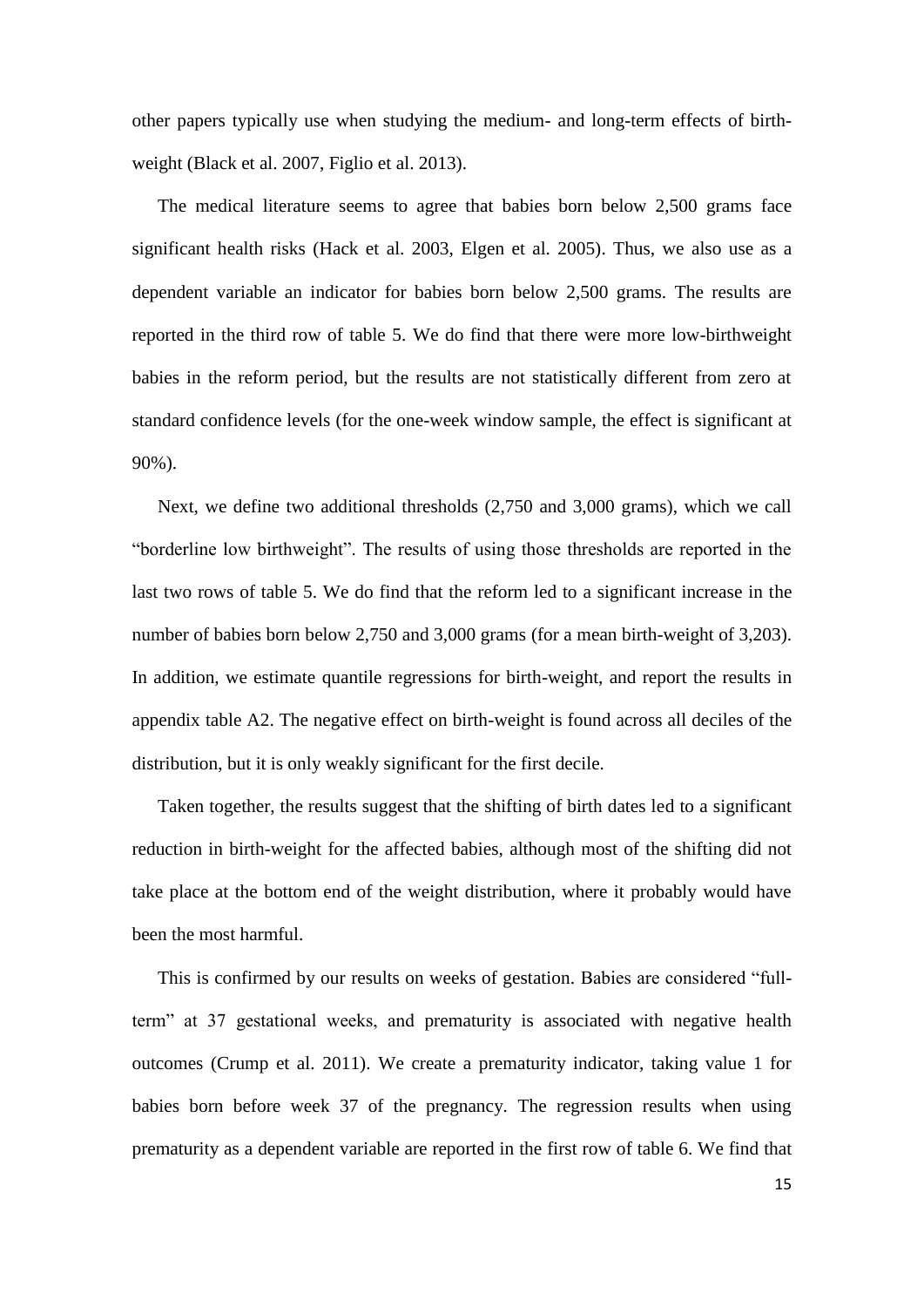other papers typically use when studying the medium- and long-term effects of birthweight (Black et al. 2007, Figlio et al. 2013).

The medical literature seems to agree that babies born below 2,500 grams face significant health risks (Hack et al. 2003, Elgen et al. 2005). Thus, we also use as a dependent variable an indicator for babies born below 2,500 grams. The results are reported in the third row of table 5. We do find that there were more low-birthweight babies in the reform period, but the results are not statistically different from zero at standard confidence levels (for the one-week window sample, the effect is significant at 90%).

Next, we define two additional thresholds (2,750 and 3,000 grams), which we call "borderline low birthweight". The results of using those thresholds are reported in the last two rows of table 5. We do find that the reform led to a significant increase in the number of babies born below 2,750 and 3,000 grams (for a mean birth-weight of 3,203). In addition, we estimate quantile regressions for birth-weight, and report the results in appendix table A2. The negative effect on birth-weight is found across all deciles of the distribution, but it is only weakly significant for the first decile.

Taken together, the results suggest that the shifting of birth dates led to a significant reduction in birth-weight for the affected babies, although most of the shifting did not take place at the bottom end of the weight distribution, where it probably would have been the most harmful.

This is confirmed by our results on weeks of gestation. Babies are considered "fullterm" at 37 gestational weeks, and prematurity is associated with negative health outcomes (Crump et al. 2011). We create a prematurity indicator, taking value 1 for babies born before week 37 of the pregnancy. The regression results when using prematurity as a dependent variable are reported in the first row of table 6. We find that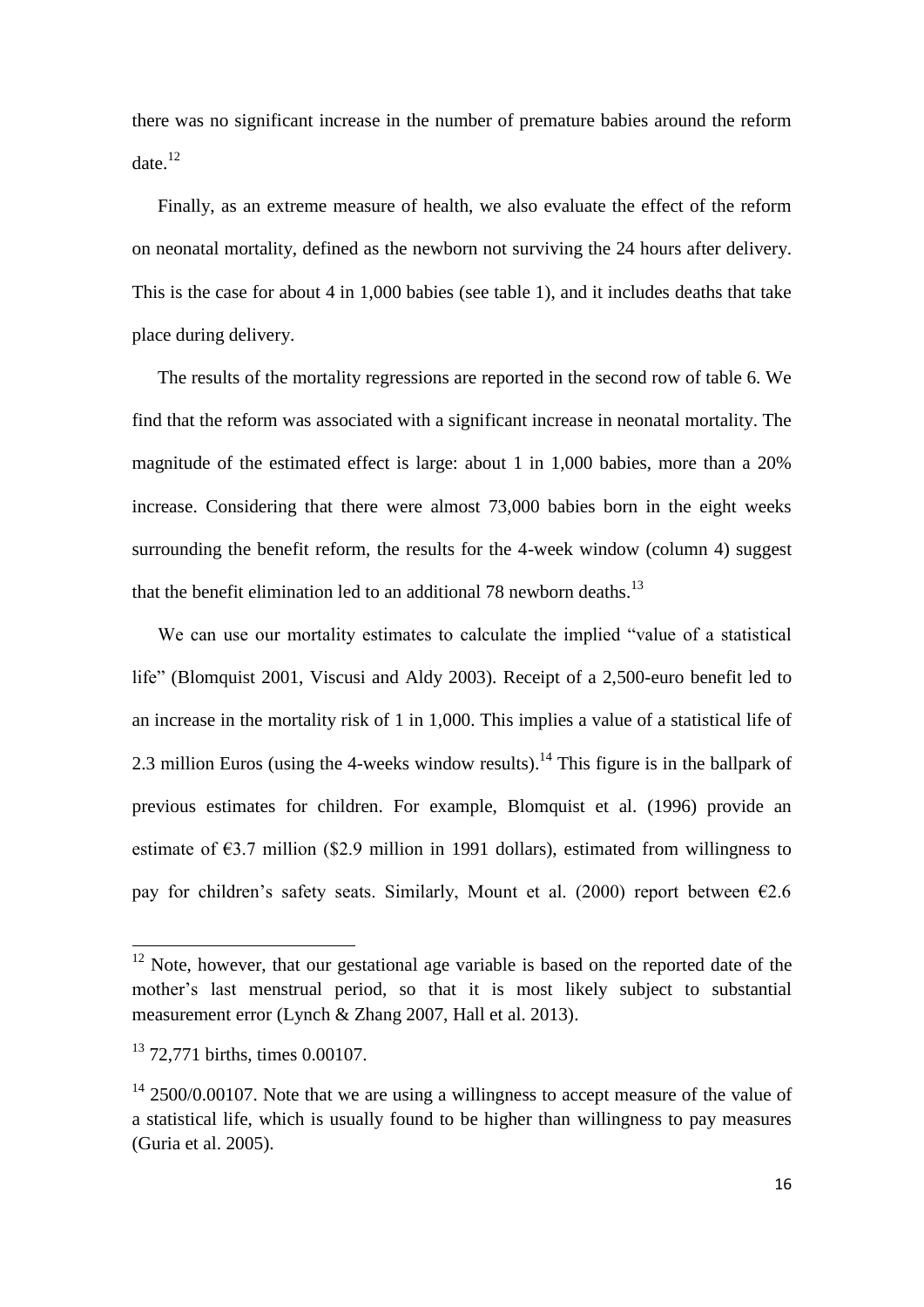there was no significant increase in the number of premature babies around the reform date. $12$ 

Finally, as an extreme measure of health, we also evaluate the effect of the reform on neonatal mortality, defined as the newborn not surviving the 24 hours after delivery. This is the case for about 4 in 1,000 babies (see table 1), and it includes deaths that take place during delivery.

The results of the mortality regressions are reported in the second row of table 6. We find that the reform was associated with a significant increase in neonatal mortality. The magnitude of the estimated effect is large: about 1 in 1,000 babies, more than a 20% increase. Considering that there were almost 73,000 babies born in the eight weeks surrounding the benefit reform, the results for the 4-week window (column 4) suggest that the benefit elimination led to an additional 78 newborn deaths.<sup>13</sup>

We can use our mortality estimates to calculate the implied "value of a statistical life" (Blomquist 2001, Viscusi and Aldy 2003). Receipt of a 2,500-euro benefit led to an increase in the mortality risk of 1 in 1,000. This implies a value of a statistical life of 2.3 million Euros (using the 4-weeks window results).<sup>14</sup> This figure is in the ballpark of previous estimates for children. For example, Blomquist et al. (1996) provide an estimate of  $\epsilon$ 3.7 million (\$2.9 million in 1991 dollars), estimated from willingness to pay for children's safety seats. Similarly, Mount et al. (2000) report between  $\epsilon$ 2.6

**.** 

 $12$  Note, however, that our gestational age variable is based on the reported date of the mother's last menstrual period, so that it is most likely subject to substantial measurement error (Lynch & Zhang 2007, Hall et al. 2013).

<sup>&</sup>lt;sup>13</sup> 72,771 births, times 0.00107.

 $14$  2500/0.00107. Note that we are using a willingness to accept measure of the value of a statistical life, which is usually found to be higher than willingness to pay measures (Guria et al. 2005).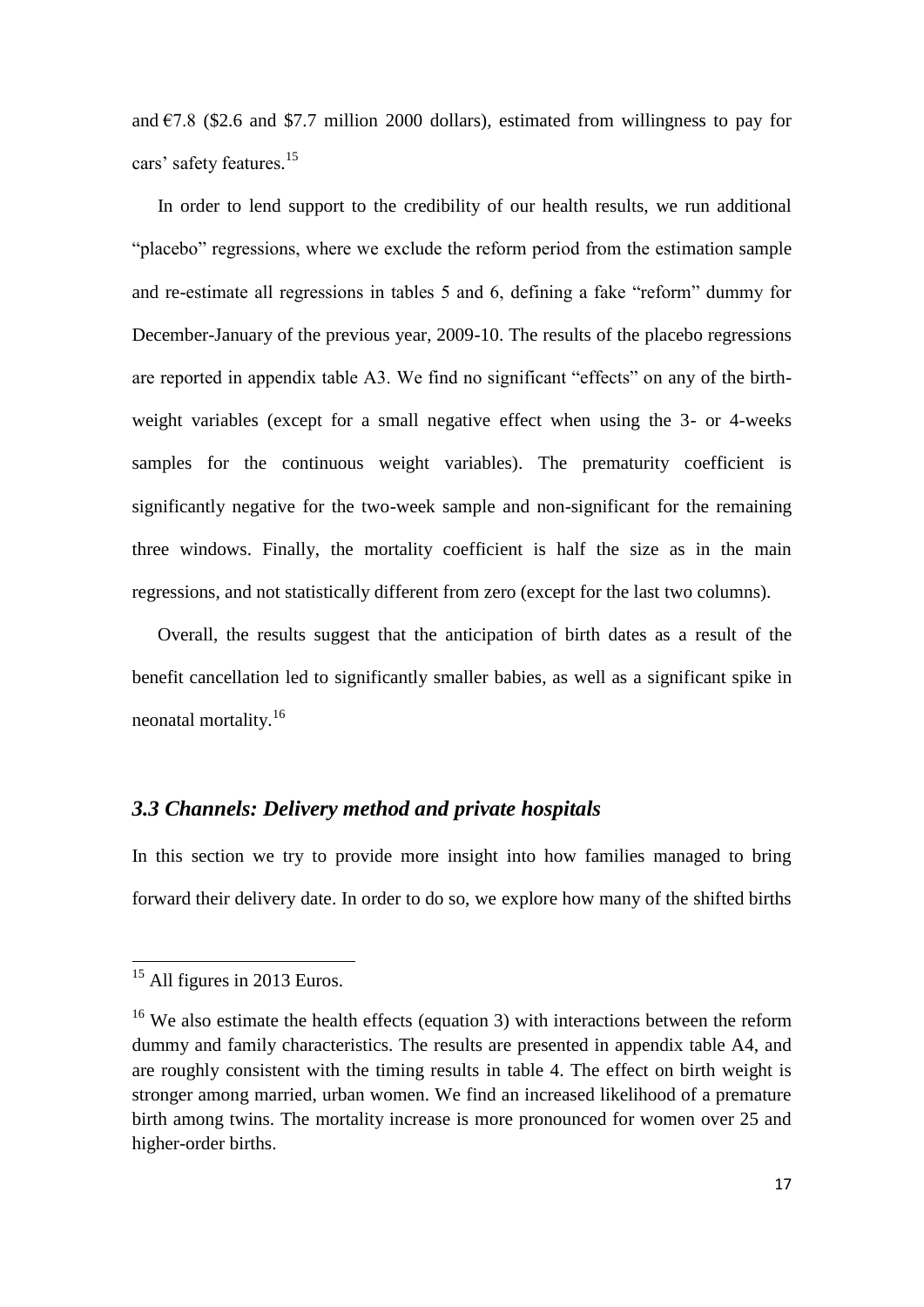and  $\epsilon$ 7.8 (\$2.6 and \$7.7 million 2000 dollars), estimated from willingness to pay for cars' safety features. 15

In order to lend support to the credibility of our health results, we run additional "placebo" regressions, where we exclude the reform period from the estimation sample and re-estimate all regressions in tables 5 and 6, defining a fake "reform" dummy for December-January of the previous year, 2009-10. The results of the placebo regressions are reported in appendix table A3. We find no significant "effects" on any of the birthweight variables (except for a small negative effect when using the 3- or 4-weeks samples for the continuous weight variables). The prematurity coefficient is significantly negative for the two-week sample and non-significant for the remaining three windows. Finally, the mortality coefficient is half the size as in the main regressions, and not statistically different from zero (except for the last two columns).

Overall, the results suggest that the anticipation of birth dates as a result of the benefit cancellation led to significantly smaller babies, as well as a significant spike in neonatal mortality.<sup>16</sup>

### *3.3 Channels: Delivery method and private hospitals*

In this section we try to provide more insight into how families managed to bring forward their delivery date. In order to do so, we explore how many of the shifted births

**.** 

<sup>&</sup>lt;sup>15</sup> All figures in 2013 Euros.

<sup>&</sup>lt;sup>16</sup> We also estimate the health effects (equation 3) with interactions between the reform dummy and family characteristics. The results are presented in appendix table A4, and are roughly consistent with the timing results in table 4. The effect on birth weight is stronger among married, urban women. We find an increased likelihood of a premature birth among twins. The mortality increase is more pronounced for women over 25 and higher-order births.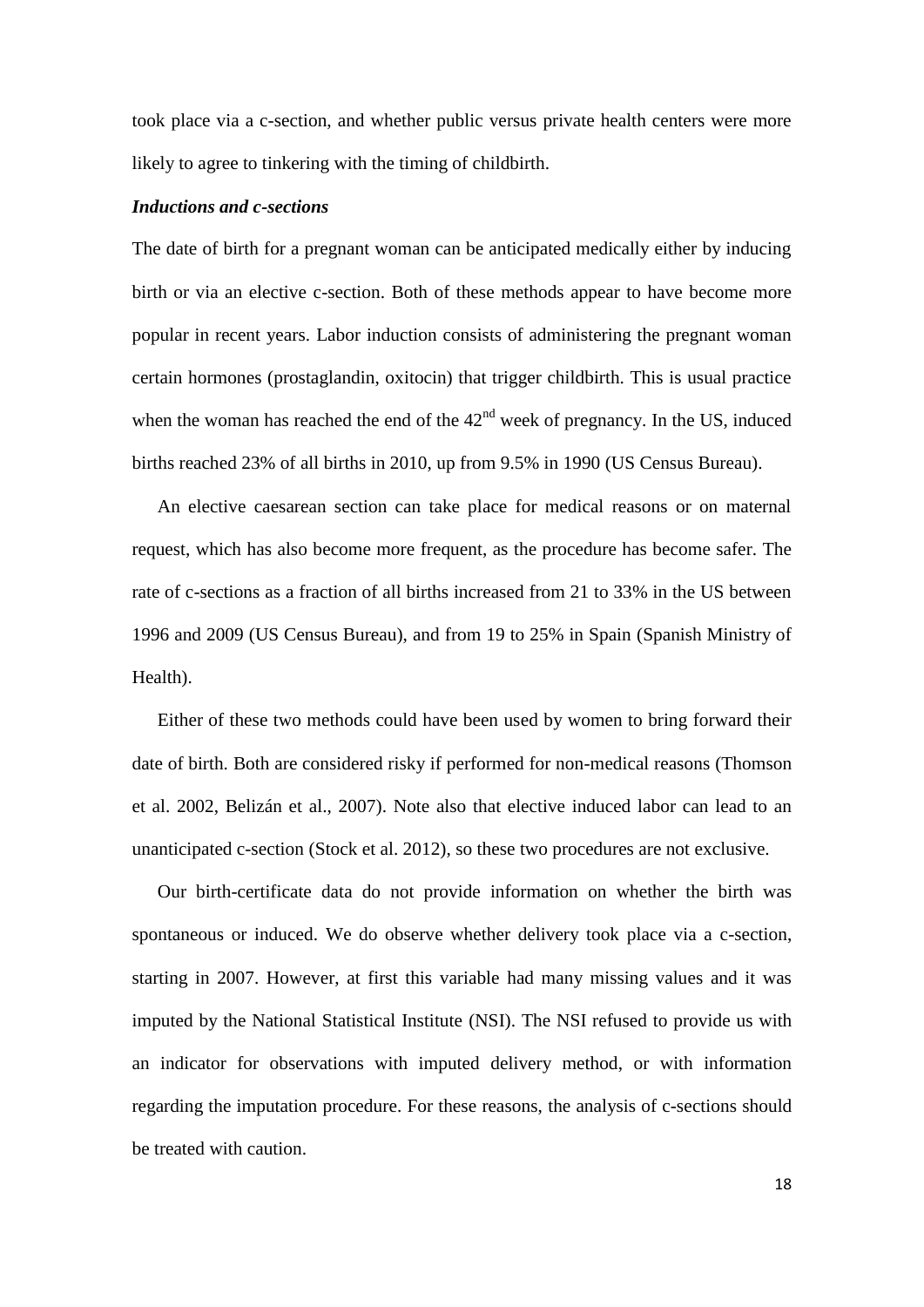took place via a c-section, and whether public versus private health centers were more likely to agree to tinkering with the timing of childbirth.

#### *Inductions and c-sections*

The date of birth for a pregnant woman can be anticipated medically either by inducing birth or via an elective c-section. Both of these methods appear to have become more popular in recent years. Labor induction consists of administering the pregnant woman certain hormones (prostaglandin, oxitocin) that trigger childbirth. This is usual practice when the woman has reached the end of the  $42<sup>nd</sup>$  week of pregnancy. In the US, induced births reached 23% of all births in 2010, up from 9.5% in 1990 (US Census Bureau).

An elective caesarean section can take place for medical reasons or on maternal request, which has also become more frequent, as the procedure has become safer. The rate of c-sections as a fraction of all births increased from 21 to 33% in the US between 1996 and 2009 (US Census Bureau), and from 19 to 25% in Spain (Spanish Ministry of Health).

Either of these two methods could have been used by women to bring forward their date of birth. Both are considered risky if performed for non-medical reasons (Thomson et al. 2002, Belizán et al., 2007). Note also that elective induced labor can lead to an unanticipated c-section (Stock et al. 2012), so these two procedures are not exclusive.

Our birth-certificate data do not provide information on whether the birth was spontaneous or induced. We do observe whether delivery took place via a c-section, starting in 2007. However, at first this variable had many missing values and it was imputed by the National Statistical Institute (NSI). The NSI refused to provide us with an indicator for observations with imputed delivery method, or with information regarding the imputation procedure. For these reasons, the analysis of c-sections should be treated with caution.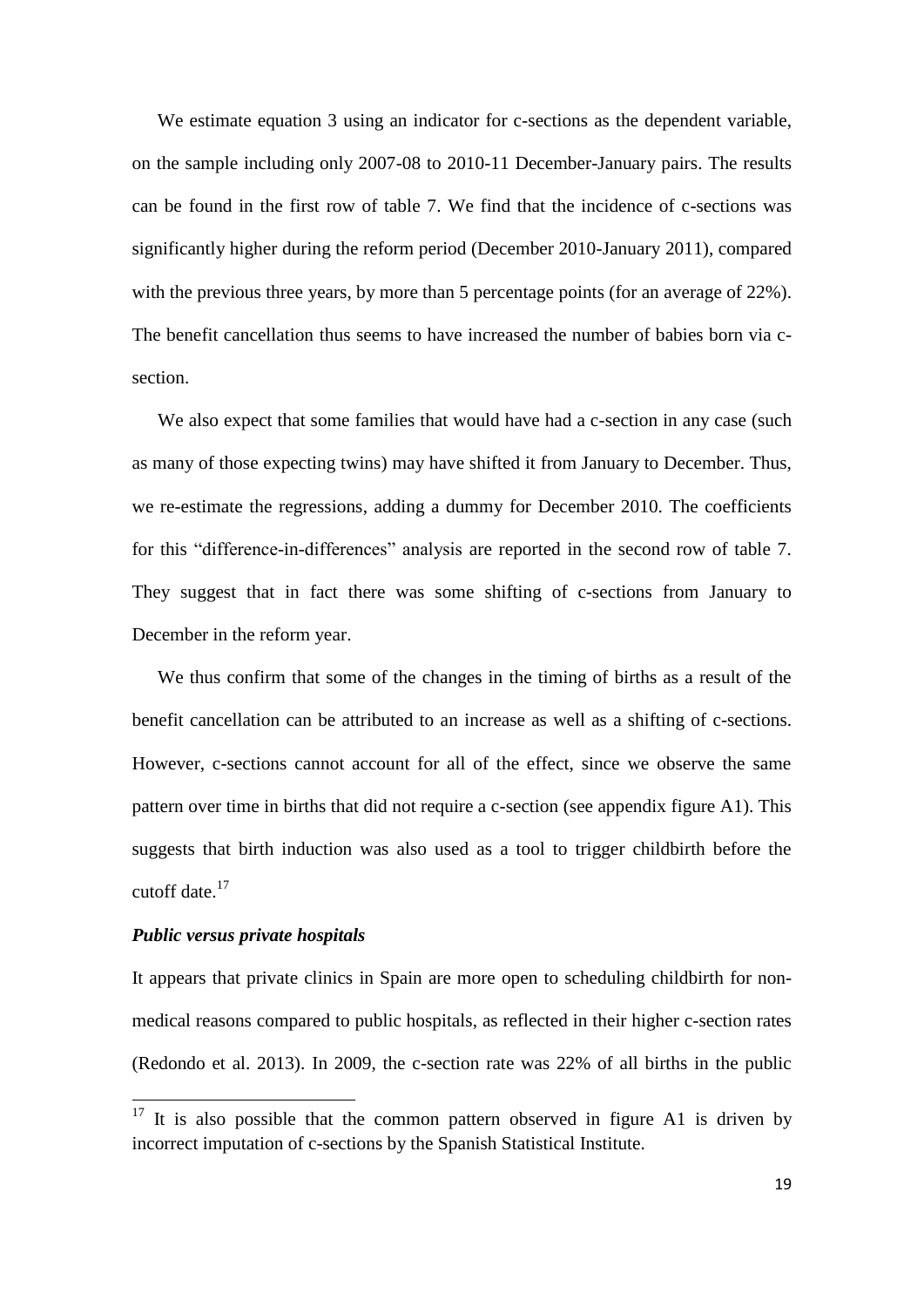We estimate equation 3 using an indicator for c-sections as the dependent variable, on the sample including only 2007-08 to 2010-11 December-January pairs. The results can be found in the first row of table 7. We find that the incidence of c-sections was significantly higher during the reform period (December 2010-January 2011), compared with the previous three years, by more than 5 percentage points (for an average of 22%). The benefit cancellation thus seems to have increased the number of babies born via csection.

We also expect that some families that would have had a c-section in any case (such as many of those expecting twins) may have shifted it from January to December. Thus, we re-estimate the regressions, adding a dummy for December 2010. The coefficients for this "difference-in-differences" analysis are reported in the second row of table 7. They suggest that in fact there was some shifting of c-sections from January to December in the reform year.

We thus confirm that some of the changes in the timing of births as a result of the benefit cancellation can be attributed to an increase as well as a shifting of c-sections. However, c-sections cannot account for all of the effect, since we observe the same pattern over time in births that did not require a c-section (see appendix figure A1). This suggests that birth induction was also used as a tool to trigger childbirth before the cutoff date.<sup>17</sup>

#### *Public versus private hospitals*

**.** 

It appears that private clinics in Spain are more open to scheduling childbirth for nonmedical reasons compared to public hospitals, as reflected in their higher c-section rates (Redondo et al. 2013). In 2009, the c-section rate was 22% of all births in the public

 $17$  It is also possible that the common pattern observed in figure A1 is driven by incorrect imputation of c-sections by the Spanish Statistical Institute.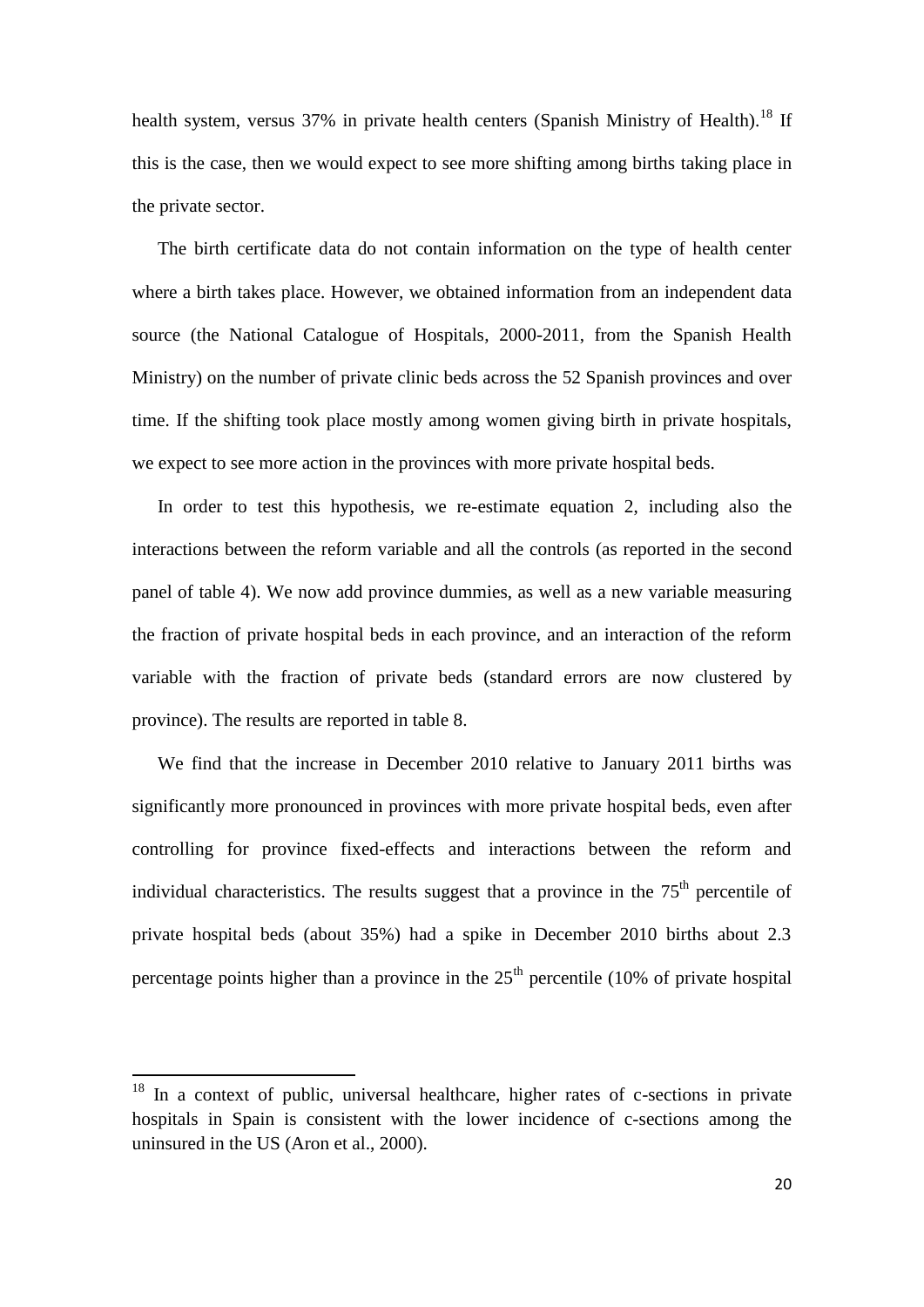health system, versus 37% in private health centers (Spanish Ministry of Health).<sup>18</sup> If this is the case, then we would expect to see more shifting among births taking place in the private sector.

The birth certificate data do not contain information on the type of health center where a birth takes place. However, we obtained information from an independent data source (the National Catalogue of Hospitals, 2000-2011, from the Spanish Health Ministry) on the number of private clinic beds across the 52 Spanish provinces and over time. If the shifting took place mostly among women giving birth in private hospitals, we expect to see more action in the provinces with more private hospital beds.

In order to test this hypothesis, we re-estimate equation 2, including also the interactions between the reform variable and all the controls (as reported in the second panel of table 4). We now add province dummies, as well as a new variable measuring the fraction of private hospital beds in each province, and an interaction of the reform variable with the fraction of private beds (standard errors are now clustered by province). The results are reported in table 8.

We find that the increase in December 2010 relative to January 2011 births was significantly more pronounced in provinces with more private hospital beds, even after controlling for province fixed-effects and interactions between the reform and individual characteristics. The results suggest that a province in the  $75<sup>th</sup>$  percentile of private hospital beds (about 35%) had a spike in December 2010 births about 2.3 percentage points higher than a province in the  $25<sup>th</sup>$  percentile (10% of private hospital

**.** 

 $18$  In a context of public, universal healthcare, higher rates of c-sections in private hospitals in Spain is consistent with the lower incidence of c-sections among the uninsured in the US (Aron et al., 2000).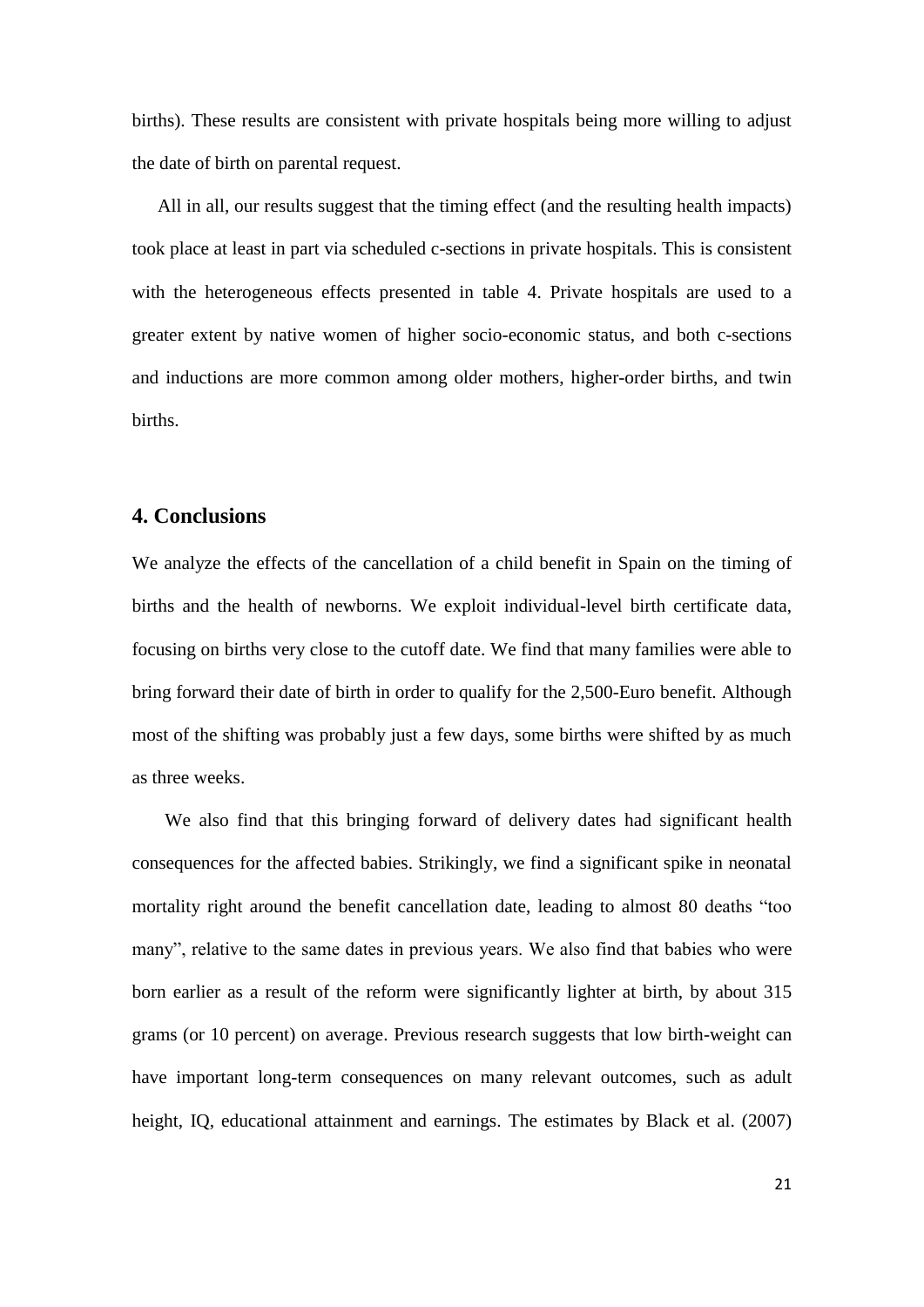births). These results are consistent with private hospitals being more willing to adjust the date of birth on parental request.

All in all, our results suggest that the timing effect (and the resulting health impacts) took place at least in part via scheduled c-sections in private hospitals. This is consistent with the heterogeneous effects presented in table 4. Private hospitals are used to a greater extent by native women of higher socio-economic status, and both c-sections and inductions are more common among older mothers, higher-order births, and twin births.

#### **4. Conclusions**

We analyze the effects of the cancellation of a child benefit in Spain on the timing of births and the health of newborns. We exploit individual-level birth certificate data, focusing on births very close to the cutoff date. We find that many families were able to bring forward their date of birth in order to qualify for the 2,500-Euro benefit. Although most of the shifting was probably just a few days, some births were shifted by as much as three weeks.

We also find that this bringing forward of delivery dates had significant health consequences for the affected babies. Strikingly, we find a significant spike in neonatal mortality right around the benefit cancellation date, leading to almost 80 deaths "too many", relative to the same dates in previous years. We also find that babies who were born earlier as a result of the reform were significantly lighter at birth, by about 315 grams (or 10 percent) on average. Previous research suggests that low birth-weight can have important long-term consequences on many relevant outcomes, such as adult height, IQ, educational attainment and earnings. The estimates by Black et al. (2007)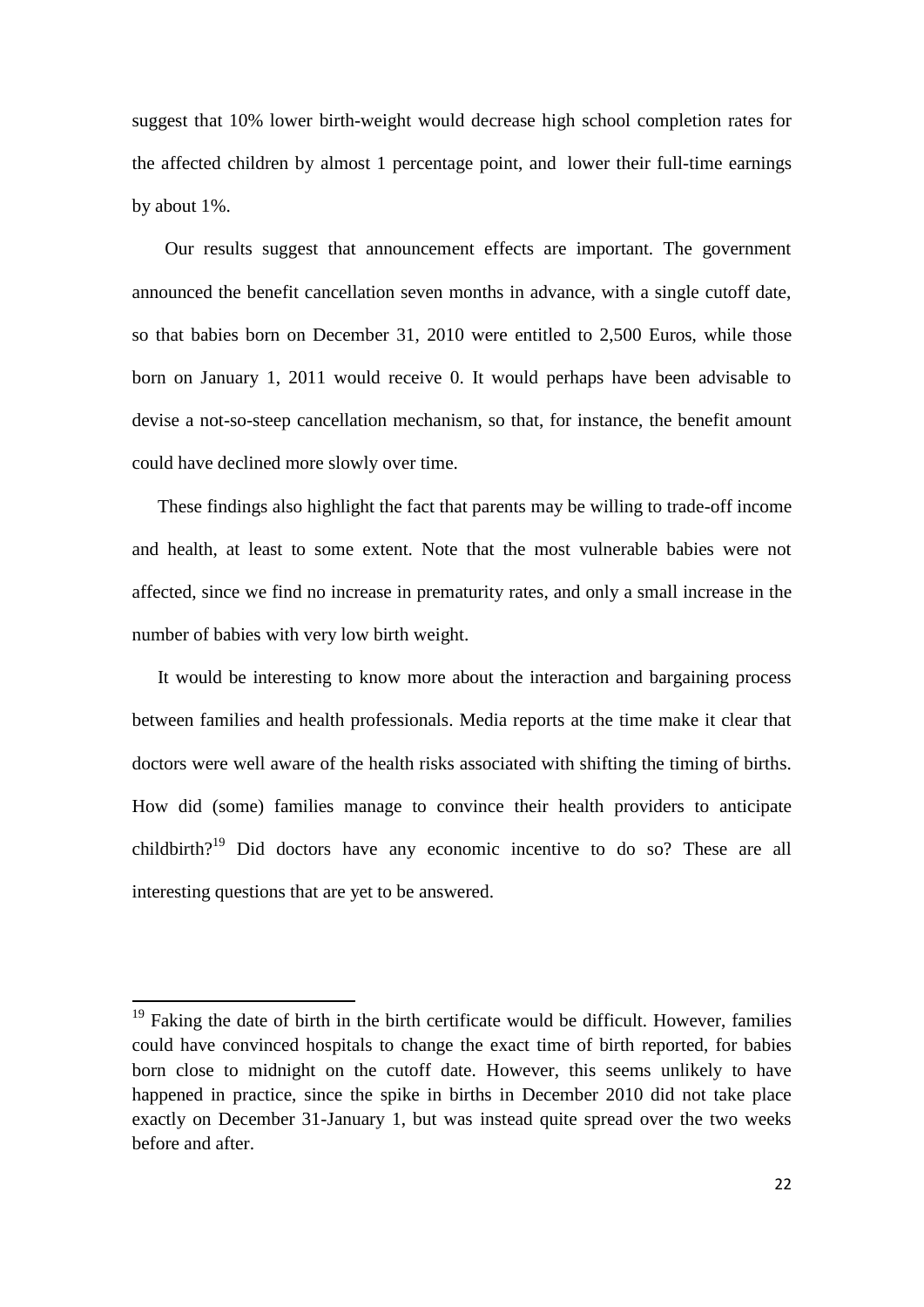suggest that 10% lower birth-weight would decrease high school completion rates for the affected children by almost 1 percentage point, and lower their full-time earnings by about 1%.

Our results suggest that announcement effects are important. The government announced the benefit cancellation seven months in advance, with a single cutoff date, so that babies born on December 31, 2010 were entitled to 2,500 Euros, while those born on January 1, 2011 would receive 0. It would perhaps have been advisable to devise a not-so-steep cancellation mechanism, so that, for instance, the benefit amount could have declined more slowly over time.

These findings also highlight the fact that parents may be willing to trade-off income and health, at least to some extent. Note that the most vulnerable babies were not affected, since we find no increase in prematurity rates, and only a small increase in the number of babies with very low birth weight.

It would be interesting to know more about the interaction and bargaining process between families and health professionals. Media reports at the time make it clear that doctors were well aware of the health risks associated with shifting the timing of births. How did (some) families manage to convince their health providers to anticipate childbirth?<sup>19</sup> Did doctors have any economic incentive to do so? These are all interesting questions that are yet to be answered.

 $\overline{a}$ 

 $19$  Faking the date of birth in the birth certificate would be difficult. However, families could have convinced hospitals to change the exact time of birth reported, for babies born close to midnight on the cutoff date. However, this seems unlikely to have happened in practice, since the spike in births in December 2010 did not take place exactly on December 31-January 1, but was instead quite spread over the two weeks before and after.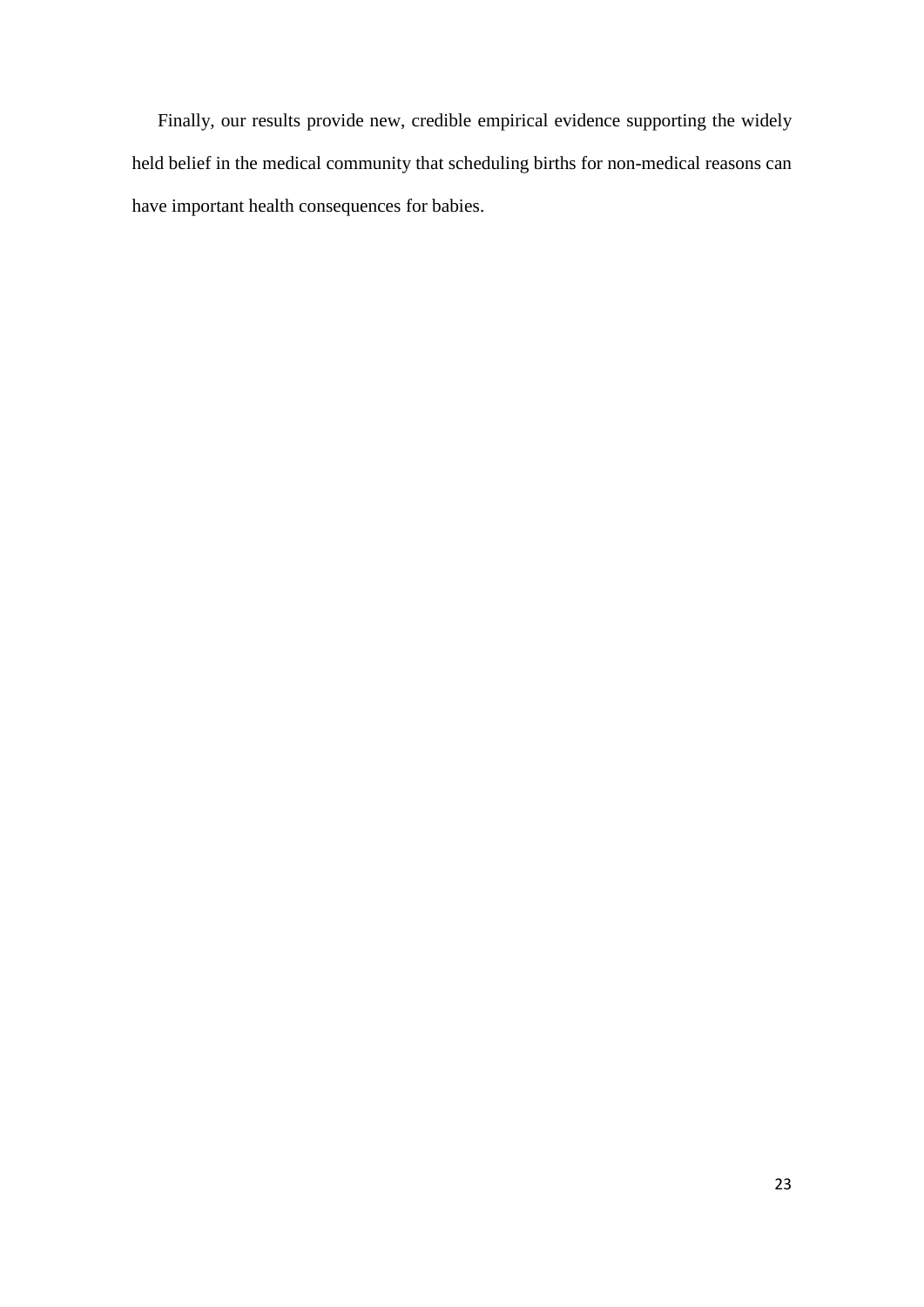Finally, our results provide new, credible empirical evidence supporting the widely held belief in the medical community that scheduling births for non-medical reasons can have important health consequences for babies.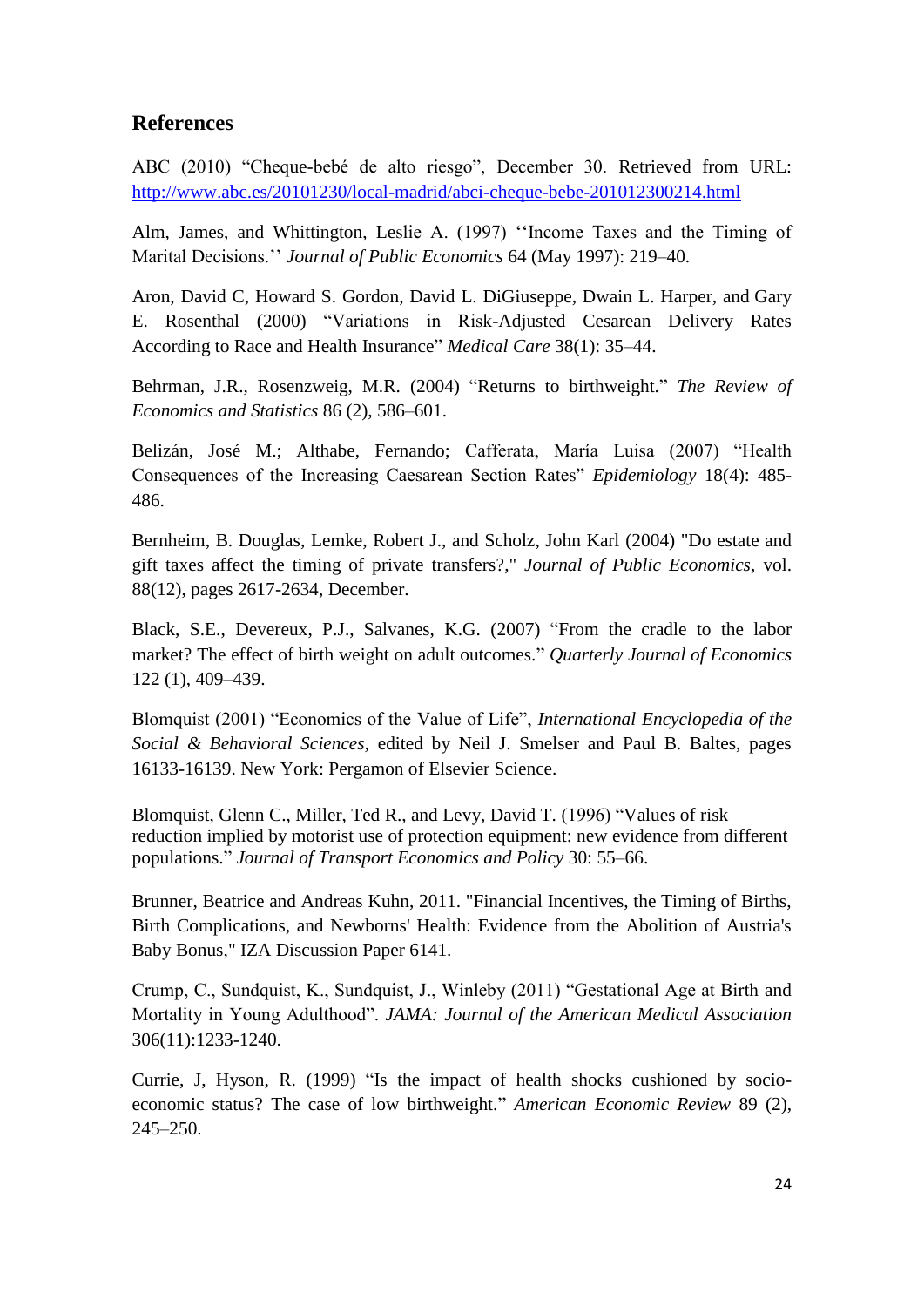# **References**

ABC (2010) "Cheque-bebé de alto riesgo", December 30. Retrieved from URL: <http://www.abc.es/20101230/local-madrid/abci-cheque-bebe-201012300214.html>

Alm, James, and Whittington, Leslie A. (1997) ''Income Taxes and the Timing of Marital Decisions.'' *Journal of Public Economics* 64 (May 1997): 219–40.

Aron, David C, Howard S. Gordon, David L. DiGiuseppe, Dwain L. Harper, and Gary E. Rosenthal (2000) "Variations in Risk-Adjusted Cesarean Delivery Rates According to Race and Health Insurance" *Medical Care* 38(1): 35–44.

Behrman, J.R., Rosenzweig, M.R. (2004) "Returns to birthweight." *The Review of Economics and Statistics* 86 (2), 586–601.

Belizán, José M.; Althabe, Fernando; Cafferata, María Luisa (2007) "Health Consequences of the Increasing Caesarean Section Rates" *Epidemiology* 18(4): 485- 486.

Bernheim, B. Douglas, Lemke, Robert J., and Scholz, John Karl (2004) "Do estate and gift taxes affect the timing of private transfers?," *Journal of Public Economics*, vol. 88(12), pages 2617-2634, December.

Black, S.E., Devereux, P.J., Salvanes, K.G. (2007) "From the cradle to the labor market? The effect of birth weight on adult outcomes." *Quarterly Journal of Economics* 122 (1), 409–439.

Blomquist (2001) "Economics of the Value of Life", *International Encyclopedia of the Social & Behavioral Sciences,* edited by Neil J. Smelser and Paul B. Baltes, pages 16133-16139. New York: Pergamon of Elsevier Science.

Blomquist, Glenn C., Miller, Ted R., and Levy, David T. (1996) "Values of risk reduction implied by motorist use of protection equipment: new evidence from different populations." *Journal of Transport Economics and Policy* 30: 55–66.

Brunner, Beatrice and Andreas Kuhn, 2011. "Financial Incentives, the Timing of Births, Birth Complications, and Newborns' Health: Evidence from the Abolition of Austria's Baby Bonus," IZA Discussion Paper 6141.

Crump, C., Sundquist, K., Sundquist, J., Winleby (2011) "Gestational Age at Birth and Mortality in Young Adulthood". *JAMA: Journal of the American Medical Association* 306(11):1233-1240.

Currie, J, Hyson, R. (1999) "Is the impact of health shocks cushioned by socioeconomic status? The case of low birthweight." *American Economic Review* 89 (2), 245–250.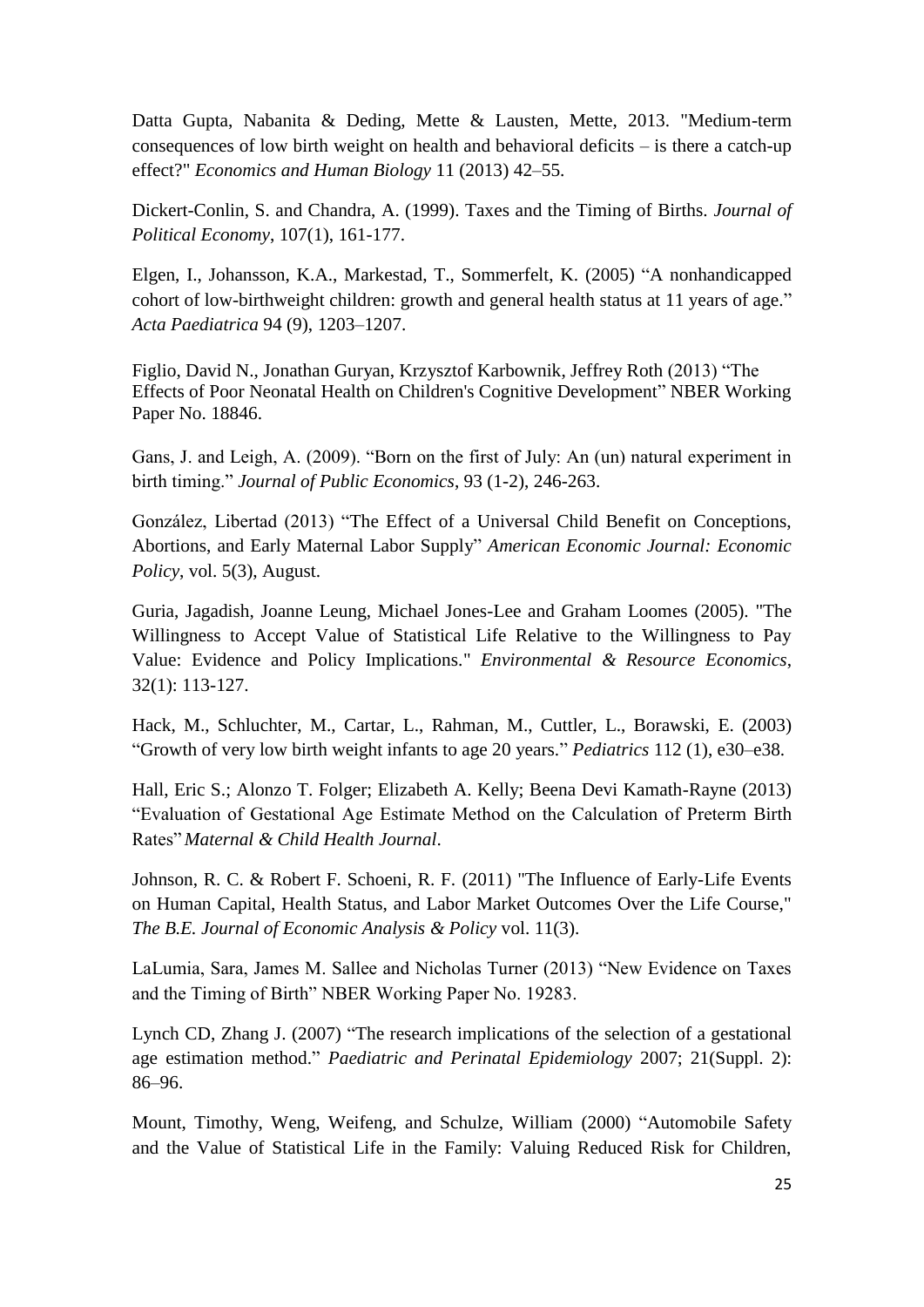Datta Gupta, Nabanita & Deding, Mette & Lausten, Mette, 2013. "Medium-term consequences of low birth weight on health and behavioral deficits – is there a catch-up effect?" *Economics and Human Biology* 11 (2013) 42–55.

Dickert-Conlin, S. and Chandra, A. (1999). Taxes and the Timing of Births*. Journal of Political Economy*, 107(1), 161-177.

Elgen, I., Johansson, K.A., Markestad, T., Sommerfelt, K. (2005) "A nonhandicapped cohort of low-birthweight children: growth and general health status at 11 years of age." *Acta Paediatrica* 94 (9), 1203–1207.

[Figlio,](http://www.nber.org/people/david_figlio) David N., [Jonathan Guryan,](http://www.nber.org/people/jonathan_guryan) [Krzysztof Karbownik,](http://www.nber.org/people/Krzysztof_karbownik) [Jeffrey Roth](http://www.nber.org/people/jeff_roth) (2013) "The Effects of Poor Neonatal Health on Children's Cognitive Development" NBER Working Paper No. 18846.

Gans, J. and Leigh, A. (2009). "Born on the first of July: An (un) natural experiment in birth timing." *Journal of Public Economics*, 93 (1-2), 246-263.

González, Libertad (2013) "The Effect of a Universal Child Benefit on Conceptions, Abortions, and Early Maternal Labor Supply" *American Economic Journal: Economic Policy*, vol. 5(3), August.

Guria, Jagadish, Joanne Leung, Michael Jones-Lee and Graham Loomes (2005). "The Willingness to Accept Value of Statistical Life Relative to the Willingness to Pay Value: Evidence and Policy Implications." *Environmental & Resource Economics*, 32(1): 113-127.

Hack, M., Schluchter, M., Cartar, L., Rahman, M., Cuttler, L., Borawski, E. (2003) "Growth of very low birth weight infants to age 20 years." *Pediatrics* 112 (1), e30–e38.

Hall, Eric S.; Alonzo T. Folger; Elizabeth A. Kelly; Beena Devi Kamath-Rayne (2013) "Evaluation of Gestational Age Estimate Method on the Calculation of Preterm Birth Rates" *Maternal & Child Health Journal*.

Johnson, R. C. & Robert F. Schoeni, R. F. (2011) "The Influence of Early-Life Events on Human Capital, Health Status, and Labor Market Outcomes Over the Life Course," *The B.E. Journal of Economic Analysis & Policy* vol. 11(3).

LaLumia, Sara, James M. Sallee and Nicholas Turner (2013) "New Evidence on Taxes and the Timing of Birth" NBER Working Paper No. 19283.

Lynch CD, Zhang J. (2007) "The research implications of the selection of a gestational age estimation method." *Paediatric and Perinatal Epidemiology* 2007; 21(Suppl. 2): 86–96.

Mount, Timothy, Weng, Weifeng, and Schulze, William (2000) "Automobile Safety and the Value of Statistical Life in the Family: Valuing Reduced Risk for Children,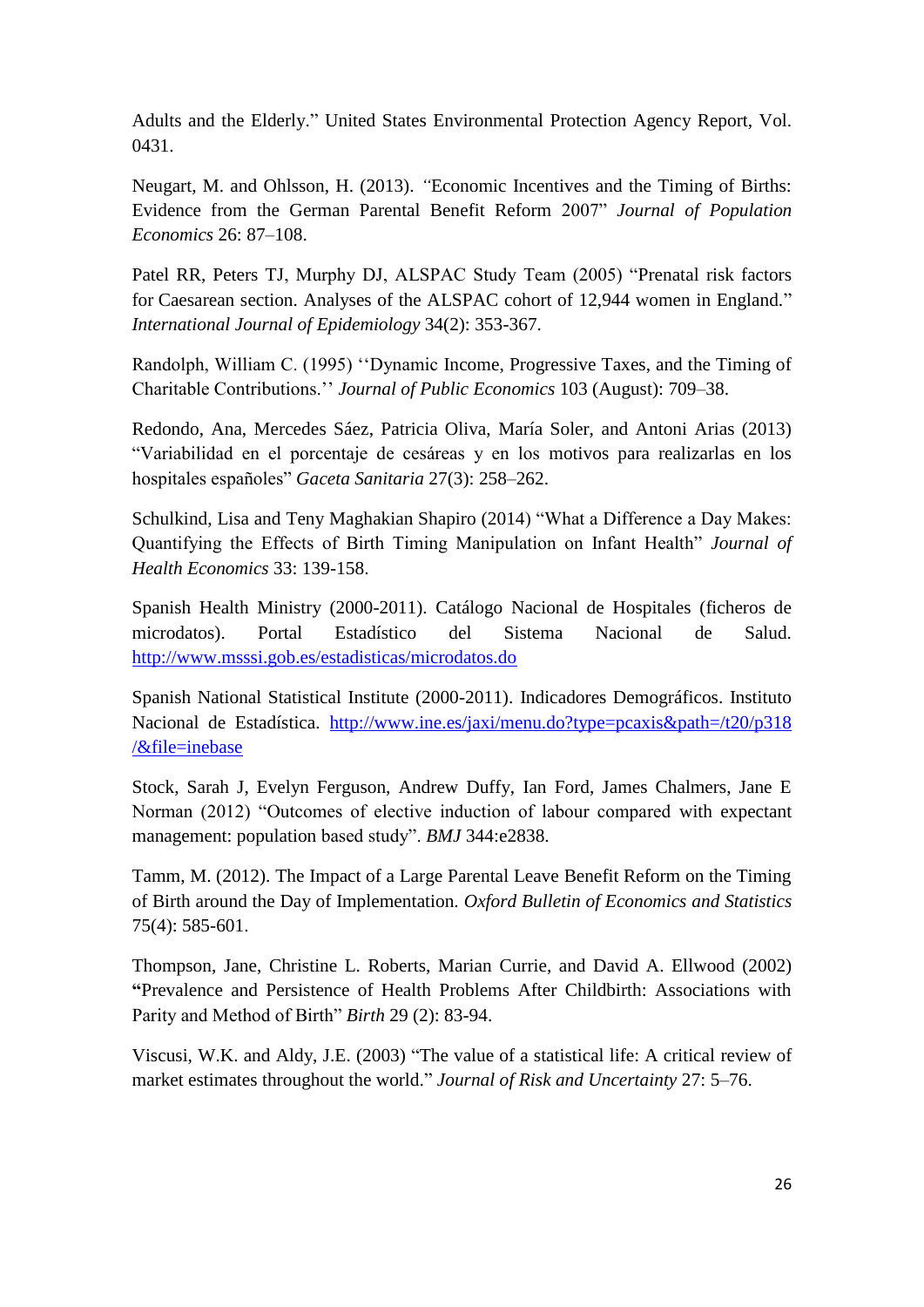Adults and the Elderly." United States Environmental Protection Agency Report, Vol. 0431.

Neugart, M. and Ohlsson, H. (2013). *"*Economic Incentives and the Timing of Births: Evidence from the German Parental Benefit Reform 2007" *Journal of Population Economics* 26: 87–108.

Patel RR, Peters TJ, Murphy DJ, ALSPAC Study Team (2005) "Prenatal risk factors for Caesarean section. Analyses of the ALSPAC cohort of 12,944 women in England." *International Journal of Epidemiology* 34(2): 353-367.

Randolph, William C. (1995) ''Dynamic Income, Progressive Taxes, and the Timing of Charitable Contributions.'' *Journal of Public Economics* 103 (August): 709–38.

Redondo, Ana, Mercedes Sáez, Patricia Oliva, María Soler, and Antoni Arias (2013) "Variabilidad en el porcentaje de cesáreas y en los motivos para realizarlas en los hospitales españoles" *Gaceta Sanitaria* 27(3): 258–262.

Schulkind, Lisa and Teny Maghakian Shapiro (2014) "What a Difference a Day Makes: Quantifying the Effects of Birth Timing Manipulation on Infant Health" *Journal of Health Economics* 33: 139-158.

Spanish Health Ministry (2000-2011). Catálogo Nacional de Hospitales (ficheros de microdatos). Portal Estadístico del Sistema Nacional de Salud. <http://www.msssi.gob.es/estadisticas/microdatos.do>

Spanish National Statistical Institute (2000-2011). Indicadores Demográficos. Instituto Nacional de Estadística. [http://www.ine.es/jaxi/menu.do?type=pcaxis&path=/t20/p318](http://www.ine.es/jaxi/menu.do?type=pcaxis&path=/t20/p318%20/&file=inebase)  [/&file=inebase](http://www.ine.es/jaxi/menu.do?type=pcaxis&path=/t20/p318%20/&file=inebase)

Stock, Sarah J, Evelyn Ferguson, Andrew Duffy, Ian Ford, James Chalmers, Jane E Norman (2012) "Outcomes of elective induction of labour compared with expectant management: population based study". *BMJ* 344:e2838.

Tamm, M. (2012). The Impact of a Large Parental Leave Benefit Reform on the Timing of Birth around the Day of Implementation. *Oxford Bulletin of Economics and Statistics* 75(4): 585-601.

Thompson, Jane, Christine L. Roberts, Marian Currie, and David A. Ellwood (2002) **"**Prevalence and Persistence of Health Problems After Childbirth: Associations with Parity and Method of Birth" *Birth* 29 (2): 83-94.

Viscusi, W.K. and Aldy, J.E. (2003) "The value of a statistical life: A critical review of market estimates throughout the world." *Journal of Risk and Uncertainty* 27: 5–76.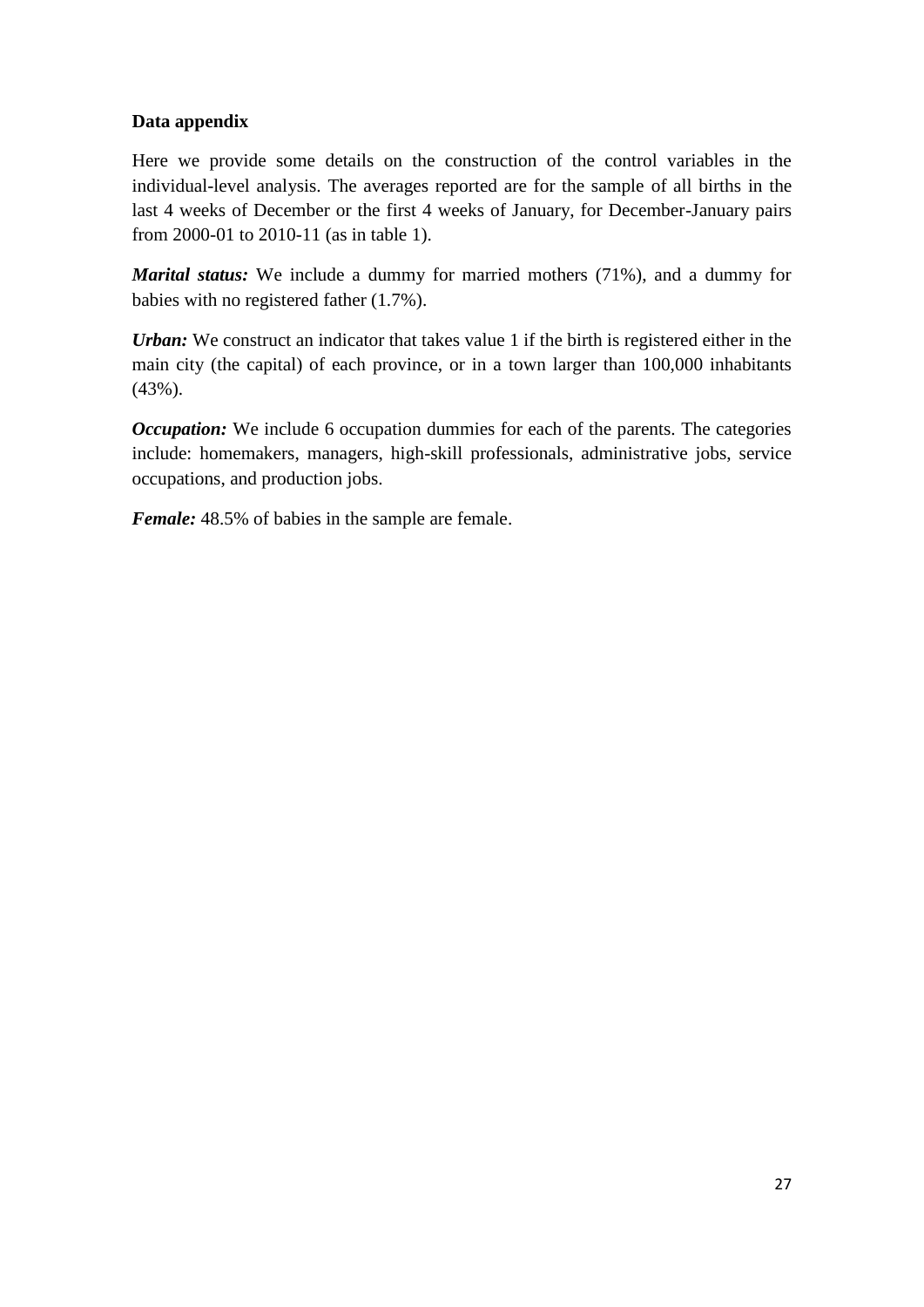# **Data appendix**

Here we provide some details on the construction of the control variables in the individual-level analysis. The averages reported are for the sample of all births in the last 4 weeks of December or the first 4 weeks of January, for December-January pairs from 2000-01 to 2010-11 (as in table 1).

*Marital status:* We include a dummy for married mothers (71%), and a dummy for babies with no registered father (1.7%).

*Urban:* We construct an indicator that takes value 1 if the birth is registered either in the main city (the capital) of each province, or in a town larger than 100,000 inhabitants (43%).

*Occupation:* We include 6 occupation dummies for each of the parents. The categories include: homemakers, managers, high-skill professionals, administrative jobs, service occupations, and production jobs.

*Female:* 48.5% of babies in the sample are female.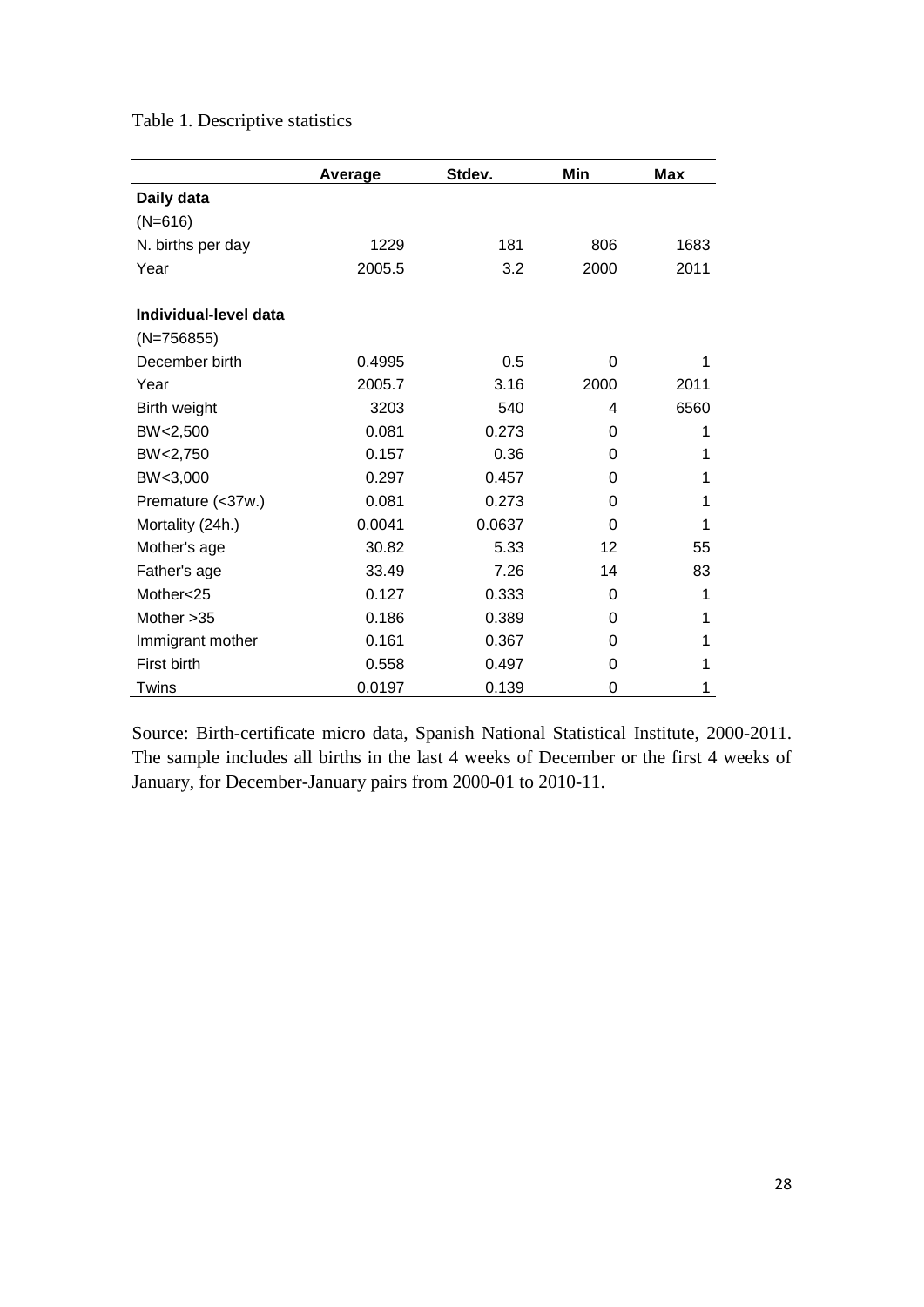|                       | Average | Stdev. | Min      | <b>Max</b> |
|-----------------------|---------|--------|----------|------------|
| Daily data            |         |        |          |            |
| $(N=616)$             |         |        |          |            |
| N. births per day     | 1229    | 181    | 806      | 1683       |
| Year                  | 2005.5  | 3.2    | 2000     | 2011       |
| Individual-level data |         |        |          |            |
| $(N=756855)$          |         |        |          |            |
| December birth        | 0.4995  | 0.5    | $\Omega$ | 1          |
| Year                  | 2005.7  | 3.16   | 2000     | 2011       |
| Birth weight          | 3203    | 540    | 4        | 6560       |
| BW<2,500              | 0.081   | 0.273  | 0        | 1          |
| BW<2,750              | 0.157   | 0.36   | 0        | 1          |
| BW<3,000              | 0.297   | 0.457  | 0        | 1          |
| Premature (<37w.)     | 0.081   | 0.273  | 0        | 1          |
| Mortality (24h.)      | 0.0041  | 0.0637 | 0        | 1          |
| Mother's age          | 30.82   | 5.33   | 12       | 55         |
| Father's age          | 33.49   | 7.26   | 14       | 83         |
| Mother<25             | 0.127   | 0.333  | 0        | 1          |
| Mother > 35           | 0.186   | 0.389  | 0        | 1          |
| Immigrant mother      | 0.161   | 0.367  | 0        | 1          |
| First birth           | 0.558   | 0.497  | 0        | 1          |
| Twins                 | 0.0197  | 0.139  | 0        | 1          |

Table 1. Descriptive statistics

Source: Birth-certificate micro data, Spanish National Statistical Institute, 2000-2011. The sample includes all births in the last 4 weeks of December or the first 4 weeks of January, for December-January pairs from 2000-01 to 2010-11.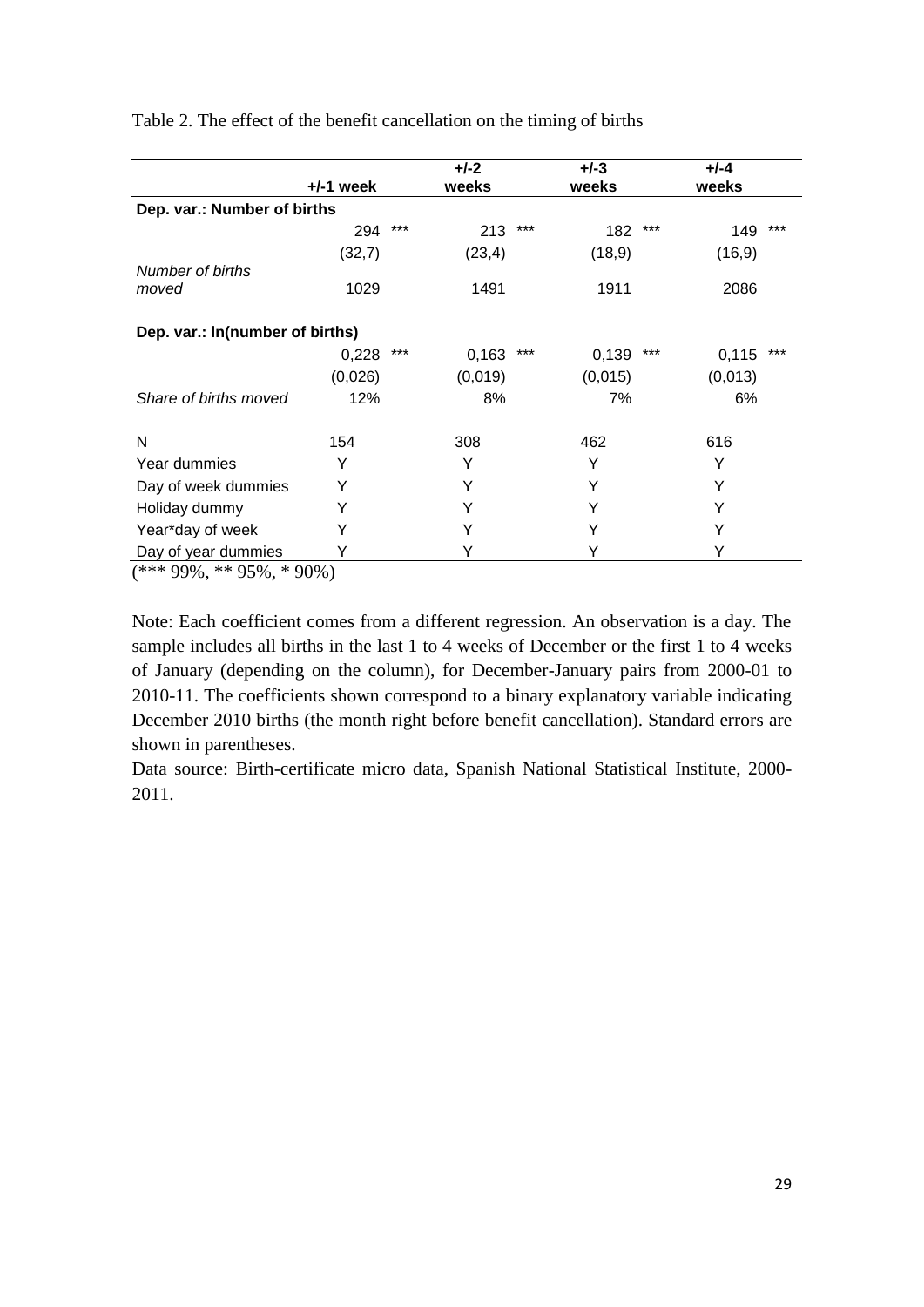|                                                                                                                                                                                                                          |           |     | $+/-2$  |     | $+/-3$  |     | $+/-4$  |     |
|--------------------------------------------------------------------------------------------------------------------------------------------------------------------------------------------------------------------------|-----------|-----|---------|-----|---------|-----|---------|-----|
|                                                                                                                                                                                                                          | +/-1 week |     | weeks   |     | weeks   |     | weeks   |     |
| Dep. var.: Number of births                                                                                                                                                                                              |           |     |         |     |         |     |         |     |
|                                                                                                                                                                                                                          | 294       | *** | 213     | *** | 182     | *** | 149     | *** |
|                                                                                                                                                                                                                          | (32,7)    |     | (23, 4) |     | (18, 9) |     | (16, 9) |     |
| Number of births                                                                                                                                                                                                         |           |     |         |     |         |     |         |     |
| moved                                                                                                                                                                                                                    | 1029      |     | 1491    |     | 1911    |     | 2086    |     |
|                                                                                                                                                                                                                          |           |     |         |     |         |     |         |     |
| Dep. var.: In(number of births)                                                                                                                                                                                          |           |     |         |     |         |     |         |     |
|                                                                                                                                                                                                                          | 0,228     | *** | 0,163   | *** | 0,139   | *** | 0,115   | *** |
|                                                                                                                                                                                                                          | (0,026)   |     | (0,019) |     | (0,015) |     | (0,013) |     |
| Share of births moved                                                                                                                                                                                                    | 12%       |     | 8%      |     | 7%      |     | 6%      |     |
| N                                                                                                                                                                                                                        | 154       |     | 308     |     | 462     |     | 616     |     |
| Year dummies                                                                                                                                                                                                             | Y         |     | Y       |     | Y       |     | Y       |     |
| Day of week dummies                                                                                                                                                                                                      | Y         |     | Y       |     | Y       |     | Y       |     |
| Holiday dummy                                                                                                                                                                                                            | Y         |     | Y       |     | Y       |     | Y       |     |
| Year*day of week                                                                                                                                                                                                         |           |     | Y       |     | Y       |     | Y       |     |
| Day of year dummies<br>$\left( \frac{1}{2} \right)$ and $\left( \frac{1}{2} \right)$ and $\left( \frac{1}{2} \right)$ and $\left( \frac{1}{2} \right)$ and $\left( \frac{1}{2} \right)$ and $\left( \frac{1}{2} \right)$ |           |     | Y       |     | Y       |     | Y       |     |

Table 2. The effect of the benefit cancellation on the timing of births

 $(***99\%, **95\%, *90\%)$ 

Note: Each coefficient comes from a different regression. An observation is a day. The sample includes all births in the last 1 to 4 weeks of December or the first 1 to 4 weeks of January (depending on the column), for December-January pairs from 2000-01 to 2010-11. The coefficients shown correspond to a binary explanatory variable indicating December 2010 births (the month right before benefit cancellation). Standard errors are shown in parentheses.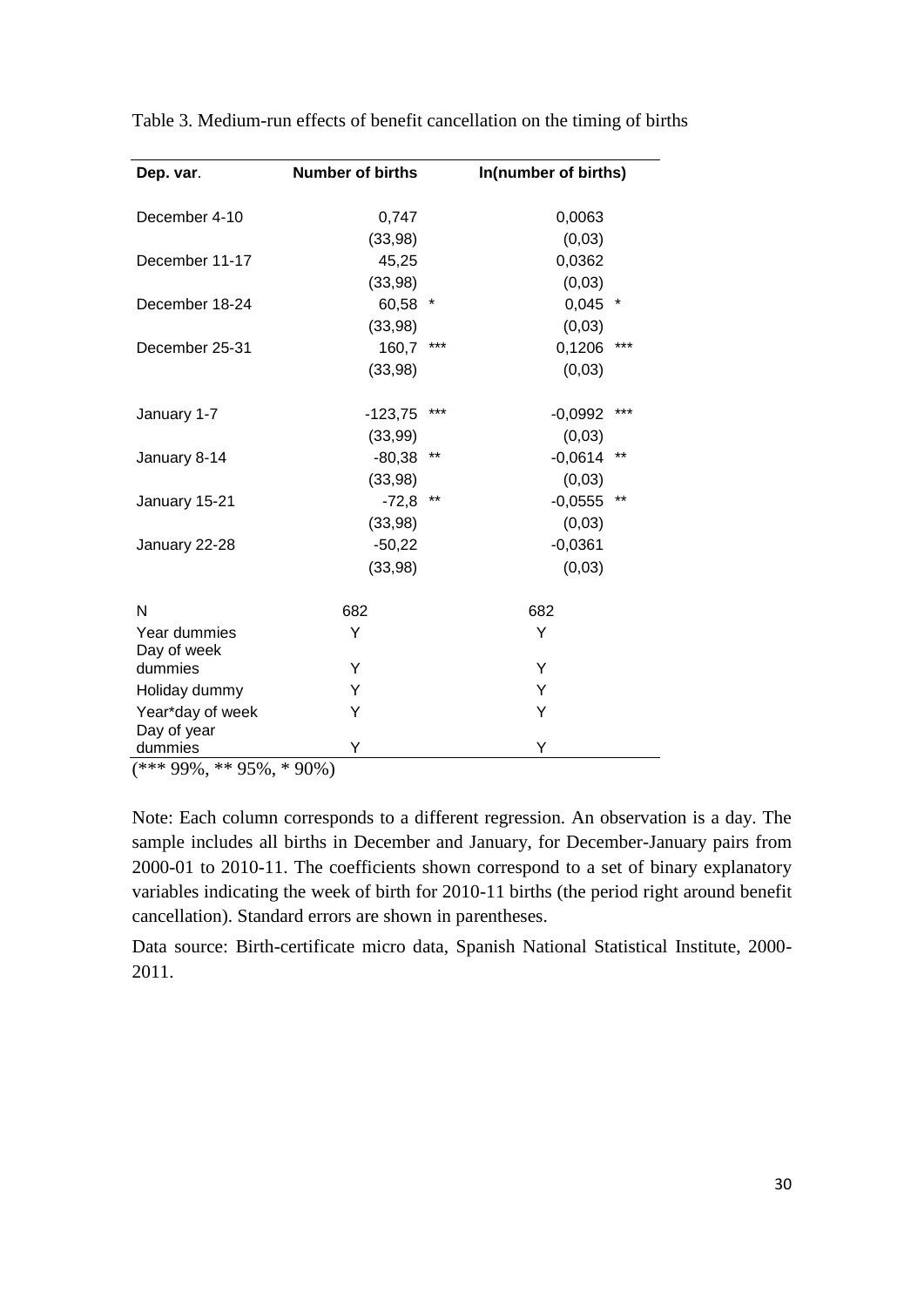| Dep. var.                   | <b>Number of births</b> |       | In(number of births) |  |
|-----------------------------|-------------------------|-------|----------------------|--|
|                             |                         |       |                      |  |
| December 4-10               | 0,747                   |       | 0,0063               |  |
|                             | (33,98)                 |       | (0,03)               |  |
| December 11-17              | 45,25                   |       | 0,0362               |  |
|                             | (33,98)                 |       | (0,03)               |  |
| December 18-24              | 60,58                   | *     | 0,045<br>*           |  |
|                             | (33,98)                 |       | (0,03)               |  |
| December 25-31              | 160,7                   | ***   | 0,1206<br>***        |  |
|                             | (33,98)                 |       | (0,03)               |  |
| January 1-7                 | $-123,75$               | ***   | ***<br>$-0,0992$     |  |
|                             | (33, 99)                |       | (0,03)               |  |
| January 8-14                | $-80,38$                | $***$ | $-0,0614$<br>**      |  |
|                             | (33,98)                 |       | (0,03)               |  |
| January 15-21               | $-72,8$                 | **    | **<br>$-0,0555$      |  |
|                             | (33,98)                 |       | (0,03)               |  |
| January 22-28               | $-50,22$                |       | $-0,0361$            |  |
|                             | (33, 98)                |       | (0,03)               |  |
| N                           | 682                     |       | 682                  |  |
| Year dummies<br>Day of week | Y                       |       | Y                    |  |
| dummies                     | Υ                       |       | Y                    |  |
| Holiday dummy               | Y                       |       | Y                    |  |
| Year*day of week            | Υ                       |       | Y                    |  |
| Day of year                 |                         |       |                      |  |
| dummies<br>$1.1.07$ m m s i | Y                       |       | Υ                    |  |

Table 3. Medium-run effects of benefit cancellation on the timing of births

 $(*** 99\%, ** 95\%, * 90\%)$ 

Note: Each column corresponds to a different regression. An observation is a day. The sample includes all births in December and January, for December-January pairs from 2000-01 to 2010-11. The coefficients shown correspond to a set of binary explanatory variables indicating the week of birth for 2010-11 births (the period right around benefit cancellation). Standard errors are shown in parentheses.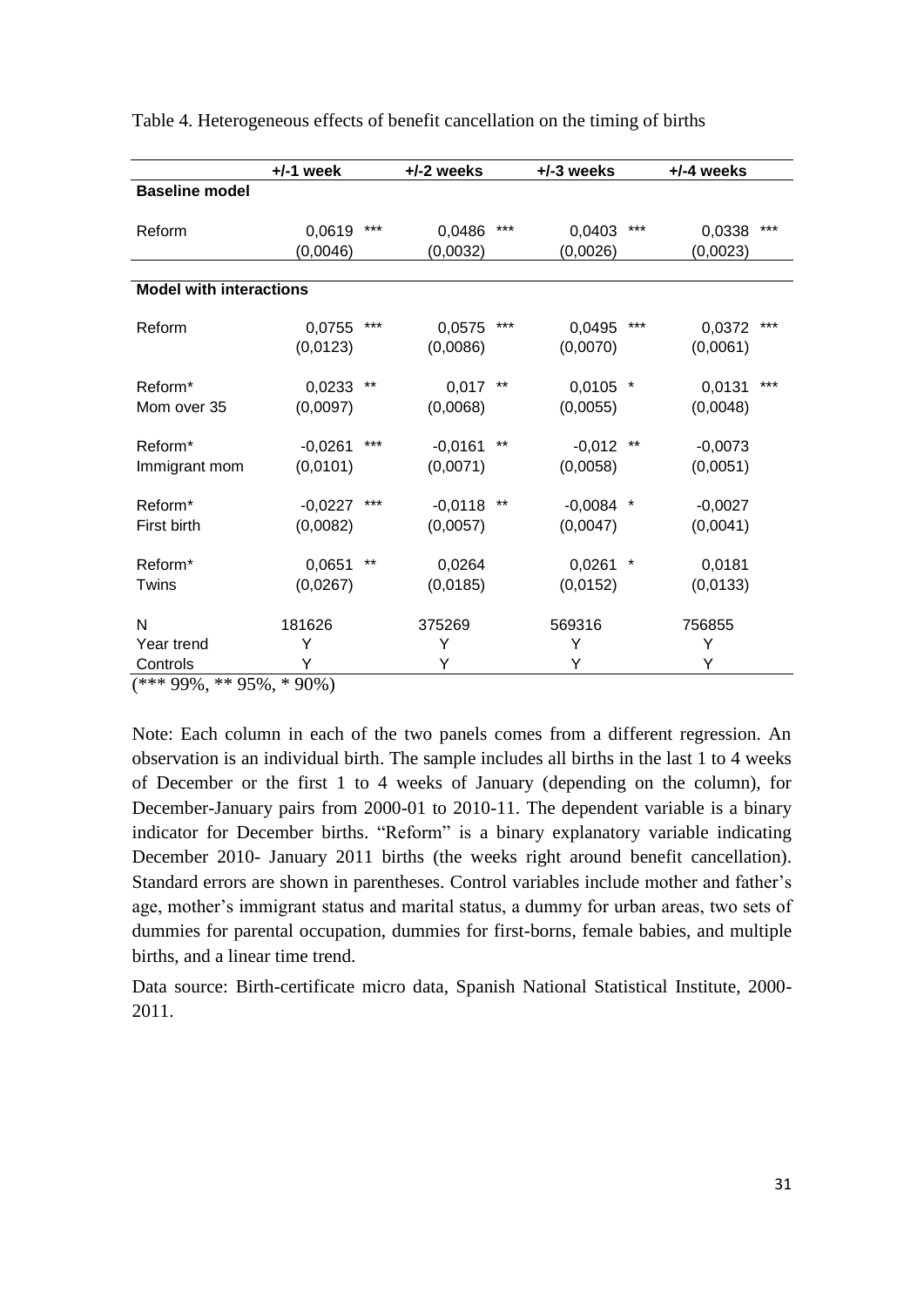|                                | $+/-1$ week |       | $+/-2$ weeks |       | +/-3 weeks  |         | $+/-4$ weeks |       |
|--------------------------------|-------------|-------|--------------|-------|-------------|---------|--------------|-------|
| <b>Baseline model</b>          |             |       |              |       |             |         |              |       |
|                                |             |       |              |       |             |         |              |       |
| Reform                         | 0,0619      | ***   | 0,0486       | ***   | 0,0403      | $***$   | 0,0338       | $***$ |
|                                | (0,0046)    |       | (0,0032)     |       | (0,0026)    |         | (0,0023)     |       |
|                                |             |       |              |       |             |         |              |       |
| <b>Model with interactions</b> |             |       |              |       |             |         |              |       |
| Reform                         | 0,0755      | ***   | 0,0575       | ***   | 0,0495      | $***$   | 0,0372       | $***$ |
|                                | (0,0123)    |       | (0,0086)     |       | (0,0070)    |         | (0,0061)     |       |
|                                |             |       |              |       |             |         |              |       |
| Reform <sup>*</sup>            | 0,0233      | **    | 0,017        | $***$ | 0,0105      | $\star$ | 0,0131       | ***   |
| Mom over 35                    | (0,0097)    |       | (0,0068)     |       | (0,0055)    |         | (0,0048)     |       |
|                                |             |       |              |       |             |         |              |       |
| Reform <sup>*</sup>            | $-0,0261$   | ***   | $-0,0161$    | $***$ | $-0,012$    | $***$   | $-0,0073$    |       |
| Immigrant mom                  | (0,0101)    |       | (0,0071)     |       | (0,0058)    |         | (0,0051)     |       |
|                                |             |       |              |       |             |         |              |       |
| Reform*                        | $-0,0227$   | ***   | $-0,0118$    | $***$ | $-0,0084$ * |         | $-0,0027$    |       |
| First birth                    | (0,0082)    |       | (0,0057)     |       | (0,0047)    |         | (0,0041)     |       |
|                                |             | $***$ |              |       |             |         |              |       |
| Reform*                        | 0,0651      |       | 0,0264       |       | 0,0261      | *       | 0,0181       |       |
| Twins                          | (0,0267)    |       | (0,0185)     |       | (0,0152)    |         | (0,0133)     |       |
| N                              | 181626      |       | 375269       |       | 569316      |         | 756855       |       |
| Year trend                     | Y           |       | Y            |       | Y           |         | Y            |       |
|                                | Υ           |       | Y            |       | Υ           |         | Υ            |       |
| Controls                       |             |       |              |       |             |         |              |       |

| Table 4. Heterogeneous effects of benefit cancellation on the timing of births |  |  |  |
|--------------------------------------------------------------------------------|--|--|--|
|                                                                                |  |  |  |

(\*\*\* 99%, \*\* 95%, \* 90%)

Note: Each column in each of the two panels comes from a different regression. An observation is an individual birth. The sample includes all births in the last 1 to 4 weeks of December or the first 1 to 4 weeks of January (depending on the column), for December-January pairs from 2000-01 to 2010-11. The dependent variable is a binary indicator for December births. "Reform" is a binary explanatory variable indicating December 2010- January 2011 births (the weeks right around benefit cancellation). Standard errors are shown in parentheses. Control variables include mother and father's age, mother's immigrant status and marital status, a dummy for urban areas, two sets of dummies for parental occupation, dummies for first-borns, female babies, and multiple births, and a linear time trend.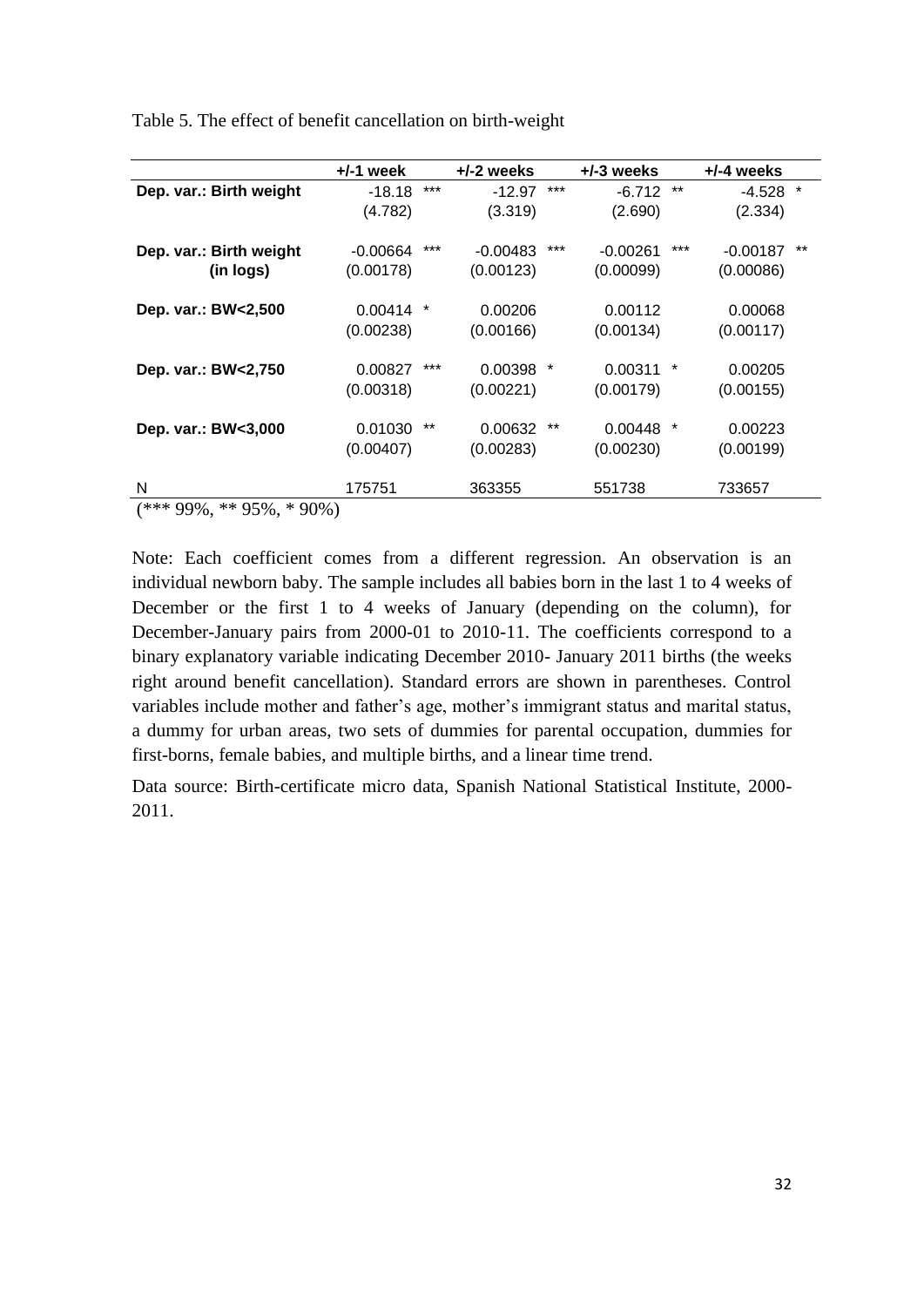|                               | $+/-1$ week |       | +/-2 weeks |           | $+/-3$ weeks |        | $+/-4$ weeks |         |
|-------------------------------|-------------|-------|------------|-----------|--------------|--------|--------------|---------|
| Dep. var.: Birth weight       | $-18.18$    | $***$ | $-12.97$   | ***       | $-6.712$     | **     | -4.528       | $\star$ |
|                               | (4.782)     |       | (3.319)    |           | (2.690)      |        | (2.334)      |         |
| Dep. var.: Birth weight       | $-0.00664$  | ***   | $-0.00483$ | ***       | $-0.00261$   | ***    | $-0.00187$   | $***$   |
| (in logs)                     | (0.00178)   |       | (0.00123)  |           | (0.00099)    |        | (0.00086)    |         |
| Dep. var.: BW<2,500           | 0.00414     | *     | 0.00206    |           | 0.00112      |        | 0.00068      |         |
|                               | (0.00238)   |       | (0.00166)  |           | (0.00134)    |        | (0.00117)    |         |
| Dep. var.: BW<2,750           | 0.00827     | ***   | 0.00398    | $^{\ast}$ | 0.00311      | $\ast$ | 0.00205      |         |
|                               | (0.00318)   |       | (0.00221)  |           | (0.00179)    |        | (0.00155)    |         |
| Dep. var.: BW<3,000           | 0.01030     | $***$ | 0.00632    | **        | $0.00448$ *  |        | 0.00223      |         |
|                               | (0.00407)   |       | (0.00283)  |           | (0.00230)    |        | (0.00199)    |         |
| N                             | 175751      |       | 363355     |           | 551738       |        | 733657       |         |
| $(***99\%,$<br>** 95%, * 90%) |             |       |            |           |              |        |              |         |

Table 5. The effect of benefit cancellation on birth-weight

Note: Each coefficient comes from a different regression. An observation is an individual newborn baby. The sample includes all babies born in the last 1 to 4 weeks of December or the first 1 to 4 weeks of January (depending on the column), for December-January pairs from 2000-01 to 2010-11. The coefficients correspond to a binary explanatory variable indicating December 2010- January 2011 births (the weeks right around benefit cancellation). Standard errors are shown in parentheses. Control variables include mother and father's age, mother's immigrant status and marital status, a dummy for urban areas, two sets of dummies for parental occupation, dummies for first-borns, female babies, and multiple births, and a linear time trend.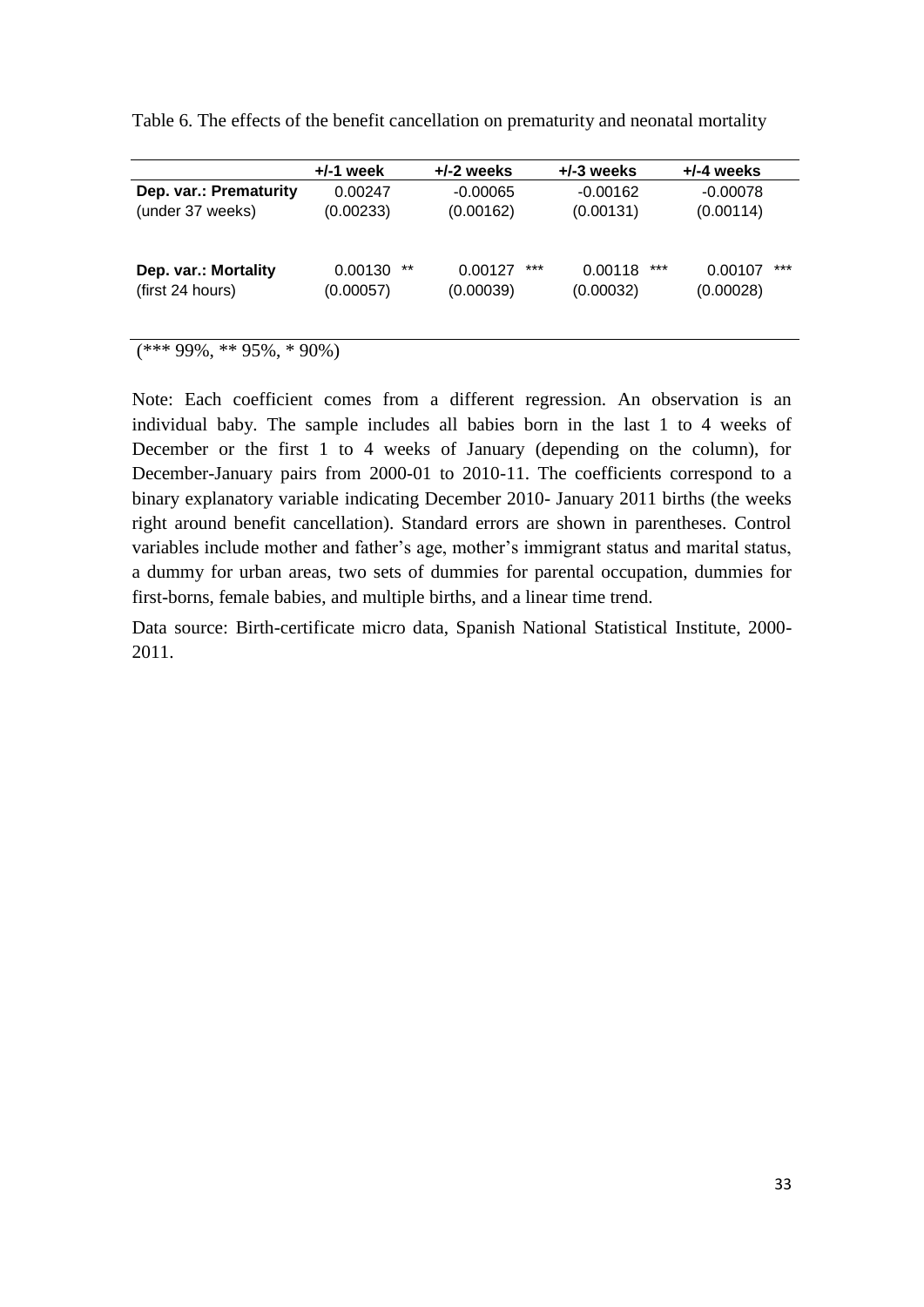|                                          | $+/-1$ week                | $+/-2$ weeks                | $+/-3$ weeks                  | $+/-4$ weeks                  |
|------------------------------------------|----------------------------|-----------------------------|-------------------------------|-------------------------------|
| Dep. var.: Prematurity                   | 0.00247                    | $-0.00065$                  | $-0.00162$                    | $-0.00078$                    |
| (under 37 weeks)                         | (0.00233)                  | (0.00162)                   | (0.00131)                     | (0.00114)                     |
| Dep. var.: Mortality<br>(first 24 hours) | **<br>0.00130<br>(0.00057) | ***<br>0.00127<br>(0.00039) | $***$<br>0.00118<br>(0.00032) | $***$<br>0.00107<br>(0.00028) |
|                                          |                            |                             |                               |                               |

Table 6. The effects of the benefit cancellation on prematurity and neonatal mortality

 $(***99\%, **95\%, *90\%)$ 

Note: Each coefficient comes from a different regression. An observation is an individual baby. The sample includes all babies born in the last 1 to 4 weeks of December or the first 1 to 4 weeks of January (depending on the column), for December-January pairs from 2000-01 to 2010-11. The coefficients correspond to a binary explanatory variable indicating December 2010- January 2011 births (the weeks right around benefit cancellation). Standard errors are shown in parentheses. Control variables include mother and father's age, mother's immigrant status and marital status, a dummy for urban areas, two sets of dummies for parental occupation, dummies for first-borns, female babies, and multiple births, and a linear time trend.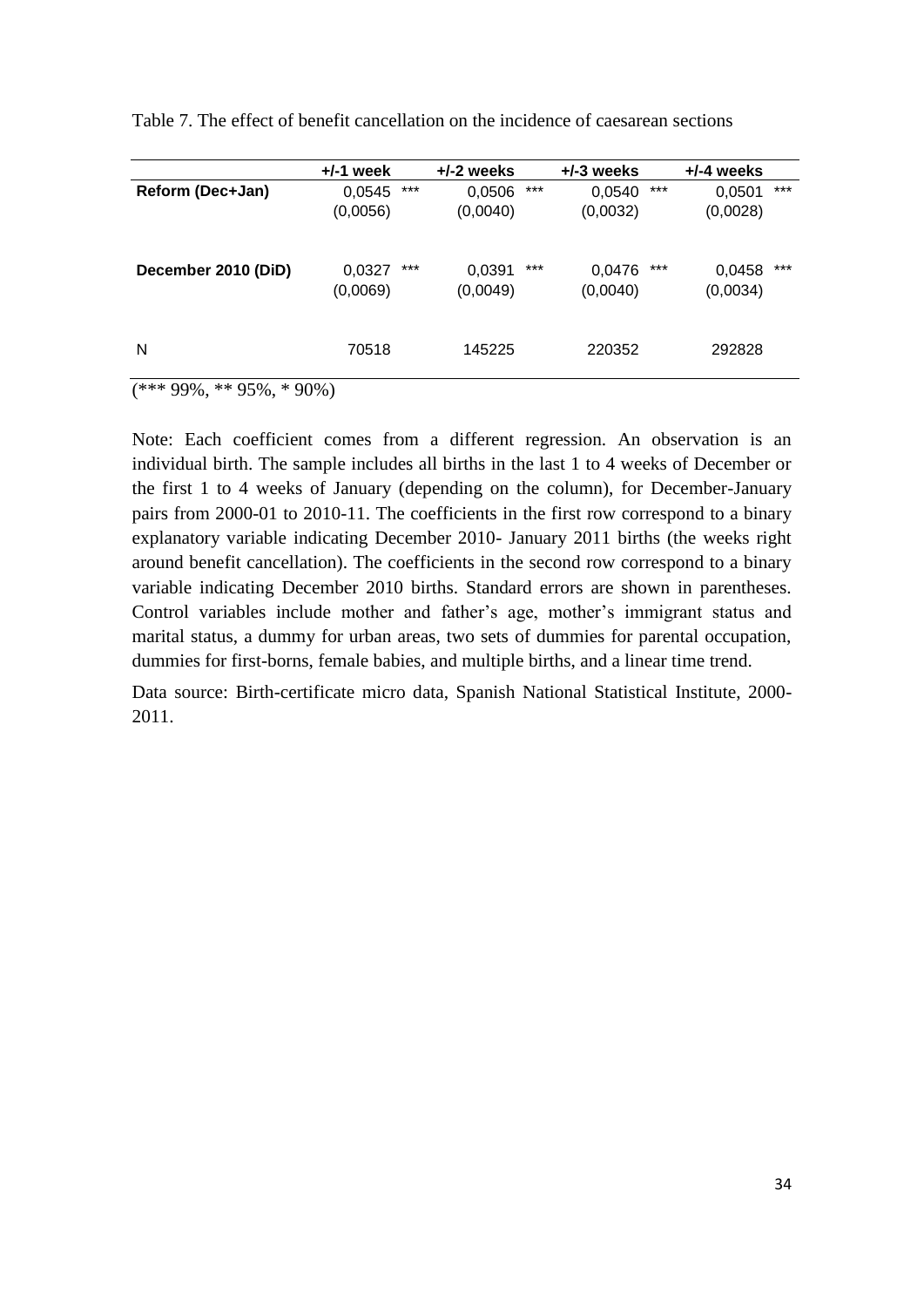|                     | $+/-1$ week        |     | $+/-2$ weeks       |     | $+/-3$ weeks       |     | $+/-4$ weeks       |       |
|---------------------|--------------------|-----|--------------------|-----|--------------------|-----|--------------------|-------|
| Reform (Dec+Jan)    | 0,0545             | *** | 0,0506             | *** | 0,0540             | *** | 0,0501             | ***   |
|                     | (0,0056)           |     | (0,0040)           |     | (0,0032)           |     | (0,0028)           |       |
| December 2010 (DiD) | 0,0327<br>(0,0069) | *** | 0,0391<br>(0,0049) | *** | 0,0476<br>(0,0040) | *** | 0,0458<br>(0,0034) | $***$ |
| N                   | 70518              |     | 145225             |     | 220352             |     | 292828             |       |
|                     |                    |     |                    |     |                    |     |                    |       |

Table 7. The effect of benefit cancellation on the incidence of caesarean sections

(\*\*\* 99%, \*\* 95%, \* 90%)

Note: Each coefficient comes from a different regression. An observation is an individual birth. The sample includes all births in the last 1 to 4 weeks of December or the first 1 to 4 weeks of January (depending on the column), for December-January pairs from 2000-01 to 2010-11. The coefficients in the first row correspond to a binary explanatory variable indicating December 2010- January 2011 births (the weeks right around benefit cancellation). The coefficients in the second row correspond to a binary variable indicating December 2010 births. Standard errors are shown in parentheses. Control variables include mother and father's age, mother's immigrant status and marital status, a dummy for urban areas, two sets of dummies for parental occupation, dummies for first-borns, female babies, and multiple births, and a linear time trend.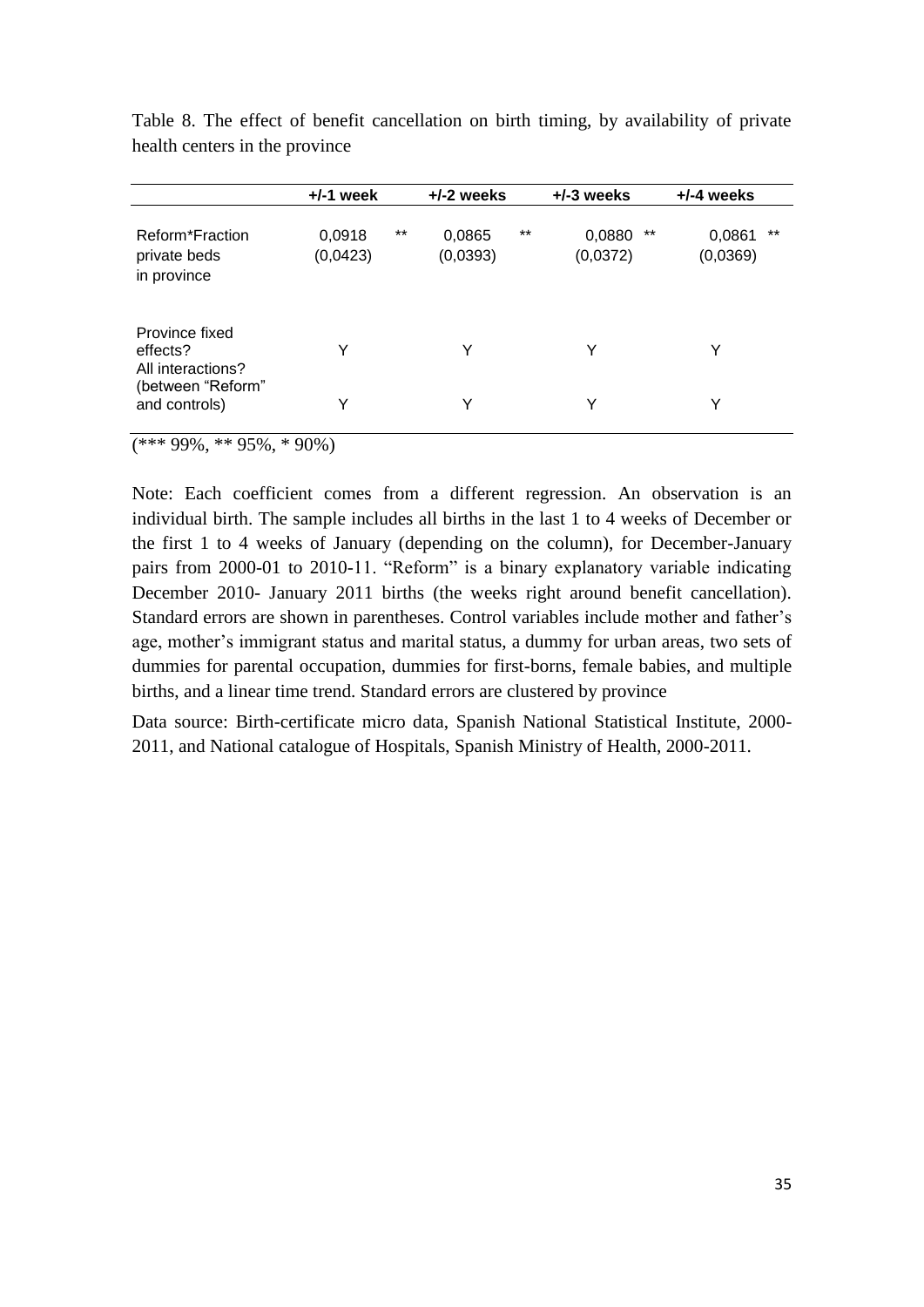|                                                 | $+/-1$ week        |       | $+/-2$ weeks       |       | $+/-3$ weeks             | $+/-4$ weeks                |
|-------------------------------------------------|--------------------|-------|--------------------|-------|--------------------------|-----------------------------|
| Reform*Fraction<br>private beds<br>in province  | 0,0918<br>(0,0423) | $***$ | 0,0865<br>(0,0393) | $***$ | **<br>0,0880<br>(0,0372) | $***$<br>0,0861<br>(0,0369) |
| Province fixed<br>effects?<br>All interactions? | Y                  |       | Y                  |       | Υ                        | Y                           |
| (between "Reform"<br>and controls)              | Υ                  |       | Υ                  |       | Υ                        | Y                           |

Table 8. The effect of benefit cancellation on birth timing, by availability of private health centers in the province

 $(*** 99\%, ** 95\%, * 90\%)$ 

Note: Each coefficient comes from a different regression. An observation is an individual birth. The sample includes all births in the last 1 to 4 weeks of December or the first 1 to 4 weeks of January (depending on the column), for December-January pairs from 2000-01 to 2010-11. "Reform" is a binary explanatory variable indicating December 2010- January 2011 births (the weeks right around benefit cancellation). Standard errors are shown in parentheses. Control variables include mother and father's age, mother's immigrant status and marital status, a dummy for urban areas, two sets of dummies for parental occupation, dummies for first-borns, female babies, and multiple births, and a linear time trend. Standard errors are clustered by province

Data source: Birth-certificate micro data, Spanish National Statistical Institute, 2000- 2011, and National catalogue of Hospitals, Spanish Ministry of Health, 2000-2011.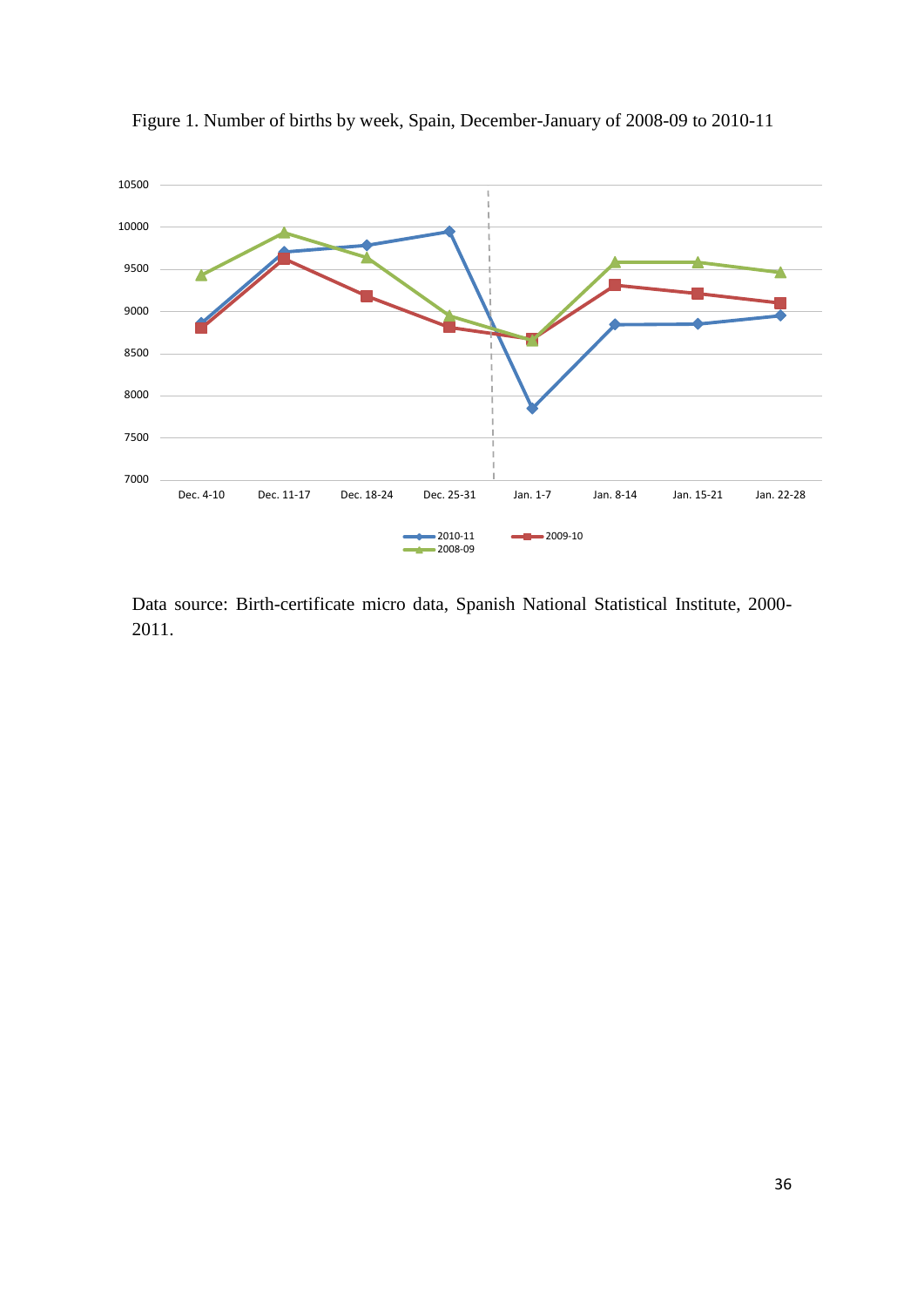

Figure 1. Number of births by week, Spain, December-January of 2008-09 to 2010-11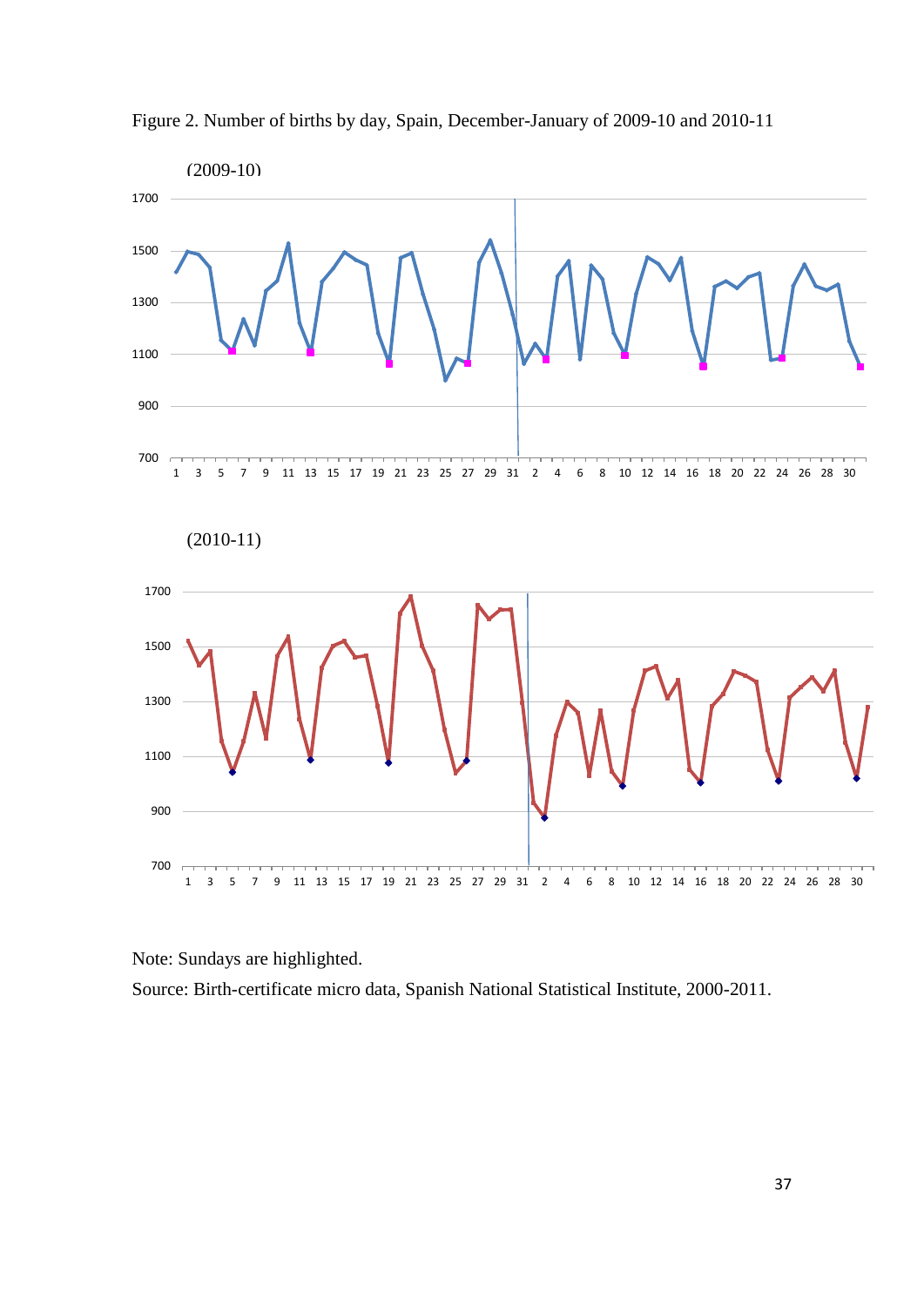

Figure 2. Number of births by day, Spain, December-January of 2009-10 and 2010-11

Note: Sundays are highlighted.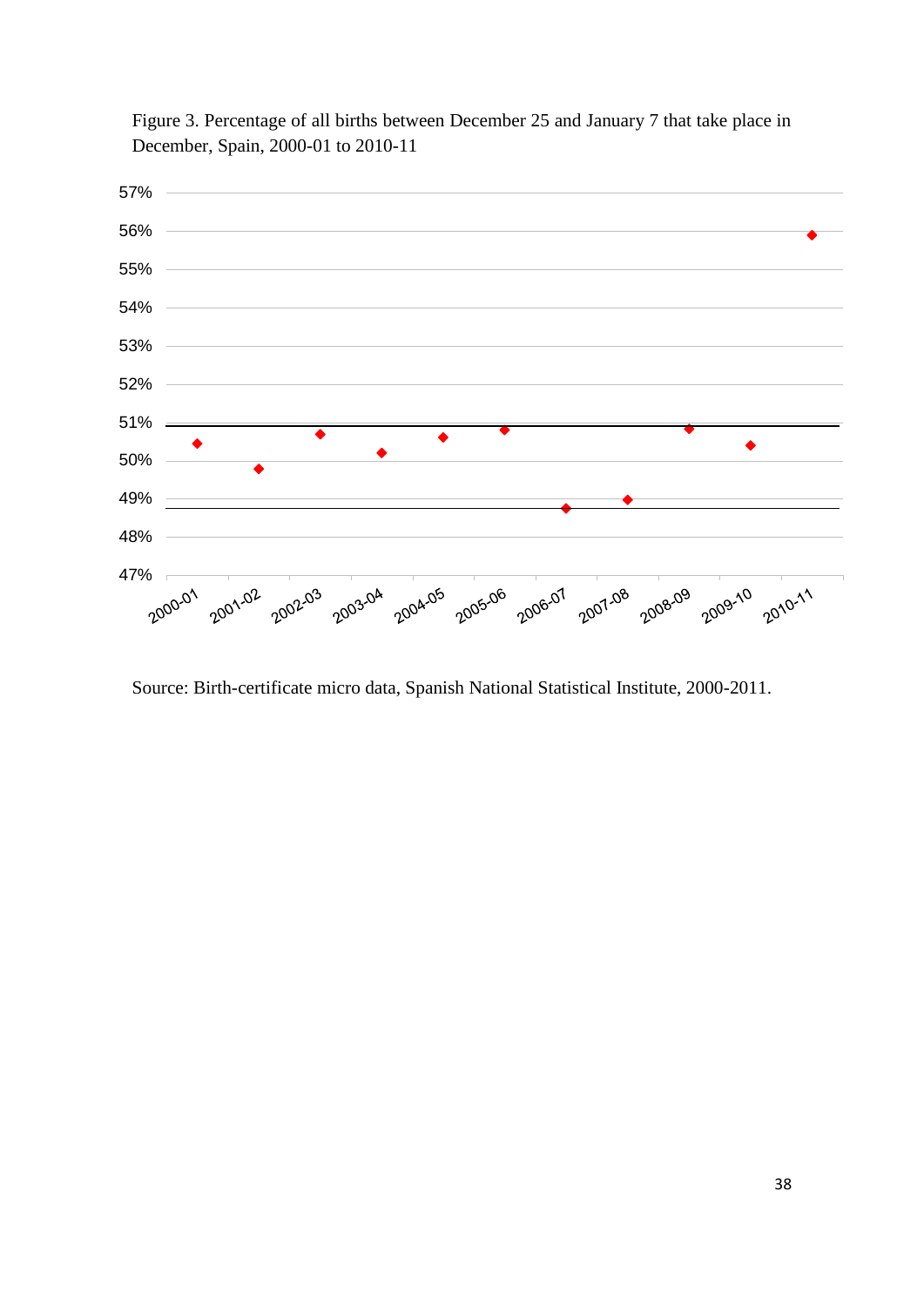

Figure 3. Percentage of all births between December 25 and January 7 that take place in December, Spain, 2000-01 to 2010-11

Source: Birth-certificate micro data, Spanish National Statistical Institute, 2000-2011.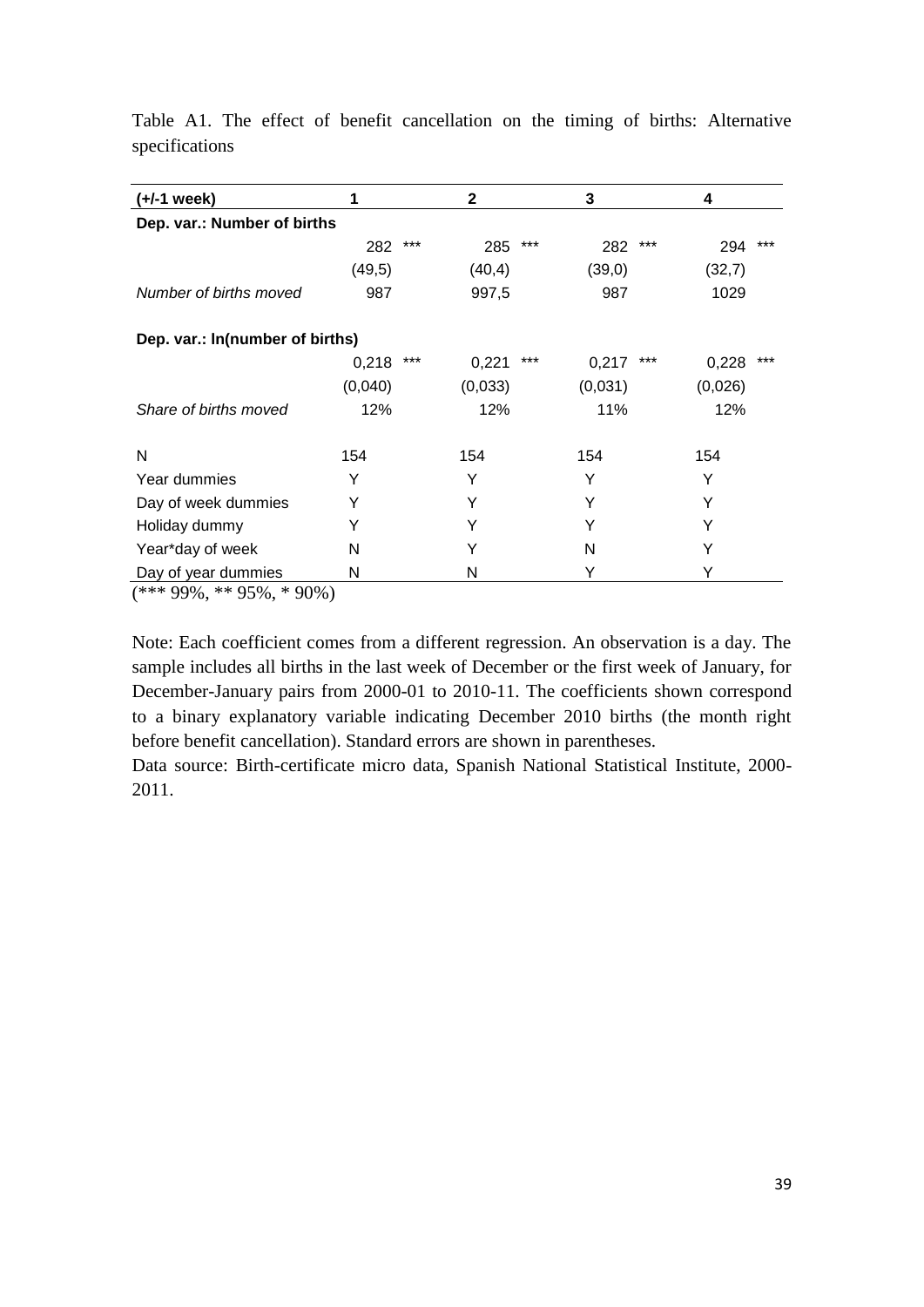| (+/-1 week)                     | 1       |       | $\mathbf{2}$ |     | 3       |     | 4       |       |
|---------------------------------|---------|-------|--------------|-----|---------|-----|---------|-------|
| Dep. var.: Number of births     |         |       |              |     |         |     |         |       |
|                                 | 282     | $***$ | 285          | *** | 282     | *** | 294     | $***$ |
|                                 | (49,5)  |       | (40, 4)      |     | (39,0)  |     | (32,7)  |       |
| Number of births moved          | 987     |       | 997,5        |     | 987     |     | 1029    |       |
| Dep. var.: In(number of births) |         |       |              |     |         |     |         |       |
|                                 | 0,218   | $***$ | 0,221        | *** | 0,217   | *** | 0,228   | $***$ |
|                                 | (0,040) |       | (0,033)      |     | (0,031) |     | (0,026) |       |
| Share of births moved           | 12%     |       | 12%          |     | 11%     |     | 12%     |       |
| N                               | 154     |       | 154          |     | 154     |     | 154     |       |
| Year dummies                    | Y       |       | Y            |     | Υ       |     | Y       |       |
| Day of week dummies             | Y       |       | Υ            |     | Υ       |     | Υ       |       |
| Holiday dummy                   | Y       |       | Y            |     | Y       |     | Y       |       |
| Year*day of week                | N       |       | Y            |     | N       |     | Y       |       |
| Day of year dummies             | Ν       |       | N            |     | Y       |     |         |       |

Table A1. The effect of benefit cancellation on the timing of births: Alternative specifications

 $\frac{1}{(***99\%, **95\%, *90\%)}$ 

Note: Each coefficient comes from a different regression. An observation is a day. The sample includes all births in the last week of December or the first week of January, for December-January pairs from 2000-01 to 2010-11. The coefficients shown correspond to a binary explanatory variable indicating December 2010 births (the month right before benefit cancellation). Standard errors are shown in parentheses.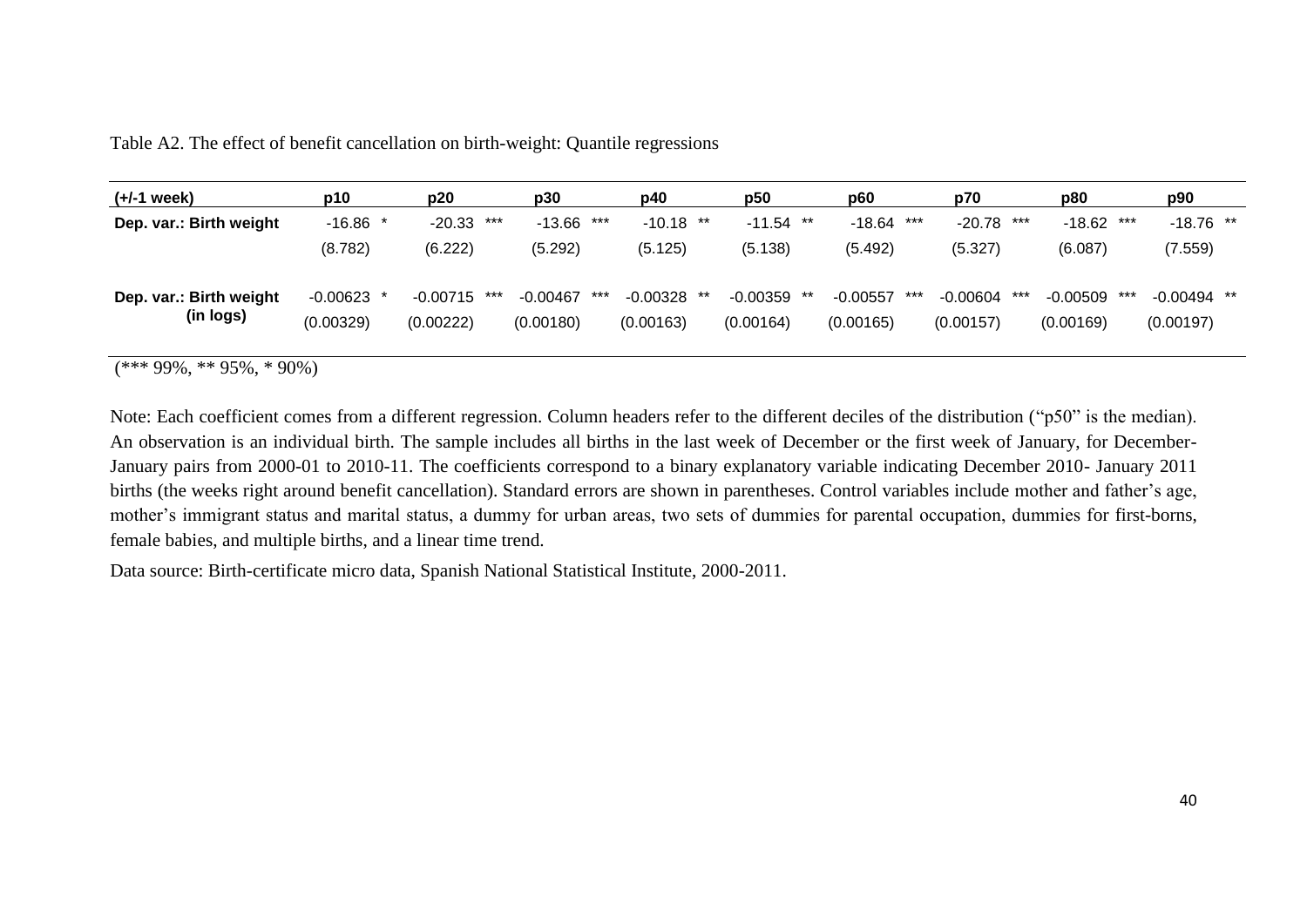| $(+/-1$ week)                        | p10                       | p20                            | p30                     | p40                                  | p50                   | p60                            | p70                            | p80                            | p90                        |
|--------------------------------------|---------------------------|--------------------------------|-------------------------|--------------------------------------|-----------------------|--------------------------------|--------------------------------|--------------------------------|----------------------------|
| Dep. var.: Birth weight              | $-16.86$ *                | ***<br>$-20.33$                | $-13.66$                | ***<br>$-10.18$ **                   | $-11.54$ **           | ***<br>$-18.64$                | $-20.78$<br>***                | $-18.62$<br>***                | $-18.76$ **                |
|                                      | (8.782)                   | (6.222)                        | (5.292)                 | (5.125)                              | (5.138)               | (5.492)                        | (5.327)                        | (6.087)                        | (7.559)                    |
| Dep. var.: Birth weight<br>(in logs) | $-0.00623$ *<br>(0.00329) | $-0.00715$<br>***<br>(0.00222) | $-0.00467$<br>(0.00180) | $-0.00328$<br>***<br>**<br>(0.00163) | -0.00359<br>(0.00164) | $-0.00557$<br>***<br>(0.00165) | $-0.00604$<br>***<br>(0.00157) | $-0.00509$<br>***<br>(0.00169) | $-0.00494$ **<br>(0.00197) |

Table A2. The effect of benefit cancellation on birth-weight: Quantile regressions

 $(***99\%, **95\%, *90\%)$ 

Note: Each coefficient comes from a different regression. Column headers refer to the different deciles of the distribution ("p50" is the median). An observation is an individual birth. The sample includes all births in the last week of December or the first week of January, for December-January pairs from 2000-01 to 2010-11. The coefficients correspond to a binary explanatory variable indicating December 2010- January 2011 births (the weeks right around benefit cancellation). Standard errors are shown in parentheses. Control variables include mother and father's age, mother's immigrant status and marital status, a dummy for urban areas, two sets of dummies for parental occupation, dummies for first-borns, female babies, and multiple births, and a linear time trend.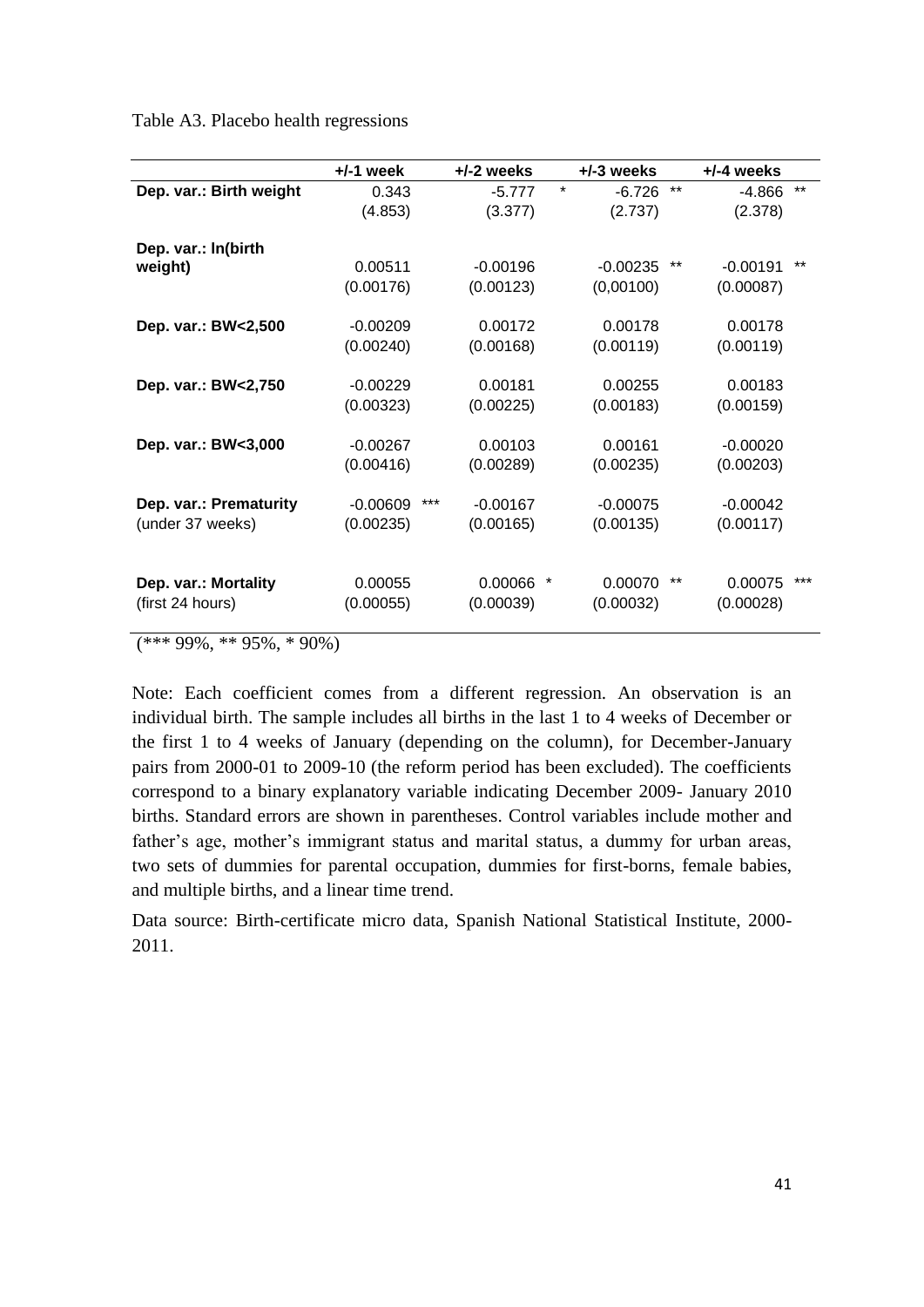Table A3. Placebo health regressions

|                         | $+/-1$ week | $+/-2$ weeks      | $+/-3$ weeks        | $+/-4$ weeks               |
|-------------------------|-------------|-------------------|---------------------|----------------------------|
| Dep. var.: Birth weight | 0.343       | $-5.777$          | $\star$<br>$-6.726$ | $***$<br>$***$<br>$-4.866$ |
|                         | (4.853)     | (3.377)           | (2.737)             | (2.378)                    |
| Dep. var.: In(birth     |             |                   |                     |                            |
| weight)                 | 0.00511     | $-0.00196$        | $-0.00235$          | $***$<br>**<br>$-0.00191$  |
|                         | (0.00176)   | (0.00123)         | (0,00100)           | (0.00087)                  |
| Dep. var.: BW<2,500     | $-0.00209$  | 0.00172           | 0.00178             | 0.00178                    |
|                         | (0.00240)   | (0.00168)         | (0.00119)           | (0.00119)                  |
| Dep. var.: BW<2,750     | $-0.00229$  | 0.00181           | 0.00255             | 0.00183                    |
|                         | (0.00323)   | (0.00225)         | (0.00183)           | (0.00159)                  |
| Dep. var.: BW<3,000     | $-0.00267$  | 0.00103           | 0.00161             | $-0.00020$                 |
|                         | (0.00416)   | (0.00289)         | (0.00235)           | (0.00203)                  |
| Dep. var.: Prematurity  | $-0.00609$  | ***<br>$-0.00167$ | $-0.00075$          | $-0.00042$                 |
| (under 37 weeks)        | (0.00235)   | (0.00165)         | (0.00135)           | (0.00117)                  |
| Dep. var.: Mortality    | 0.00055     | 0.00066           | $^\star$<br>0.00070 | $***$<br>***<br>0.00075    |
| (first 24 hours)        | (0.00055)   | (0.00039)         | (0.00032)           | (0.00028)                  |
|                         |             |                   |                     |                            |

 $(*** 99\%, ** 95\%, * 90\%)$ 

Note: Each coefficient comes from a different regression. An observation is an individual birth. The sample includes all births in the last 1 to 4 weeks of December or the first 1 to 4 weeks of January (depending on the column), for December-January pairs from 2000-01 to 2009-10 (the reform period has been excluded). The coefficients correspond to a binary explanatory variable indicating December 2009- January 2010 births. Standard errors are shown in parentheses. Control variables include mother and father's age, mother's immigrant status and marital status, a dummy for urban areas, two sets of dummies for parental occupation, dummies for first-borns, female babies, and multiple births, and a linear time trend.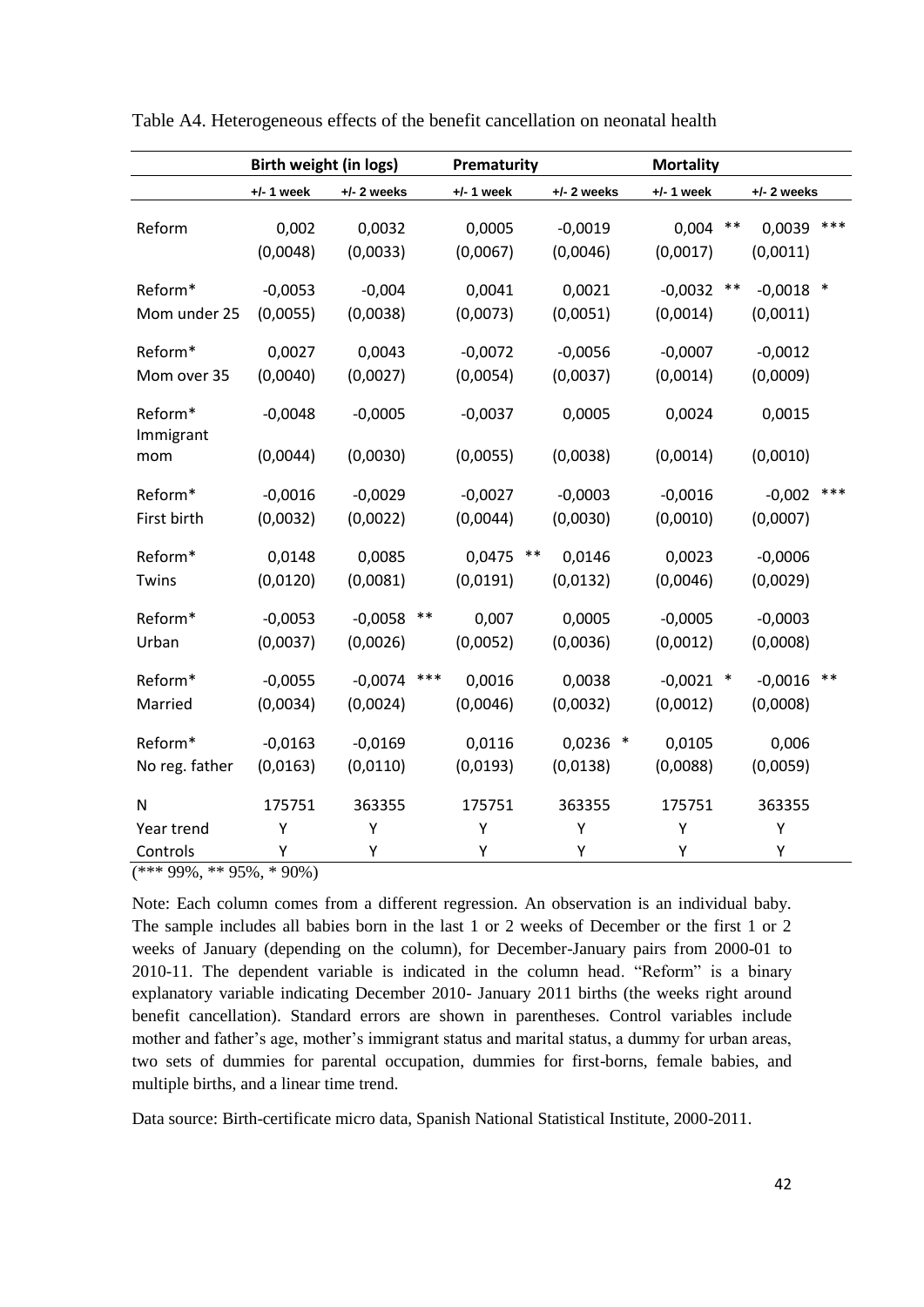|                               | Birth weight (in logs) |                       |       | Prematurity           |       |                       |        | <b>Mortality</b>        |       |                         |       |
|-------------------------------|------------------------|-----------------------|-------|-----------------------|-------|-----------------------|--------|-------------------------|-------|-------------------------|-------|
|                               | $+/- 1$ week           | $+/- 2$ weeks         |       | $+/- 1$ week          |       | $+/- 2$ weeks         |        | $+/- 1$ week            |       | $+/- 2$ weeks           |       |
| Reform                        | 0,002<br>(0,0048)      | 0,0032<br>(0,0033)    |       | 0,0005<br>(0,0067)    |       | $-0,0019$<br>(0,0046) |        | 0,004<br>(0,0017)       | $***$ | 0,0039<br>(0,0011)      | ***   |
| Reform*<br>Mom under 25       | $-0,0053$<br>(0,0055)  | $-0,004$<br>(0,0038)  |       | 0,0041<br>(0,0073)    |       | 0,0021<br>(0,0051)    |        | $-0,0032$<br>(0,0014)   | $***$ | $-0,0018$ *<br>(0,0011) |       |
| Reform*<br>Mom over 35        | 0,0027<br>(0,0040)     | 0,0043<br>(0,0027)    |       | $-0,0072$<br>(0,0054) |       | $-0,0056$<br>(0,0037) |        | $-0,0007$<br>(0,0014)   |       | $-0,0012$<br>(0,0009)   |       |
| Reform*<br>Immigrant          | $-0,0048$<br>(0,0044)  | $-0,0005$<br>(0,0030) |       | $-0,0037$<br>(0,0055) |       | 0,0005<br>(0,0038)    |        | 0,0024<br>(0,0014)      |       | 0,0015<br>(0,0010)      |       |
| mom<br>Reform*<br>First birth | $-0,0016$<br>(0,0032)  | $-0,0029$<br>(0,0022) |       | $-0,0027$<br>(0,0044) |       | $-0,0003$<br>(0,0030) |        | $-0,0016$<br>(0,0010)   |       | $-0,002$<br>(0,0007)    | ***   |
| Reform*<br>Twins              | 0,0148<br>(0,0120)     | 0,0085<br>(0,0081)    |       | 0,0475<br>(0,0191)    | $***$ | 0,0146<br>(0,0132)    |        | 0,0023<br>(0,0046)      |       | $-0,0006$<br>(0,0029)   |       |
| Reform*<br>Urban              | $-0,0053$<br>(0,0037)  | $-0,0058$<br>(0,0026) | $***$ | 0,007<br>(0,0052)     |       | 0,0005<br>(0,0036)    |        | $-0,0005$<br>(0,0012)   |       | $-0,0003$<br>(0,0008)   |       |
| Reform*<br>Married            | $-0,0055$<br>(0,0034)  | $-0,0074$<br>(0,0024) | ***   | 0,0016<br>(0,0046)    |       | 0,0038<br>(0,0032)    |        | $-0,0021$ *<br>(0,0012) |       | $-0,0016$<br>(0,0008)   | $***$ |
| Reform*<br>No reg. father     | $-0,0163$<br>(0,0163)  | $-0,0169$<br>(0,0110) |       | 0,0116<br>(0,0193)    |       | 0,0236<br>(0,0138)    | $\ast$ | 0,0105<br>(0,0088)      |       | 0,006<br>(0,0059)       |       |
| N                             | 175751                 | 363355                |       | 175751                |       | 363355                |        | 175751                  |       | 363355                  |       |
| Year trend<br>Controls        | Υ<br>Υ                 | Y<br>Υ                |       | Υ<br>Υ                |       | Y<br>Υ                |        | Υ<br>Υ                  |       | Υ<br>Υ                  |       |

Table A4. Heterogeneous effects of the benefit cancellation on neonatal health

(\*\*\* 99%, \*\* 95%, \* 90%)

Note: Each column comes from a different regression. An observation is an individual baby. The sample includes all babies born in the last 1 or 2 weeks of December or the first 1 or 2 weeks of January (depending on the column), for December-January pairs from 2000-01 to 2010-11. The dependent variable is indicated in the column head. "Reform" is a binary explanatory variable indicating December 2010- January 2011 births (the weeks right around benefit cancellation). Standard errors are shown in parentheses. Control variables include mother and father's age, mother's immigrant status and marital status, a dummy for urban areas, two sets of dummies for parental occupation, dummies for first-borns, female babies, and multiple births, and a linear time trend.